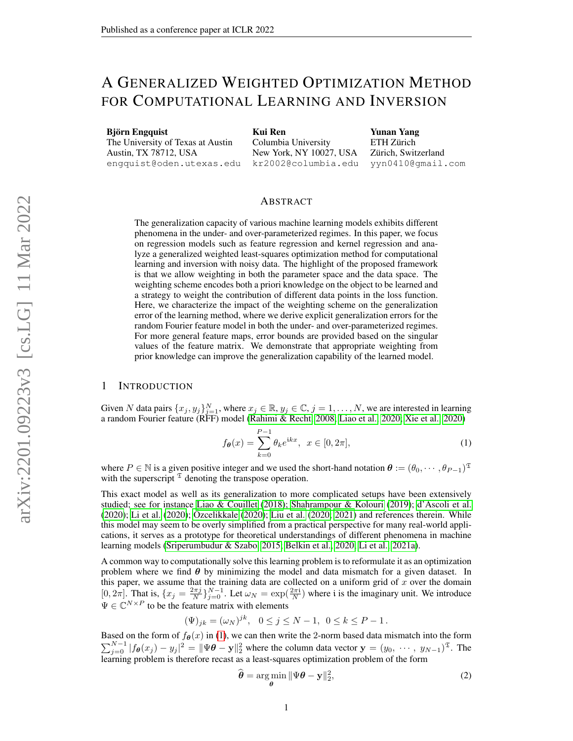# A GENERALIZED WEIGHTED OPTIMIZATION METHOD FOR COMPUTATIONAL LEARNING AND INVERSION

Björn Engquist The University of Texas at Austin Austin, TX 78712, USA engquist@oden.utexas.edu Kui Ren Columbia University New York, NY 10027, USA kr2002@columbia.edu

Yunan Yang ETH Zürich Zürich, Switzerland yyn0410@gmail.com

#### ABSTRACT

The generalization capacity of various machine learning models exhibits different phenomena in the under- and over-parameterized regimes. In this paper, we focus on regression models such as feature regression and kernel regression and analyze a generalized weighted least-squares optimization method for computational learning and inversion with noisy data. The highlight of the proposed framework is that we allow weighting in both the parameter space and the data space. The weighting scheme encodes both a priori knowledge on the object to be learned and a strategy to weight the contribution of different data points in the loss function. Here, we characterize the impact of the weighting scheme on the generalization error of the learning method, where we derive explicit generalization errors for the random Fourier feature model in both the under- and over-parameterized regimes. For more general feature maps, error bounds are provided based on the singular values of the feature matrix. We demonstrate that appropriate weighting from prior knowledge can improve the generalization capability of the learned model.

## 1 INTRODUCTION

Given N data pairs  $\{x_j, y_j\}_{j=1}^N$ , where  $x_j \in \mathbb{R}$ ,  $y_j \in \mathbb{C}$ ,  $j = 1, \ldots, N$ , we are interested in learning a random Fourier feature (RFF) model [\(Rahimi & Recht, 2008;](#page-24-0) [Liao et al., 2020;](#page-23-0) [Xie et al., 2020\)](#page-24-1)

<span id="page-0-0"></span>
$$
f_{\theta}(x) = \sum_{k=0}^{P-1} \theta_k e^{ikx}, \ \ x \in [0, 2\pi], \tag{1}
$$

where  $P \in \mathbb{N}$  is a given positive integer and we used the short-hand notation  $\theta := (\theta_0, \dots, \theta_{P-1})^{\mathfrak{T}}$ with the superscript  $\mathfrak T$  denoting the transpose operation.

This exact model as well as its generalization to more complicated setups have been extensively studied; see for instance [Liao & Couillet](#page-23-1) [\(2018\)](#page-23-1); [Shahrampour & Kolouri](#page-24-2) [\(2019\)](#page-24-2); [d'Ascoli et al.](#page-23-2)  $(2020)$ ; [Li et al.](#page-23-3)  $(2020)$ ; [Ozcelikkale](#page-24-3)  $(2020)$ ; [Liu et al.](#page-24-4)  $(2020)$ ;  $2021$ ) and references therein. While this model may seem to be overly simplified from a practical perspective for many real-world applications, it serves as a prototype for theoretical understandings of different phenomena in machine learning models [\(Sriperumbudur & Szabo, 2015;](#page-24-6) [Belkin et al., 2020;](#page-22-0) [Li et al., 2021a\)](#page-23-4).

A common way to computationally solve this learning problem is to reformulate it as an optimization problem where we find  $\theta$  by minimizing the model and data mismatch for a given dataset. In this paper, we assume that the training data are collected on a uniform grid of  $x$  over the domain [0, 2 $\pi$ ]. That is,  $\{x_j = \frac{2\pi j}{N}\}_{j=0}^{N-1}$ . Let  $\omega_N = \exp(\frac{2\pi i}{N})$  where i is the imaginary unit. We introduce  $\Psi \in \mathbb{C}^{N \times P}$  to be the feature matrix with elements

$$
(\Psi)_{jk} = (\omega_N)^{jk}, \quad 0 \le j \le N - 1, \ \ 0 \le k \le P - 1.
$$

Based on the form of  $f_{\theta}(x)$  in [\(1\)](#page-0-0), we can then write the 2-norm based data mismatch into the form  $\sum_{j=0}^{N-1} |f_{\theta}(x_j) - y_j|^2 = ||\Psi \theta - \mathbf{y}||_2^2$  where the column data vector  $\mathbf{y} = (y_0, \dots, y_{N-1})^{\mathfrak{T}}$ . The learning problem is therefore recast as a least-squares optimization problem of the form

<span id="page-0-1"></span>
$$
\widehat{\boldsymbol{\theta}} = \underset{\boldsymbol{\theta}}{\arg\min} \|\Psi\boldsymbol{\theta} - \mathbf{y}\|_2^2, \tag{2}
$$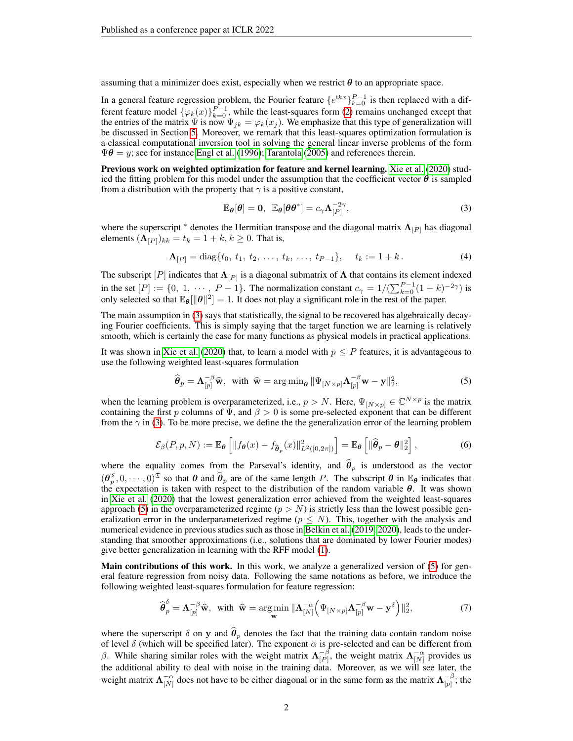assuming that a minimizer does exist, especially when we restrict  $\theta$  to an appropriate space.

In a general feature regression problem, the Fourier feature  $\{e^{ikx}\}_{k=0}^{P-1}$  is then replaced with a different feature model  $\{\varphi_k(x)\}_{k=0}^{P-1}$ , while the least-squares form [\(2\)](#page-0-1) remains unchanged except that the entries of the matrix  $\Psi$  is now  $\Psi_{jk} = \varphi_k(x_j)$ . We emphasize that this type of generalization will be discussed in Section [5.](#page-7-0) Moreover, we remark that this least-squares optimization formulation is a classical computational inversion tool in solving the general linear inverse problems of the form  $\Psi\theta = y$ ; see for instance [Engl et al.](#page-23-5) [\(1996\)](#page-23-5); [Tarantola](#page-24-7) [\(2005\)](#page-24-7) and references therein.

Previous work on weighted optimization for feature and kernel learning. [Xie et al.](#page-24-1) [\(2020\)](#page-24-1) studied the fitting problem for this model under the assumption that the coefficient vector  $\theta$  is sampled from a distribution with the property that  $\gamma$  is a positive constant,

<span id="page-1-3"></span><span id="page-1-0"></span>
$$
\mathbb{E}_{\theta}[\theta] = 0, \ \mathbb{E}_{\theta}[\theta \theta^*] = c_{\gamma} \Lambda_{[P]}^{-2\gamma}, \tag{3}
$$

where the superscript  $*$  denotes the Hermitian transpose and the diagonal matrix  $\Lambda_{[P]}$  has diagonal elements  $(\mathbf{\Lambda}_{[P]})_{kk} = t_k = 1 + k, k \geq 0$ . That is,

$$
\Lambda_{[P]} = \text{diag}\{t_0, t_1, t_2, \dots, t_k, \dots, t_{P-1}\}, \quad t_k := 1 + k. \tag{4}
$$

The subscript  $[P]$  indicates that  $\Lambda_{[P]}$  is a diagonal submatrix of  $\Lambda$  that contains its element indexed in the set  $[P] := \{0, 1, \dots, P-1\}$ . The normalization constant  $c_{\gamma} = 1/(\sum_{k=0}^{P-1} (1+k)^{-2\gamma})$  is only selected so that  $\mathbb{E}_{\theta}[\|\theta\|^2] = 1$ . It does not play a significant role in the rest of the paper.

The main assumption in [\(3\)](#page-1-0) says that statistically, the signal to be recovered has algebraically decaying Fourier coefficients. This is simply saying that the target function we are learning is relatively smooth, which is certainly the case for many functions as physical models in practical applications.

It was shown in [Xie et al.](#page-24-1) [\(2020\)](#page-24-1) that, to learn a model with  $p \leq P$  features, it is advantageous to use the following weighted least-squares formulation

<span id="page-1-1"></span>
$$
\widehat{\boldsymbol{\theta}}_p = \mathbf{\Lambda}_{[p]}^{-\beta} \widehat{\mathbf{w}}, \text{ with } \widehat{\mathbf{w}} = \arg \min_{\boldsymbol{\theta}} \|\Psi_{[N \times p]} \mathbf{\Lambda}_{[p]}^{-\beta} \mathbf{w} - \mathbf{y}\|_2^2, \tag{5}
$$

<span id="page-1-4"></span>when the learning problem is overparameterized, i.e.,  $p > N$ . Here,  $\Psi_{[N \times p]} \in \mathbb{C}^{N \times p}$  is the matrix containing the first p columns of  $\Psi$ , and  $\beta > 0$  is some pre-selected exponent that can be different from the  $\gamma$  in [\(3\)](#page-1-0). To be more precise, we define the the generalization error of the learning problem

$$
\mathcal{E}_{\beta}(P, p, N) := \mathbb{E}_{\theta}\left[\|f_{\theta}(x) - f_{\widehat{\theta}_p}(x)\|_{L^2([0, 2\pi])}^2\right] = \mathbb{E}_{\theta}\left[\|\widehat{\theta}_p - \theta\|_2^2\right],\tag{6}
$$

where the equality comes from the Parseval's identity, and  $\hat{\theta}_p$  is understood as the vector  $(\theta_p^{\mathfrak{T}}, 0, \dots, 0)^{\mathfrak{T}}$  so that  $\theta$  and  $\hat{\theta}_p$  are of the same length P. The subscript  $\theta$  in  $\mathbb{E}_{\theta}$  indicates that the expectation is taken with respect to the distribution of the random variable  $\theta$ . It was shown in [Xie et al.](#page-24-1) [\(2020\)](#page-24-1) that the lowest generalization error achieved from the weighted least-squares approach [\(5\)](#page-1-1) in the overparameterized regime ( $p > N$ ) is strictly less than the lowest possible generalization error in the underparameterized regime ( $p \leq N$ ). This, together with the analysis and numerical evidence in previous studies such as those in [Belkin et al.](#page-22-1) [\(2019;](#page-22-1) [2020\)](#page-22-0), leads to the understanding that smoother approximations (i.e., solutions that are dominated by lower Fourier modes) give better generalization in learning with the RFF model [\(1\)](#page-0-0).

Main contributions of this work. In this work, we analyze a generalized version of [\(5\)](#page-1-1) for general feature regression from noisy data. Following the same notations as before, we introduce the following weighted least-squares formulation for feature regression:

<span id="page-1-2"></span>
$$
\widehat{\boldsymbol{\theta}}_p^{\delta} = \mathbf{\Lambda}_{[p]}^{-\beta} \widehat{\mathbf{w}}, \text{ with } \widehat{\mathbf{w}} = \underset{\mathbf{w}}{\text{arg min}} \|\mathbf{\Lambda}_{[N]}^{-\alpha} \Big( \Psi_{[N \times p]} \mathbf{\Lambda}_{[p]}^{-\beta} \mathbf{w} - \mathbf{y}^{\delta} \Big)\|_2^2, \tag{7}
$$

where the superscript  $\delta$  on y and  $\hat{\theta}_p$  denotes the fact that the training data contain random noise of level  $\delta$  (which will be specified later). The exponent  $\alpha$  is pre-selected and can be different from β. While sharing similar roles with the weight matrix  $\Lambda_{\{p\}}^{-\beta}$  $\begin{bmatrix} -\beta \\ [P] \end{bmatrix}$ , the weight matrix  $\Lambda_{[N]}^{-\alpha}$  provides us the additional ability to deal with noise in the training data. Moreover, as we will see later, the weight matrix  $\Lambda_{[N]}^{-\alpha}$  does not have to be either diagonal or in the same form as the matrix  $\Lambda_{[p]}^{-\beta}$  $\frac{-\rho}{|p|}$ ; the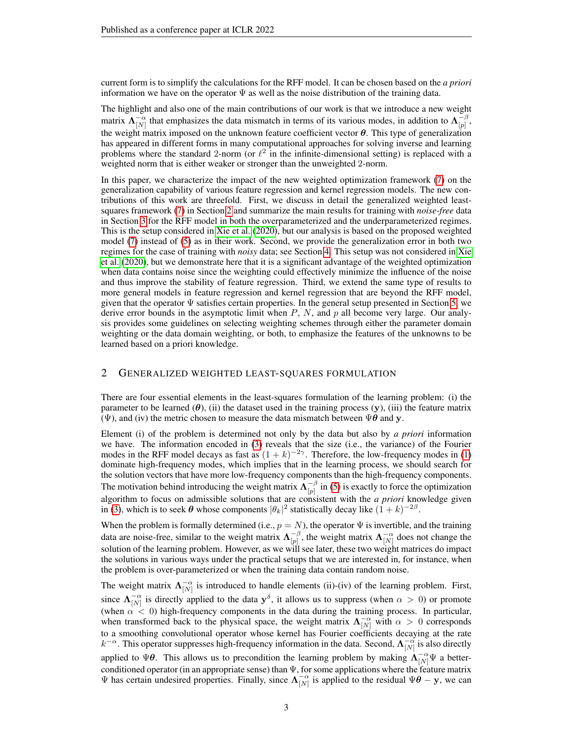current form is to simplify the calculations for the RFF model. It can be chosen based on the *a priori* information we have on the operator  $\Psi$  as well as the noise distribution of the training data.

The highlight and also one of the main contributions of our work is that we introduce a new weight matrix  $\Lambda_{[N]}^{-\alpha}$  that emphasizes the data mismatch in terms of its various modes, in addition to  $\Lambda_{[p]}^{-\beta}$  $\frac{-\rho}{[p]},$ the weight matrix imposed on the unknown feature coefficient vector  $\theta$ . This type of generalization has appeared in different forms in many computational approaches for solving inverse and learning problems where the standard 2-norm (or  $\ell^2$  in the infinite-dimensional setting) is replaced with a weighted norm that is either weaker or stronger than the unweighted 2-norm.

In this paper, we characterize the impact of the new weighted optimization framework [\(7\)](#page-1-2) on the generalization capability of various feature regression and kernel regression models. The new contributions of this work are threefold. First, we discuss in detail the generalized weighted leastsquares framework [\(7\)](#page-1-2) in Section [2](#page-2-0) and summarize the main results for training with *noise-free* data in Section [3](#page-4-0) for the RFF model in both the overparameterized and the underparameterized regimes. This is the setup considered in [Xie et al.](#page-24-1) [\(2020\)](#page-24-1), but our analysis is based on the proposed weighted model [\(7\)](#page-1-2) instead of [\(5\)](#page-1-1) as in their work. Second, we provide the generalization error in both two regimes for the case of training with *noisy* data; see Section [4.](#page-5-0) This setup was not considered in [Xie](#page-24-1) [et al.](#page-24-1) [\(2020\)](#page-24-1), but we demonstrate here that it is a significant advantage of the weighted optimization when data contains noise since the weighting could effectively minimize the influence of the noise and thus improve the stability of feature regression. Third, we extend the same type of results to more general models in feature regression and kernel regression that are beyond the RFF model, given that the operator  $\Psi$  satisfies certain properties. In the general setup presented in Section [5,](#page-7-0) we derive error bounds in the asymptotic limit when  $P$ ,  $N$ , and  $p$  all become very large. Our analysis provides some guidelines on selecting weighting schemes through either the parameter domain weighting or the data domain weighting, or both, to emphasize the features of the unknowns to be learned based on a priori knowledge.

### <span id="page-2-0"></span>2 GENERALIZED WEIGHTED LEAST-SQUARES FORMULATION

There are four essential elements in the least-squares formulation of the learning problem: (i) the parameter to be learned  $(\theta)$ , (ii) the dataset used in the training process  $(y)$ , (iii) the feature matrix (Ψ), and (iv) the metric chosen to measure the data mismatch between  $\Psi \theta$  and y.

Element (i) of the problem is determined not only by the data but also by *a priori* information we have. The information encoded in [\(3\)](#page-1-0) reveals that the size (i.e., the variance) of the Fourier modes in the RFF model decays as fast as  $(1 + k)^{-2\gamma}$ . Therefore, the low-frequency modes in [\(1\)](#page-0-0) dominate high-frequency modes, which implies that in the learning process, we should search for the solution vectors that have more low-frequency components than the high-frequency components. The motivation behind introducing the weight matrix  $\Lambda_{[n]}^{-\beta}$  $\begin{bmatrix} -\beta \\ p \end{bmatrix}$  in [\(5\)](#page-1-1) is exactly to force the optimization algorithm to focus on admissible solutions that are consistent with the *a priori* knowledge given in [\(3\)](#page-1-0), which is to seek  $\theta$  whose components  $|\theta_k|^2$  statistically decay like  $(1 + k)^{-2\beta}$ .

When the problem is formally determined (i.e.,  $p = N$ ), the operator  $\Psi$  is invertible, and the training data are noise-free, similar to the weight matrix  $\Lambda_{[n]}^{-\beta}$  $\begin{bmatrix} -\beta \\ p \end{bmatrix}$ , the weight matrix  $\mathbf{\Lambda}_{[N]}^{-\alpha}$  does not change the solution of the learning problem. However, as we will see later, these two weight matrices do impact the solutions in various ways under the practical setups that we are interested in, for instance, when the problem is over-parameterized or when the training data contain random noise.

The weight matrix  $\Lambda_{[N]}^{-\alpha}$  is introduced to handle elements (ii)-(iv) of the learning problem. First, since  $\Lambda_{[N]}^{-\alpha}$  is directly applied to the data  $y^{\delta}$ , it allows us to suppress (when  $\alpha > 0$ ) or promote (when  $\alpha$  < 0) high-frequency components in the data during the training process. In particular, when transformed back to the physical space, the weight matrix  $\Lambda_{[N]}^{-\alpha}$  with  $\alpha > 0$  corresponds to a smoothing convolutional operator whose kernel has Fourier coefficients decaying at the rate  $k^{-\alpha}$ . This operator suppresses high-frequency information in the data. Second,  $\Lambda_{[N]}^{-\alpha}$  is also directly applied to  $\Psi\theta$ . This allows us to precondition the learning problem by making  $\Lambda_{[N]}^{-\alpha}\Psi$  a betterconditioned operator (in an appropriate sense) than  $\Psi$ , for some applications where the feature matrix  $\Psi$  has certain undesired properties. Finally, since  $\Lambda_{[N]}^{-\alpha}$  is applied to the residual  $\Psi\theta - \mathbf{y}$ , we can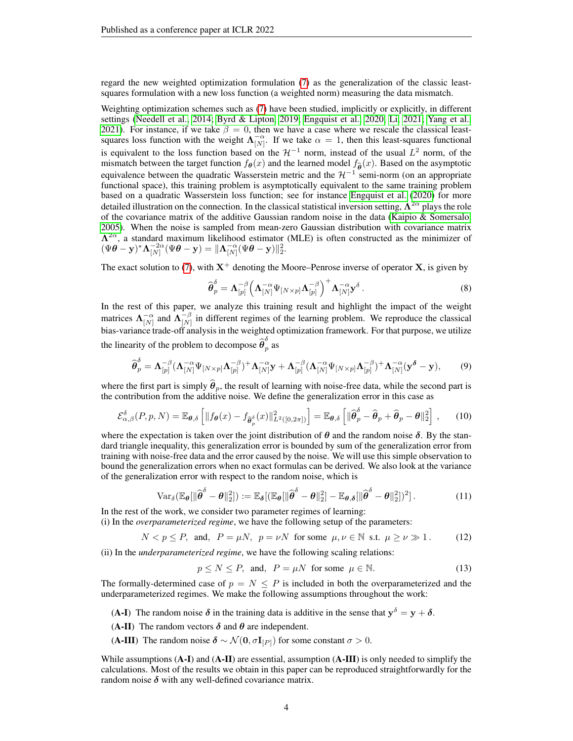regard the new weighted optimization formulation [\(7\)](#page-1-2) as the generalization of the classic leastsquares formulation with a new loss function (a weighted norm) measuring the data mismatch.

Weighting optimization schemes such as [\(7\)](#page-1-2) have been studied, implicitly or explicitly, in different settings [\(Needell et al., 2014;](#page-24-8) [Byrd & Lipton, 2019;](#page-23-6) [Engquist et al., 2020;](#page-23-7) [Li, 2021;](#page-23-8) [Yang et al.,](#page-24-9) [2021\)](#page-24-9). For instance, if we take  $\beta = 0$ , then we have a case where we rescale the classical leastsquares loss function with the weight  $\Lambda_{[N]}^{-\alpha}$ . If we take  $\alpha = 1$ , then this least-squares functional is equivalent to the loss function based on the  $\mathcal{H}^{-1}$  norm, instead of the usual  $L^2$  norm, of the mismatch between the target function  $f_{\theta}(x)$  and the learned model  $f_{\hat{\theta}}(x)$ . Based on the asymptotic equivalence between the quadratic Wasserstein metric and the  $\mathcal{H}^{-1}$  semi-norm (on an appropriate functional space), this training problem is asymptotically equivalent to the same training problem based on a quadratic Wasserstein loss function; see for instance [Engquist et al.](#page-23-7) [\(2020\)](#page-23-7) for more detailed illustration on the connection. In the classical statistical inversion setting,  $\Lambda^{2\alpha}$  plays the role of the covariance matrix of the additive Gaussian random noise in the data (Kaipio  $\&$  Somersalo, [2005\)](#page-23-9). When the noise is sampled from mean-zero Gaussian distribution with covariance matrix  $\Lambda^{2\alpha}$ , a standard maximum likelihood estimator (MLE) is often constructed as the minimizer of  $(\Psi \boldsymbol{\theta} - \mathbf{y})^* \boldsymbol{\Lambda}_{[N]}^{-2\alpha} (\Psi \boldsymbol{\theta} - \mathbf{y}) = \|\boldsymbol{\Lambda}_{[N]}^{-\alpha} (\Psi \boldsymbol{\theta} - \mathbf{y})\|_2^2.$ 

The exact solution to [\(7\)](#page-1-2), with  $X^+$  denoting the Moore–Penrose inverse of operator X, is given by

$$
\widehat{\boldsymbol{\theta}}_p^{\delta} = \boldsymbol{\Lambda}_{[p]}^{-\beta} \left( \boldsymbol{\Lambda}_{[N]}^{-\alpha} \boldsymbol{\Psi}_{[N \times p]} \boldsymbol{\Lambda}_{[p]}^{-\beta} \right)^+ \boldsymbol{\Lambda}_{[N]}^{-\alpha} \mathbf{y}^{\delta} . \tag{8}
$$

In the rest of this paper, we analyze this training result and highlight the impact of the weight matrices  $\mathbf{\Lambda}_{[N]}^{-\alpha}$  and  $\mathbf{\Lambda}_{[N]}^{-\beta}$  $\begin{bmatrix} -\rho \\ N \end{bmatrix}$  in different regimes of the learning problem. We reproduce the classical bias-variance trade-off analysis in the weighted optimization framework. For that purpose, we utilize the linearity of the problem to decompose  $\widehat{\boldsymbol{\theta}}_p^{\delta}$  $\frac{1}{p}$  as

$$
\widehat{\boldsymbol{\theta}}_p^{\delta} = \boldsymbol{\Lambda}_{[p]}^{-\beta} (\boldsymbol{\Lambda}_{[N]}^{-\alpha} \boldsymbol{\Psi}_{[N \times p]} \boldsymbol{\Lambda}_{[p]}^{-\beta})^+ \boldsymbol{\Lambda}_{[N]}^{-\alpha} \mathbf{y} + \boldsymbol{\Lambda}_{[p]}^{-\beta} (\boldsymbol{\Lambda}_{[N]}^{-\alpha} \boldsymbol{\Psi}_{[N \times p]} \boldsymbol{\Lambda}_{[p]}^{-\beta})^+ \boldsymbol{\Lambda}_{[N]}^{-\alpha} (\mathbf{y}^{\delta} - \mathbf{y}), \tag{9}
$$

where the first part is simply  $\hat{\theta}_p$ , the result of learning with noise-free data, while the second part is the contribution from the additive noise. We define the generalization error in this case as

$$
\mathcal{E}_{\alpha,\beta}^{\delta}(P,p,N) = \mathbb{E}_{\boldsymbol{\theta},\delta}\left[\|f_{\boldsymbol{\theta}}(x) - f_{\widehat{\boldsymbol{\theta}}_p^{\delta}}(x)\|_{L^2([0,2\pi])}^2\right] = \mathbb{E}_{\boldsymbol{\theta},\delta}\left[\|\widehat{\boldsymbol{\theta}}_p^{\delta} - \widehat{\boldsymbol{\theta}}_p + \widehat{\boldsymbol{\theta}}_p - \boldsymbol{\theta}\|_2^2\right],\qquad(10)
$$

where the expectation is taken over the joint distribution of  $\theta$  and the random noise  $\delta$ . By the standard triangle inequality, this generalization error is bounded by sum of the generalization error from training with noise-free data and the error caused by the noise. We will use this simple observation to bound the generalization errors when no exact formulas can be derived. We also look at the variance of the generalization error with respect to the random noise, which is

$$
\text{Var}_{\delta}(\mathbb{E}_{\theta}[\|\widehat{\boldsymbol{\theta}}^{\delta} - \boldsymbol{\theta}\|_{2}^{2}]) := \mathbb{E}_{\delta}[(\mathbb{E}_{\theta}[\|\widehat{\boldsymbol{\theta}}^{\delta} - \boldsymbol{\theta}\|_{2}^{2}] - \mathbb{E}_{\boldsymbol{\theta},\delta}[\|\widehat{\boldsymbol{\theta}}^{\delta} - \boldsymbol{\theta}\|_{2}^{2}])^{2}].
$$
\n(11)

In the rest of the work, we consider two parameter regimes of learning:

(i) In the *overparameterized regime*, we have the following setup of the parameters:

$$
N < p \le P, \text{ and, } P = \mu N, \ p = \nu N \text{ for some } \mu, \nu \in \mathbb{N} \text{ s.t. } \mu \ge \nu \gg 1. \tag{12}
$$

(ii) In the *underparameterized regime*, we have the following scaling relations:

<span id="page-3-1"></span><span id="page-3-0"></span>
$$
p \le N \le P, \text{ and, } P = \mu N \text{ for some } \mu \in \mathbb{N}.
$$
 (13)

The formally-determined case of  $p = N \leq P$  is included in both the overparameterized and the underparameterized regimes. We make the following assumptions throughout the work:

- (A-I) The random noise  $\delta$  in the training data is additive in the sense that  $y^{\delta} = y + \delta$ .
- (A-II) The random vectors  $\delta$  and  $\theta$  are independent.
- (A-III) The random noise  $\delta \sim \mathcal{N}(0, \sigma \mathbf{I}_{[P]})$  for some constant  $\sigma > 0$ .

While assumptions  $(A-I)$  and  $(A-II)$  are essential, assumption  $(A-III)$  is only needed to simplify the calculations. Most of the results we obtain in this paper can be reproduced straightforwardly for the random noise  $\delta$  with any well-defined covariance matrix.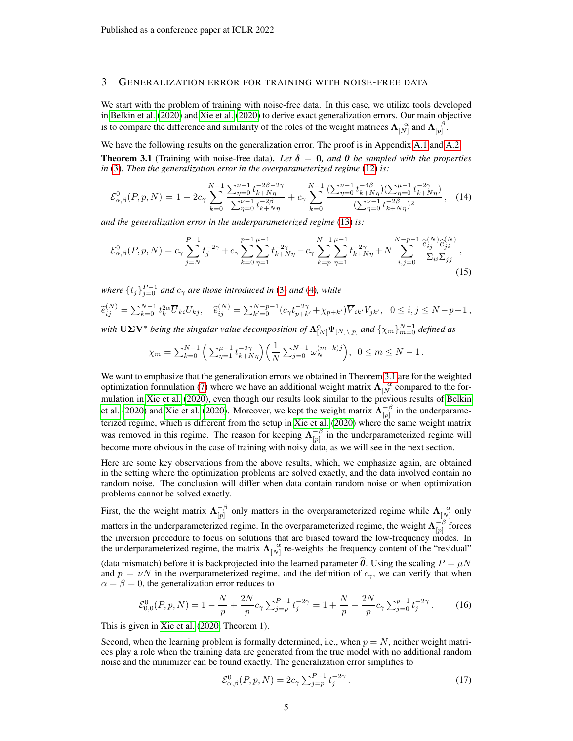## <span id="page-4-0"></span>3 GENERALIZATION ERROR FOR TRAINING WITH NOISE-FREE DATA

We start with the problem of training with noise-free data. In this case, we utilize tools developed in [Belkin et al.](#page-22-0) [\(2020\)](#page-22-0) and [Xie et al.](#page-24-1) [\(2020\)](#page-24-1) to derive exact generalization errors. Our main objective is to compare the difference and similarity of the roles of the weight matrices  $\Lambda_{[N]}^{-\alpha}$  and  $\Lambda_{[p]}^{-\beta}$  $\frac{-\rho}{|p|}.$ 

<span id="page-4-1"></span>We have the following results on the generalization error. The proof is in Appendix [A.1](#page-9-0) and [A.2.](#page-13-0) **Theorem 3.1** (Training with noise-free data). Let  $\delta = 0$ , and  $\theta$  be sampled with the properties *in* [\(3\)](#page-1-0)*. Then the generalization error in the overparameterized regime* [\(12\)](#page-3-0) *is:*

$$
\mathcal{E}_{\alpha,\beta}^{0}(P,p,N) = 1 - 2c_{\gamma} \sum_{k=0}^{N-1} \frac{\sum_{\eta=0}^{\nu-1} t_{k+N\eta}^{-2\beta-2\gamma}}{\sum_{\eta=0}^{\nu-1} t_{k+N\eta}^{-2\beta}} + c_{\gamma} \sum_{k=0}^{N-1} \frac{(\sum_{\eta=0}^{\nu-1} t_{k+N\eta}^{-4\beta})(\sum_{\eta=0}^{\mu-1} t_{k+N\eta}^{-2\gamma})}{(\sum_{\eta=0}^{\nu-1} t_{k+N\eta}^{-2\beta})^{2}},
$$
 (14)

*and the generalization error in the underparameterized regime* [\(13\)](#page-3-1) *is:*

$$
\mathcal{E}_{\alpha,\beta}^{0}(P,p,N) = c_{\gamma} \sum_{j=N}^{P-1} t_{j}^{-2\gamma} + c_{\gamma} \sum_{k=0}^{p-1} \sum_{\eta=1}^{\mu-1} t_{k+N\eta}^{-2\gamma} - c_{\gamma} \sum_{k=p}^{N-1} \sum_{\eta=1}^{\mu-1} t_{k+N\eta}^{-2\gamma} + N \sum_{i,j=0}^{N-p-1} \frac{\tilde{e}_{ij}^{(N)} \hat{e}_{ji}^{(N)}}{\Sigma_{ii} \Sigma_{jj}},
$$
\n(15)

*where*  $\{t_j\}_{j=0}^{P-1}$  *and*  $c_\gamma$  *are those introduced in* [\(3\)](#page-1-0) *and* [\(4\)](#page-1-3)*, while* 

$$
\tilde{e}_{ij}^{(N)} = \sum_{k=0}^{N-1} t_k^{2\alpha} \overline{U}_{ki} U_{kj}, \quad \hat{e}_{ij}^{(N)} = \sum_{k'=0}^{N-p-1} (c_{\gamma} t_{p+k'}^{-2\gamma} + \chi_{p+k'}) \overline{V}_{ik'} V_{jk'}, \quad 0 \le i, j \le N-p-1,
$$

with  $U\Sigma V^*$  *being the singular value decomposition of*  $\Lambda_{[N]}^{\alpha} \Psi_{[N]\setminus [p]}$  *and*  $\{\chi_m\}_{m=0}^{N-1}$  *defined as* 

<span id="page-4-4"></span>
$$
\chi_m = \sum_{k=0}^{N-1} \left( \sum_{\eta=1}^{\mu-1} t_{k+N\eta}^{-2\gamma} \right) \left( \frac{1}{N} \sum_{j=0}^{N-1} \omega_N^{(m-k)j} \right), \ 0 \le m \le N-1.
$$

We want to emphasize that the generalization errors we obtained in Theorem [3.1](#page-4-1) are for the weighted optimization formulation [\(7\)](#page-1-2) where we have an additional weight matrix  $\Lambda_{[N]}^{-\alpha}$  compared to the formulation in [Xie et al.](#page-24-1) [\(2020\)](#page-24-1), even though our results look similar to the previous results of [Belkin](#page-22-0) [et al.](#page-22-0) [\(2020\)](#page-24-1) and [Xie et al.](#page-24-1) (2020). Moreover, we kept the weight matrix  $\Lambda_{\text{in}}^{-\beta}$  $\begin{bmatrix} -\rho \\ p \end{bmatrix}$  in the underparameterized regime, which is different from the setup in [Xie et al.](#page-24-1) [\(2020\)](#page-24-1) where the same weight matrix was removed in this regime. The reason for keeping  $\Lambda_{[n]}^{-\beta}$  $\begin{bmatrix} -\beta \\ p \end{bmatrix}$  in the underparameterized regime will become more obvious in the case of training with noisy data, as we will see in the next section.

Here are some key observations from the above results, which, we emphasize again, are obtained in the setting where the optimization problems are solved exactly, and the data involved contain no random noise. The conclusion will differ when data contain random noise or when optimization problems cannot be solved exactly.

First, the the weight matrix  $\Lambda_{[n]}^{-\beta}$  $\bigcap_{p=1}^{\infty}$  only matters in the overparameterized regime while  $\Lambda_{[N]}^{-\alpha}$  only matters in the underparameterized regime. In the overparameterized regime, the weight  $\Lambda_{\text{in}}^{-\beta}$  $\begin{bmatrix} -\rho \\ p \end{bmatrix}$  forces the inversion procedure to focus on solutions that are biased toward the low-frequency modes. In the underparameterized regime, the matrix  $\Lambda_{[N]}^{-\alpha}$  re-weights the frequency content of the "residual"

(data mismatch) before it is backprojected into the learned parameter  $\hat{\theta}$ . Using the scaling  $P = \mu N$ and  $p = vN$  in the overparameterized regime, and the definition of  $c<sub>y</sub>$ , we can verify that when  $\alpha = \beta = 0$ , the generalization error reduces to

$$
\mathcal{E}_{0,0}^0(P,p,N) = 1 - \frac{N}{p} + \frac{2N}{p} c_\gamma \sum_{j=p}^{P-1} t_j^{-2\gamma} = 1 + \frac{N}{p} - \frac{2N}{p} c_\gamma \sum_{j=0}^{p-1} t_j^{-2\gamma}.
$$
 (16)

This is given in [Xie et al.](#page-24-1) [\(2020,](#page-24-1) Theorem 1).

Second, when the learning problem is formally determined, i.e., when  $p = N$ , neither weight matrices play a role when the training data are generated from the true model with no additional random noise and the minimizer can be found exactly. The generalization error simplifies to

<span id="page-4-3"></span><span id="page-4-2"></span>
$$
\mathcal{E}^{0}_{\alpha,\beta}(P,p,N) = 2c_{\gamma} \sum_{j=p}^{P-1} t_{j}^{-2\gamma}.
$$
 (17)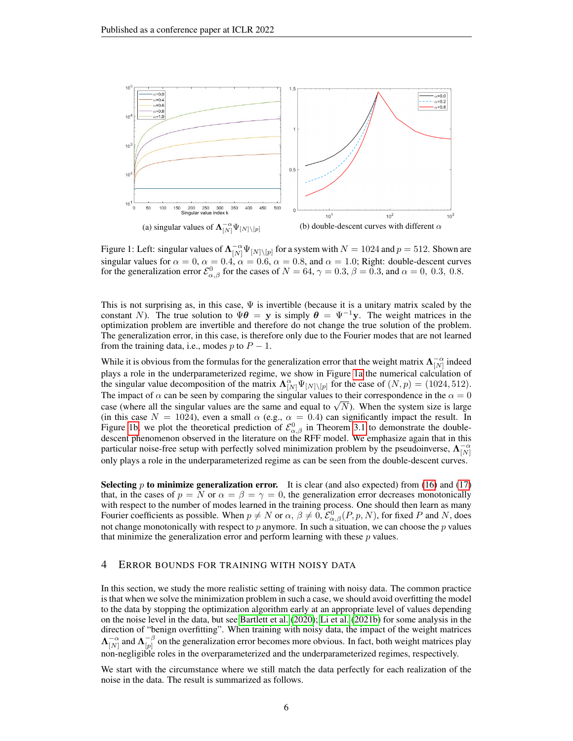<span id="page-5-1"></span>

<span id="page-5-2"></span>Figure 1: Left: singular values of  $\Lambda_{[N]}^{-\alpha} \Psi_{[N]\setminus [p]}$  for a system with  $N = 1024$  and  $p = 512$ . Shown are singular values for  $\alpha = 0$ ,  $\alpha = 0.4$ ,  $\alpha = 0.6$ ,  $\alpha = 0.8$ , and  $\alpha = 1.0$ ; Right: double-descent curves for the generalization error  $\mathcal{E}^0_{\alpha,\beta}$  for the cases of  $N = 64$ ,  $\gamma = 0.3$ ,  $\beta = 0.3$ , and  $\alpha = 0$ , 0.3, 0.8.

This is not surprising as, in this case,  $\Psi$  is invertible (because it is a unitary matrix scaled by the constant N). The true solution to  $\Psi \theta = y$  is simply  $\theta = \Psi^{-1}y$ . The weight matrices in the optimization problem are invertible and therefore do not change the true solution of the problem. The generalization error, in this case, is therefore only due to the Fourier modes that are not learned from the training data, i.e., modes p to  $P - 1$ .

While it is obvious from the formulas for the generalization error that the weight matrix  $\Lambda_{[N]}^{-\alpha}$  indeed plays a role in the underparameterized regime, we show in Figure [1a](#page-5-1) the numerical calculation of the singular value decomposition of the matrix  $\Lambda_{[N]}^{\alpha} \Psi_{[N]\setminus [p]}$  for the case of  $(N, p) = (1024, 512)$ . The impact of  $\alpha$  can be seen by comparing the singular values to their correspondence in the  $\alpha = 0$ The impact of  $\alpha$  can be seen by comparing the singular values to their correspondence in the  $\alpha = 0$  case (where all the singular values are the same and equal to  $\sqrt{N}$ ). When the system size is large (in this case  $N = 1024$ ), even a small  $\alpha$  (e.g.,  $\alpha = 0.4$ ) can significantly impact the result. In Figure [1b,](#page-5-2) we plot the theoretical prediction of  $\mathcal{E}^0_{\alpha,\beta}$  in Theorem [3.1](#page-4-1) to demonstrate the doubledescent phenomenon observed in the literature on the RFF model. We emphasize again that in this particular noise-free setup with perfectly solved minimization problem by the pseudoinverse,  $\Lambda_{[N]}^{-\alpha}$ only plays a role in the underparameterized regime as can be seen from the double-descent curves.

**Selecting p to minimize generalization error.** It is clear (and also expected) from [\(16\)](#page-4-2) and [\(17\)](#page-4-3) that, in the cases of  $p = N$  or  $\alpha = \beta = \gamma = 0$ , the generalization error decreases monotonically with respect to the number of modes learned in the training process. One should then learn as many Fourier coefficients as possible. When  $p \neq N$  or  $\alpha, \beta \neq 0$ ,  $\mathcal{E}^0_{\alpha,\beta}(P,p,N)$ , for fixed P and N, does not change monotonically with respect to  $p$  anymore. In such a situation, we can choose the  $p$  values that minimize the generalization error and perform learning with these  $p$  values.

#### <span id="page-5-0"></span>4 ERROR BOUNDS FOR TRAINING WITH NOISY DATA

In this section, we study the more realistic setting of training with noisy data. The common practice is that when we solve the minimization problem in such a case, we should avoid overfitting the model to the data by stopping the optimization algorithm early at an appropriate level of values depending on the noise level in the data, but see [Bartlett et al.](#page-22-2) [\(2020\)](#page-22-2); [Li et al.](#page-23-10) [\(2021b\)](#page-23-10) for some analysis in the direction of "benign overfitting". When training with noisy data, the impact of the weight matrices  $\boldsymbol{\Lambda}_{[N]}^{-\alpha}$  and  $\boldsymbol{\Lambda}_{[p]}^{-\beta}$  $\big[ \begin{array}{c} -\rho \\ \hline p \end{array} \big]$  on the generalization error becomes more obvious. In fact, both weight matrices play non-negligible roles in the overparameterized and the underparameterized regimes, respectively.

<span id="page-5-3"></span>We start with the circumstance where we still match the data perfectly for each realization of the noise in the data. The result is summarized as follows.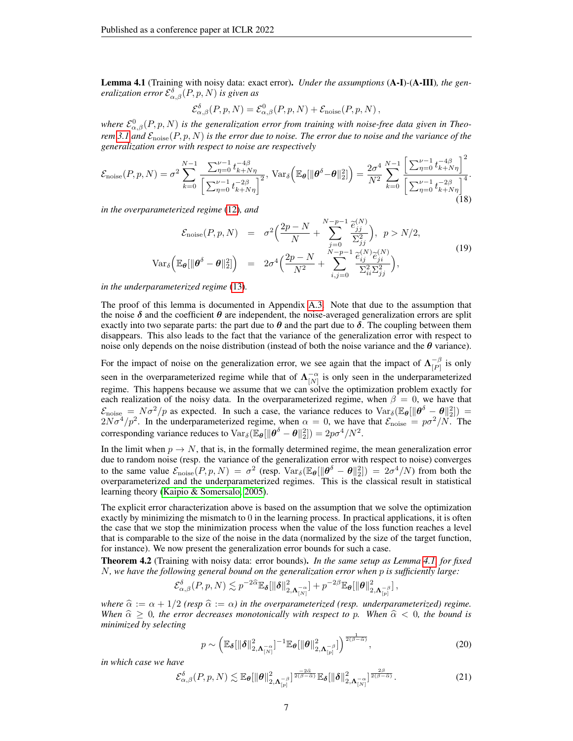Lemma 4.1 (Training with noisy data: exact error). *Under the assumptions* (A-I)*-*(A-III)*, the generalization error*  $\mathcal{E}_{\alpha,\beta}^{\delta}(P,p,N)$  *is given as* 

<span id="page-6-3"></span>
$$
\mathcal{E}_{\alpha,\beta}^{\delta}(P,p,N) = \mathcal{E}_{\alpha,\beta}^{0}(P,p,N) + \mathcal{E}_{\text{noise}}(P,p,N),
$$

where  $\mathcal{E}^0_{\alpha,\beta}(P,p,N)$  is the generalization error from training with noise-free data given in Theo*rem* [3.1](#page-4-1) and  $\mathcal{E}_{noise}(P, p, N)$  *is the error due to noise. The error due to noise and the variance of the generalization error with respect to noise are respectively*

$$
\mathcal{E}_{\text{noise}}(P, p, N) = \sigma^2 \sum_{k=0}^{N-1} \frac{\sum_{\eta=0}^{\nu-1} t_{k+N\eta}^{-4\beta}}{\left[\sum_{\eta=0}^{\nu-1} t_{k+N\eta}^{-2\beta}\right]^2}, \text{Var}_{\delta}\left(\mathbb{E}_{\theta}[\|\theta^{\delta} - \theta\|_2^2]\right) = \frac{2\sigma^4}{N^2} \sum_{k=0}^{N-1} \frac{\left[\sum_{\eta=0}^{\nu-1} t_{k+N\eta}^{-4\beta}\right]^2}{\left[\sum_{\eta=0}^{\nu-1} t_{k+N\eta}^{-2\beta}\right]^4}.
$$
\n(18)

*in the overparameterized regime* [\(12\)](#page-3-0)*, and*

<span id="page-6-4"></span>
$$
\mathcal{E}_{\text{noise}}(P, p, N) = \sigma^2 \Big( \frac{2p - N}{N} + \sum_{j=0}^{N-p-1} \frac{\tilde{e}_{jj}^{(N)}}{\Sigma_{jj}^2} \Big), \ p > N/2,
$$
\n
$$
\text{Var}_{\delta} \Big( \mathbb{E}_{\theta} [\|\theta^{\delta} - \theta\|_2^2] \Big) = 2\sigma^4 \Big( \frac{2p - N}{N^2} + \sum_{i,j=0}^{N-p-1} \frac{\tilde{e}_{ij}^{(N)} \tilde{e}_{ji}^{(N)}}{\Sigma_{ii}^2 \Sigma_{jj}^2} \Big), \tag{19}
$$

*in the underparameterized regime* [\(13\)](#page-3-1)*.*

The proof of this lemma is documented in Appendix [A.3.](#page-16-0) Note that due to the assumption that the noise  $\delta$  and the coefficient  $\theta$  are independent, the noise-averaged generalization errors are split exactly into two separate parts: the part due to  $\theta$  and the part due to  $\delta$ . The coupling between them disappears. This also leads to the fact that the variance of the generalization error with respect to noise only depends on the noise distribution (instead of both the noise variance and the  $\theta$  variance).

For the impact of noise on the generalization error, we see again that the impact of  $\Lambda_{\scriptscriptstyle[P]}^{-\beta}$  $\frac{-\rho}{[P]}$  is only seen in the overparameterized regime while that of  $\Lambda_{[N]}^{-\alpha}$  is only seen in the underparameterized regime. This happens because we assume that we can solve the optimization problem exactly for each realization of the noisy data. In the overparameterized regime, when  $\beta = 0$ , we have that  $\mathcal{E}_{\text{noise}} = N\sigma^2/p$  as expected. In such a case, the variance reduces to  $\text{Var}_{\delta}(\mathbb{E}_{\theta}[\|\theta^{\delta} - \theta\|_2^2]) =$  $2N\sigma^4/p^2$ . In the underparameterized regime, when  $\alpha = 0$ , we have that  $\mathcal{E}_{\text{noise}} = p\sigma^2/N$ . The corresponding variance reduces to  $\text{Var}_{\delta}(\mathbb{E}_{\theta}[\|\theta^{\delta} - \theta\|_2^2]) = 2p\sigma^4/N^2$ .

In the limit when  $p \to N$ , that is, in the formally determined regime, the mean generalization error due to random noise (resp. the variance of the generalization error with respect to noise) converges to the same value  $\mathcal{E}_{\text{noise}}(P, p, N) = \sigma^2$  (resp.  $\text{Var}_{\delta}(\mathbb{E}_{\theta}[\|\theta^{\delta} - \theta\|_2^2]) = 2\sigma^4/N$ ) from both the overparameterized and the underparameterized regimes. This is the classical result in statistical learning theory [\(Kaipio & Somersalo, 2005\)](#page-23-9).

The explicit error characterization above is based on the assumption that we solve the optimization exactly by minimizing the mismatch to 0 in the learning process. In practical applications, it is often the case that we stop the minimization process when the value of the loss function reaches a level that is comparable to the size of the noise in the data (normalized by the size of the target function, for instance). We now present the generalization error bounds for such a case.

<span id="page-6-2"></span>Theorem 4.2 (Training with noisy data: error bounds). *In the same setup as Lemma [4.1,](#page-5-3) for fixed* N*, we have the following general bound on the generalization error when* p *is sufficiently large:*

$$
\mathcal{E}_{\alpha,\beta}^{\delta}(P,p,N) \lesssim p^{-2\widehat{\alpha}} \mathbb{E}_{\pmb{\delta}} [\|\pmb{\delta}\|_{2,\pmb{\Lambda}_{[N]}^{-\alpha}}^2] + p^{-2\beta} \mathbb{E}_{\pmb{\theta}} [\|\pmb{\theta}\|_{2,\pmb{\Lambda}_{[p]}^{-\beta}}^2]\,,
$$

*where*  $\hat{\alpha} := \alpha + 1/2$  *(resp*  $\hat{\alpha} := \alpha$ *) in the overparameterized (resp. underparameterized) regime. When*  $\hat{\alpha} \geq 0$ , the error decreases monotonically with respect to p. When  $\hat{\alpha} < 0$ , the bound is *minimized by selecting*

<span id="page-6-0"></span>
$$
p \sim \left(\mathbb{E}_{\boldsymbol{\delta}}[\|\boldsymbol{\delta}\|_{2,\boldsymbol{\Lambda}_{[N]}^{-\alpha}}^2]^{-1} \mathbb{E}_{\boldsymbol{\theta}}[\|\boldsymbol{\theta}\|_{2,\boldsymbol{\Lambda}_{[p]}^{-\beta}}^2]\right)^{\frac{1}{2(\beta-\widehat{\alpha})}},
$$
\n(20)

*in which case we have*

<span id="page-6-1"></span>
$$
\mathcal{E}_{\alpha,\beta}^{\delta}(P,p,N) \lesssim \mathbb{E}_{\theta}[\|\theta\|_{2,\Lambda_{[p]}^{-\beta}}^{2}]^{\frac{-2\widehat{\alpha}}{2(\beta-\widehat{\alpha})}}\mathbb{E}_{\delta}[\|\delta\|_{2,\Lambda_{[N]}^{-\alpha}}^{2}]^{\frac{2\beta}{2(\beta-\widehat{\alpha})}}.
$$
\n(21)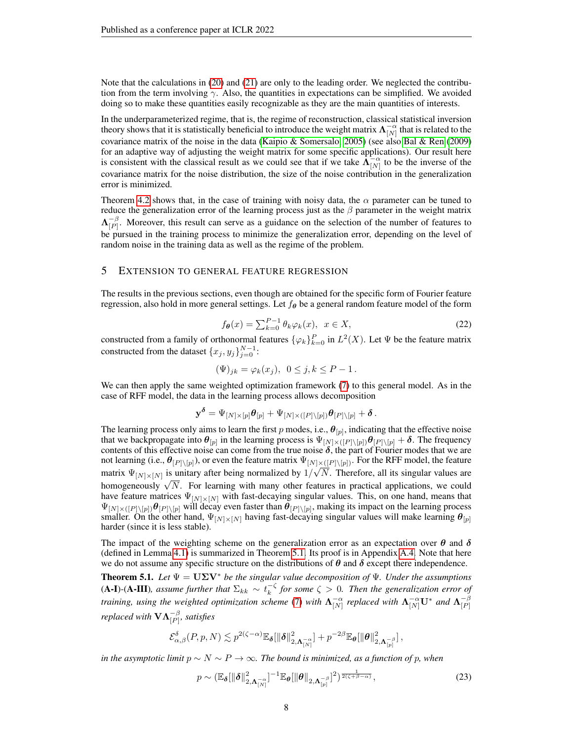Note that the calculations in [\(20\)](#page-6-0) and [\(21\)](#page-6-1) are only to the leading order. We neglected the contribution from the term involving  $\gamma$ . Also, the quantities in expectations can be simplified. We avoided doing so to make these quantities easily recognizable as they are the main quantities of interests.

In the underparameterized regime, that is, the regime of reconstruction, classical statistical inversion theory shows that it is statistically beneficial to introduce the weight matrix  $\Lambda_{[N]}^{-\alpha}$  that is related to the covariance matrix of the noise in the data [\(Kaipio & Somersalo, 2005\)](#page-23-9) (see also [Bal & Ren](#page-22-3) [\(2009\)](#page-22-3) for an adaptive way of adjusting the weight matrix for some specific applications). Our result here is consistent with the classical result as we could see that if we take  $\Lambda_{[N]}^{-\alpha}$  to be the inverse of the covariance matrix for the noise distribution, the size of the noise contribution in the generalization error is minimized.

Theorem [4.2](#page-6-2) shows that, in the case of training with noisy data, the  $\alpha$  parameter can be tuned to reduce the generalization error of the learning process just as the  $\beta$  parameter in the weight matrix  $\Lambda_{\scriptscriptstyle\rm [}}^{-\beta}$  $\begin{bmatrix} -p \\ p \end{bmatrix}$ . Moreover, this result can serve as a guidance on the selection of the number of features to be pursued in the training process to minimize the generalization error, depending on the level of random noise in the training data as well as the regime of the problem.

#### <span id="page-7-0"></span>5 EXTENSION TO GENERAL FEATURE REGRESSION

The results in the previous sections, even though are obtained for the specific form of Fourier feature regression, also hold in more general settings. Let  $f_{\theta}$  be a general random feature model of the form

$$
f_{\theta}(x) = \sum_{k=0}^{P-1} \theta_k \varphi_k(x), \quad x \in X,
$$
\n(22)

constructed from a family of orthonormal features  $\{\varphi_k\}_{k=0}^P$  in  $L^2(X)$ . Let  $\Psi$  be the feature matrix constructed from the dataset  $\{x_j, y_j\}_{j=0}^{N-1}$ :

$$
(\Psi)_{jk} = \varphi_k(x_j), \ \ 0 \le j, k \le P - 1.
$$

We can then apply the same weighted optimization framework [\(7\)](#page-1-2) to this general model. As in the case of RFF model, the data in the learning process allows decomposition

$$
\mathbf{y}^{\boldsymbol{\delta}} = \Psi_{[N] \times [p]} \boldsymbol{\theta}_{[p]} + \Psi_{[N] \times ([P] \setminus [p])} \boldsymbol{\theta}_{[P] \setminus [p]} + \boldsymbol{\delta} \, .
$$

The learning process only aims to learn the first p modes, i.e.,  $\theta_{[p]}$ , indicating that the effective noise that we backpropagate into  $\theta_{[p]}$  in the learning process is  $\Psi_{[N] \times ([P] \setminus [p])} \theta_{[P] \setminus [p]} + \delta$ . The frequency contents of this effective noise can come from the true noise  $\delta$ , the part of Fourier modes that we are not learning (i.e.,  $\theta_{[P]\setminus[p]}$ ), or even the feature matrix  $\Psi_{[N] \times ([P] \setminus [p])}$ . For the RFF model, the feature matrix  $\Psi_{[N] \times [N]}$  is unitary after being normalized by  $1/\sqrt{N}$ . Therefore, all its singular values are homogeneously  $\sqrt{N}$ . For learning with many other features in practical applications, we could have feature matrices  $\Psi_{[N] \times [N]}$  with fast-decaying singular values. This, on one hand, means that  $\Psi_{[N] \times ([P] \setminus [p])} \theta_{[P] \setminus [p]}$  will decay even faster than  $\theta_{[P] \setminus [p]}$ , making its impact on the learning process smaller. On the other hand,  $\Psi_{[N] \times [N]}$  having fast-decaying singular values will make learning  $\theta_{[p]}$ harder (since it is less stable).

The impact of the weighting scheme on the generalization error as an expectation over  $\theta$  and  $\delta$ (defined in Lemma [4.1\)](#page-5-3) is summarized in Theorem [5.1.](#page-7-1) Its proof is in Appendix [A.4.](#page-19-0) Note that here we do not assume any specific structure on the distributions of  $\theta$  and  $\delta$  except there independence.

<span id="page-7-1"></span>**Theorem 5.1.** *Let*  $\Psi = U\Sigma V^*$  *be the singular value decomposition of*  $\Psi$ *. Under the assumptions*  $(A-I)$ - $(A-III)$ *, assume further that*  $\Sigma_{kk} \sim t_k^{-\zeta}$  for some  $\zeta > 0$ *. Then the generalization error of training, using the weighted optimization scheme [\(7\)](#page-1-2) with*  $\Lambda_{[N]}^{-\alpha}$  replaced with  $\Lambda_{[N]}^{-\alpha}U^*$  and  $\Lambda_{[P]}^{-\beta}$  $[P]$ *replaced with*  $\mathbf{VA}^{-\beta}_{[P]},$  *satisfies* 

$$
\mathcal{E}_{\alpha,\beta}^{\delta}(P,p,N) \lesssim p^{2(\zeta - \alpha)} \mathbb{E}_{\pmb{\delta}} [\|\pmb{\delta}\|_{2,\pmb{\Lambda}_{[N]}^{-\alpha}}^2] + p^{-2\beta} \mathbb{E}_{\pmb{\theta}} [\|\pmb{\theta}\|_{2,\pmb{\Lambda}_{[p]}^{-\beta}}^2]\,,
$$

*in the asymptotic limit*  $p \sim N \sim P \rightarrow \infty$ *. The bound is minimized, as a function of p, when* 

<span id="page-7-2"></span>
$$
p \sim \left(\mathbb{E}_{\boldsymbol{\delta}}\left[\left\|\boldsymbol{\delta}\right\|_{2,\boldsymbol{\Lambda}_{[N]}^{-\alpha}}^2\right]^{-1}\mathbb{E}_{\boldsymbol{\theta}}\left[\left\|\boldsymbol{\theta}\right\|_{2,\boldsymbol{\Lambda}_{[p]}^{-\beta}}\right]^2\right)^{\frac{1}{2(\zeta+\beta-\alpha)}},\tag{23}
$$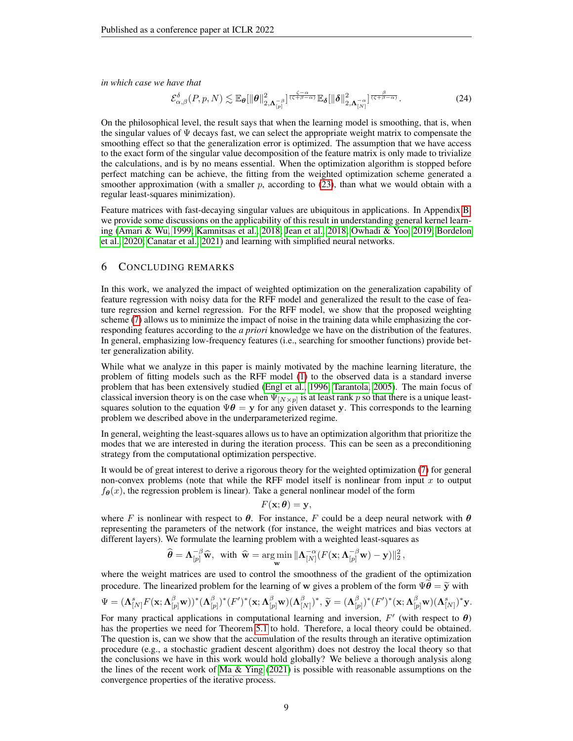*in which case we have that*

$$
\mathcal{E}_{\alpha,\beta}^{\delta}(P,p,N) \lesssim \mathbb{E}_{\boldsymbol{\theta}}[\|\boldsymbol{\theta}\|_{2,\boldsymbol{\Lambda}_{[p]}^{-\beta}}^{2}]^{\frac{\zeta-\alpha}{(\zeta+\beta-\alpha)}}\mathbb{E}_{\boldsymbol{\delta}}[\|\boldsymbol{\delta}\|_{2,\boldsymbol{\Lambda}_{[N]}^{-\alpha}}^{2}]^{\frac{\beta}{(\zeta+\beta-\alpha)}}.
$$
\n(24)

On the philosophical level, the result says that when the learning model is smoothing, that is, when the singular values of  $\Psi$  decays fast, we can select the appropriate weight matrix to compensate the smoothing effect so that the generalization error is optimized. The assumption that we have access to the exact form of the singular value decomposition of the feature matrix is only made to trivialize the calculations, and is by no means essential. When the optimization algorithm is stopped before perfect matching can be achieve, the fitting from the weighted optimization scheme generated a smoother approximation (with a smaller  $p$ , according to [\(23\)](#page-7-2), than what we would obtain with a regular least-squares minimization).

Feature matrices with fast-decaying singular values are ubiquitous in applications. In Appendix [B,](#page-19-1) we provide some discussions on the applicability of this result in understanding general kernel learning [\(Amari & Wu, 1999;](#page-22-4) [Kamnitsas et al., 2018;](#page-23-11) [Jean et al., 2018;](#page-23-12) [Owhadi & Yoo, 2019;](#page-24-10) [Bordelon](#page-22-5) [et al., 2020;](#page-22-5) [Canatar et al., 2021\)](#page-23-13) and learning with simplified neural networks.

## 6 CONCLUDING REMARKS

In this work, we analyzed the impact of weighted optimization on the generalization capability of feature regression with noisy data for the RFF model and generalized the result to the case of feature regression and kernel regression. For the RFF model, we show that the proposed weighting scheme [\(7\)](#page-1-2) allows us to minimize the impact of noise in the training data while emphasizing the corresponding features according to the *a priori* knowledge we have on the distribution of the features. In general, emphasizing low-frequency features (i.e., searching for smoother functions) provide better generalization ability.

While what we analyze in this paper is mainly motivated by the machine learning literature, the problem of fitting models such as the RFF model [\(1\)](#page-0-0) to the observed data is a standard inverse problem that has been extensively studied [\(Engl et al., 1996;](#page-23-5) [Tarantola, 2005\)](#page-24-7). The main focus of classical inversion theory is on the case when  $\Psi_{[N \times p]}$  is at least rank p so that there is a unique leastsquares solution to the equation  $\Psi \theta = y$  for any given dataset y. This corresponds to the learning problem we described above in the underparameterized regime.

In general, weighting the least-squares allows us to have an optimization algorithm that prioritize the modes that we are interested in during the iteration process. This can be seen as a preconditioning strategy from the computational optimization perspective.

It would be of great interest to derive a rigorous theory for the weighted optimization [\(7\)](#page-1-2) for general non-convex problems (note that while the RFF model itself is nonlinear from input  $x$  to output  $f_{\theta}(x)$ , the regression problem is linear). Take a general nonlinear model of the form

$$
F(\mathbf{x};\boldsymbol{\theta})=\mathbf{y},
$$

where F is nonlinear with respect to  $\theta$ . For instance, F could be a deep neural network with  $\theta$ representing the parameters of the network (for instance, the weight matrices and bias vectors at different layers). We formulate the learning problem with a weighted least-squares as

$$
\widehat{\boldsymbol{\theta}} = \boldsymbol{\Lambda}_{[p]}^{-\beta} \widehat{\mathbf{w}}, \ \ \text{with} \ \ \widehat{\mathbf{w}} = \argmin_{\mathbf{w}} \|\boldsymbol{\Lambda}_{[N]}^{-\alpha}(F(\mathbf{x};\boldsymbol{\Lambda}_{[p]}^{-\beta}\mathbf{w}) - \mathbf{y})\|_2^2 \,,
$$

where the weight matrices are used to control the smoothness of the gradient of the optimization procedure. The linearized problem for the learning of w gives a problem of the form  $\Psi\theta = \tilde{y}$  with

$$
\Psi=(\mathbf{\Lambda}^s_{[N]}F(\mathbf{x};\mathbf{\Lambda}^{\beta}_{[p]}\mathbf{w}))^*(\mathbf{\Lambda}^{\beta}_{[p]})^*(F')^*(\mathbf{x};\mathbf{\Lambda}^{\beta}_{[p]}\mathbf{w})(\mathbf{\Lambda}^{\beta}_{[N]})^*,\,\widetilde{\mathbf{y}}=(\mathbf{\Lambda}^{\beta}_{[p]})^*(F')^*(\mathbf{x};\mathbf{\Lambda}^{\beta}_{[p]}\mathbf{w})(\mathbf{\Lambda}^s_{[N]})^*\mathbf{y}.
$$

For many practical applications in computational learning and inversion,  $F'$  (with respect to  $\theta$ ) has the properties we need for Theorem [5.1](#page-7-1) to hold. Therefore, a local theory could be obtained. The question is, can we show that the accumulation of the results through an iterative optimization procedure (e.g., a stochastic gradient descent algorithm) does not destroy the local theory so that the conclusions we have in this work would hold globally? We believe a thorough analysis along the lines of the recent work of Ma  $\&$  Ying [\(2021\)](#page-24-11) is possible with reasonable assumptions on the convergence properties of the iterative process.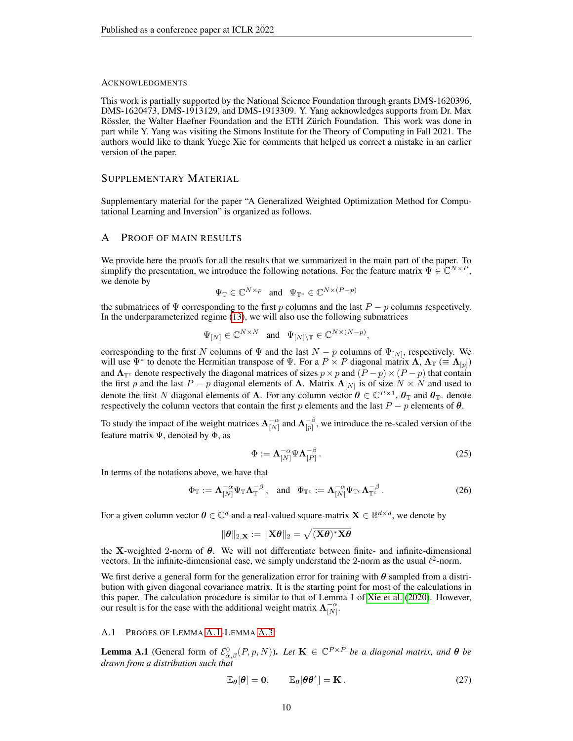#### ACKNOWLEDGMENTS

This work is partially supported by the National Science Foundation through grants DMS-1620396, DMS-1620473, DMS-1913129, and DMS-1913309. Y. Yang acknowledges supports from Dr. Max Rössler, the Walter Haefner Foundation and the ETH Zürich Foundation. This work was done in part while Y. Yang was visiting the Simons Institute for the Theory of Computing in Fall 2021. The authors would like to thank Yuege Xie for comments that helped us correct a mistake in an earlier version of the paper.

## SUPPLEMENTARY MATERIAL

Supplementary material for the paper "A Generalized Weighted Optimization Method for Computational Learning and Inversion" is organized as follows.

## A PROOF OF MAIN RESULTS

We provide here the proofs for all the results that we summarized in the main part of the paper. To simplify the presentation, we introduce the following notations. For the feature matrix  $\Psi \in \mathbb{C}^{N \times P}$ , we denote by

$$
\Psi_{\mathbb{T}} \in \mathbb{C}^{N \times p} \quad \text{and} \quad \Psi_{\mathbb{T}^c} \in \mathbb{C}^{N \times (P-p)}
$$

the submatrices of  $\Psi$  corresponding to the first p columns and the last  $P - p$  columns respectively. In the underparameterized regime [\(13\)](#page-3-1), we will also use the following submatrices

$$
\Psi_{[N]} \in \mathbb{C}^{N \times N}
$$
 and  $\Psi_{[N] \setminus \mathbb{T}} \in \mathbb{C}^{N \times (N-p)}$ ,

corresponding to the first N columns of  $\Psi$  and the last  $N - p$  columns of  $\Psi_{[N]}$ , respectively. We will use  $\Psi^*$  to denote the Hermitian transpose of  $\Psi$ . For a  $P \times P$  diagonal matrix  $\Lambda$ ,  $\Lambda_{\mathbb{T}} \ (equiv \Lambda_{[p]})$ and  $\Lambda_{\mathbb{T}^c}$  denote respectively the diagonal matrices of sizes  $p \times p$  and  $(P - p) \times (P - p)$  that contain the first p and the last  $P - p$  diagonal elements of  $\Lambda$ . Matrix  $\Lambda_{[N]}$  is of size  $N \times N$  and used to denote the first N diagonal elements of  $\Lambda$ . For any column vector  $\theta \in \mathbb{C}^{P\times 1}$ ,  $\theta_{\mathbb{T}}$  and  $\theta_{\mathbb{T}^c}$  denote respectively the column vectors that contain the first p elements and the last  $P - p$  elements of  $\theta$ .

To study the impact of the weight matrices  $\Lambda_{[N]}^{-\alpha}$  and  $\Lambda_{[p]}^{-\beta}$  $\begin{bmatrix} -\beta \\ p \end{bmatrix}$ , we introduce the re-scaled version of the feature matrix  $\Psi$ , denoted by  $\Phi$ , as

<span id="page-9-2"></span>
$$
\Phi := \Lambda_{[N]}^{-\alpha} \Psi \Lambda_{[P]}^{-\beta} \,. \tag{25}
$$

In terms of the notations above, we have that

$$
\Phi_{\mathbb{T}} := \mathbf{\Lambda}_{[N]}^{-\alpha} \Psi_{\mathbb{T}} \mathbf{\Lambda}_{\mathbb{T}}^{-\beta} , \quad \text{and} \quad \Phi_{\mathbb{T}^c} := \mathbf{\Lambda}_{[N]}^{-\alpha} \Psi_{\mathbb{T}^c} \mathbf{\Lambda}_{\mathbb{T}^c}^{-\beta} . \tag{26}
$$

For a given column vector  $\theta \in \mathbb{C}^d$  and a real-valued square-matrix  $\mathbf{X} \in \mathbb{R}^{d \times d}$ , we denote by

$$
\|\boldsymbol{\theta}\|_{2,\mathbf{X}}:=\|\mathbf{X}\boldsymbol{\theta}\|_2=\sqrt{(\mathbf{X}\boldsymbol{\theta})^*\mathbf{X}\boldsymbol{\theta}}
$$

the X-weighted 2-norm of  $\theta$ . We will not differentiate between finite- and infinite-dimensional vectors. In the infinite-dimensional case, we simply understand the 2-norm as the usual  $\ell^2$ -norm.

We first derive a general form for the generalization error for training with  $\theta$  sampled from a distribution with given diagonal covariance matrix. It is the starting point for most of the calculations in this paper. The calculation procedure is similar to that of Lemma 1 of [Xie et al.](#page-24-1) [\(2020\)](#page-24-1). However, our result is for the case with the additional weight matrix  $\Lambda_{[N]}^{-\alpha}$ .

#### <span id="page-9-0"></span>A.1 PROOFS OF LEMMA [A.1-](#page-9-1)LEMMA [A.3](#page-12-0)

<span id="page-9-1"></span>**Lemma A.1** (General form of  $\mathcal{E}_{\alpha,\beta}^{0}(P,p,N)$ ). Let  $\mathbf{K} \in \mathbb{C}^{P \times P}$  be a diagonal matrix, and  $\boldsymbol{\theta}$  be *drawn from a distribution such that*

<span id="page-9-3"></span>
$$
\mathbb{E}_{\theta}[\theta] = \mathbf{0}, \qquad \mathbb{E}_{\theta}[\theta \theta^*] = \mathbf{K}.
$$
 (27)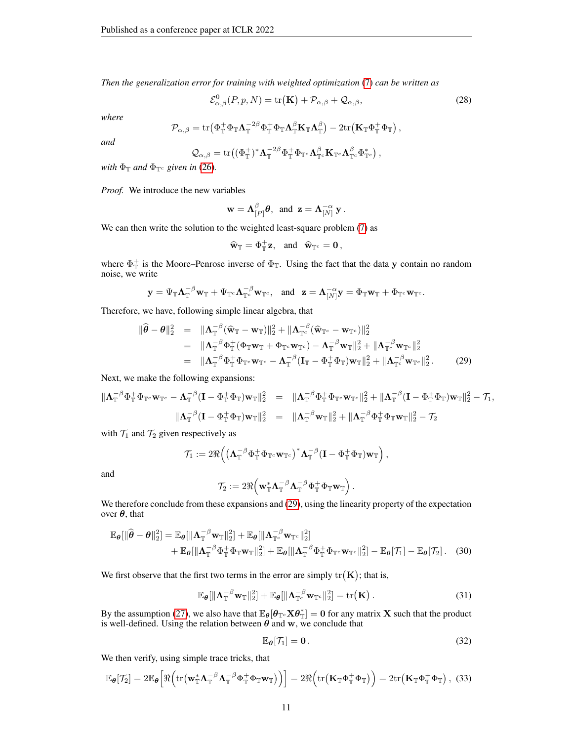*Then the generalization error for training with weighted optimization* [\(7\)](#page-1-2) *can be written as*

<span id="page-10-5"></span>
$$
\mathcal{E}^{0}_{\alpha,\beta}(P,p,N) = \text{tr}(\mathbf{K}) + \mathcal{P}_{\alpha,\beta} + \mathcal{Q}_{\alpha,\beta},
$$
\n(28)

*where*

$$
\mathcal{P}_{\alpha,\beta} = \text{tr} \left( \Phi_{\mathbb{T}}^+ \Phi_{\mathbb{T}} \Lambda_{\mathbb{T}}^{-2\beta} \Phi_{\mathbb{T}}^+ \Phi_{\mathbb{T}} \Lambda_{\mathbb{T}}^{\beta} \mathbf{K}_{\mathbb{T}} \Lambda_{\mathbb{T}}^{\beta} \right) - 2 \text{tr} \left( \mathbf{K}_{\mathbb{T}} \Phi_{\mathbb{T}}^+ \Phi_{\mathbb{T}} \right),
$$

*and*

$$
\mathcal{Q}_{\alpha,\beta}=\mathrm{tr}\big((\Phi_{\mathbb{T}}^+)^*\mathbf{\Lambda}_{\mathbb{T}}^{-2\beta}\Phi_{\mathbb{T}}^+\Phi_{\mathbb{T}^c}\mathbf{\Lambda}_{\mathbb{T}^c}^{\beta}\mathbf{K}_{\mathbb{T}^c}\mathbf{\Lambda}_{\mathbb{T}^c}^{\beta}\Phi_{\mathbb{T}^c}^*\big)\,,
$$

*with*  $\Phi_{\mathbb{T}}$  *and*  $\Phi_{\mathbb{T}^c}$  *given in* [\(26\)](#page-9-2)*.* 

*Proof.* We introduce the new variables

$$
\mathbf{w} = \mathbf{\Lambda}_{[P]}^{\beta} \boldsymbol{\theta}, \ \text{ and } \ \mathbf{z} = \mathbf{\Lambda}_{[N]}^{-\alpha} \mathbf{y} \, .
$$

We can then write the solution to the weighted least-square problem  $(7)$  as

$$
\widehat{\mathbf{w}}_{\mathbb{T}} = \Phi_{\mathbb{T}}^+ \mathbf{z}
$$
, and  $\widehat{\mathbf{w}}_{\mathbb{T}^c} = \mathbf{0}$ ,

where  $\Phi_{\mathbb{T}}^+$  is the Moore–Penrose inverse of  $\Phi_{\mathbb{T}}$ . Using the fact that the data y contain no random noise, we write

$$
\mathbf{y} = \Psi_{\mathbb{T}} \mathbf{\Lambda}_{\mathbb{T}}^{-\beta} \mathbf{w}_{\mathbb{T}} + \Psi_{\mathbb{T}^c} \mathbf{\Lambda}_{\mathbb{T}^c}^{-\beta} \mathbf{w}_{\mathbb{T}^c}, \text{ and } \mathbf{z} = \mathbf{\Lambda}_{[N]}^{-\alpha} \mathbf{y} = \Phi_{\mathbb{T}} \mathbf{w}_{\mathbb{T}} + \Phi_{\mathbb{T}^c} \mathbf{w}_{\mathbb{T}^c}.
$$

Therefore, we have, following simple linear algebra, that

<span id="page-10-0"></span>
$$
\begin{split}\n\|\widehat{\boldsymbol{\theta}} - \boldsymbol{\theta}\|_{2}^{2} &= \|\boldsymbol{\Lambda}_{\mathbb{T}}^{-\beta}(\widehat{\mathbf{w}}_{\mathbb{T}} - \mathbf{w}_{\mathbb{T}})\|_{2}^{2} + \|\boldsymbol{\Lambda}_{\mathbb{T}^{c}}^{-\beta}(\widehat{\mathbf{w}}_{\mathbb{T}^{c}} - \mathbf{w}_{\mathbb{T}^{c}})\|_{2}^{2} \\
&= \|\boldsymbol{\Lambda}_{\mathbb{T}}^{-\beta}\boldsymbol{\Phi}_{\mathbb{T}}^{+}(\boldsymbol{\Phi}_{\mathbb{T}}\mathbf{w}_{\mathbb{T}} + \boldsymbol{\Phi}_{\mathbb{T}^{c}}\mathbf{w}_{\mathbb{T}^{c}}) - \boldsymbol{\Lambda}_{\mathbb{T}}^{-\beta}\mathbf{w}_{\mathbb{T}}\|_{2}^{2} + \|\boldsymbol{\Lambda}_{\mathbb{T}^{c}}^{-\beta}\mathbf{w}_{\mathbb{T}^{c}}\|_{2}^{2} \\
&= \|\boldsymbol{\Lambda}_{\mathbb{T}}^{-\beta}\boldsymbol{\Phi}_{\mathbb{T}}^{+}\boldsymbol{\Phi}_{\mathbb{T}^{c}}\mathbf{w}_{\mathbb{T}^{c}} - \boldsymbol{\Lambda}_{\mathbb{T}}^{-\beta}(\mathbf{I}_{\mathbb{T}} - \boldsymbol{\Phi}_{\mathbb{T}}^{+}\boldsymbol{\Phi}_{\mathbb{T}})\mathbf{w}_{\mathbb{T}}\|_{2}^{2} + \|\boldsymbol{\Lambda}_{\mathbb{T}^{c}}^{-\beta}\mathbf{w}_{\mathbb{T}^{c}}\|_{2}^{2}.\n\end{split} \tag{29}
$$

Next, we make the following expansions:

$$
\begin{array}{rcl}\n\|\mathbf{\Lambda}_\mathbb{T}^{-\beta}\Phi_\mathbb{T}^+\Phi_{\mathbb{T}^c}\mathbf{w}_{\mathbb{T}^c}-\mathbf{\Lambda}_\mathbb{T}^{-\beta}(\mathbf{I}-\Phi_\mathbb{T}^+\Phi_\mathbb{T})\mathbf{w}_\mathbb{T}\|_2^2 &=& \|\mathbf{\Lambda}_\mathbb{T}^{-\beta}\Phi_\mathbb{T}^+\Phi_{\mathbb{T}^c}\mathbf{w}_{\mathbb{T}^c}\|_2^2 + \|\mathbf{\Lambda}_\mathbb{T}^{-\beta}(\mathbf{I}-\Phi_\mathbb{T}^+\Phi_\mathbb{T})\mathbf{w}_\mathbb{T}\|_2^2 - \mathcal{T}_1, \\
& & \|\mathbf{\Lambda}_\mathbb{T}^{-\beta}(\mathbf{I}-\Phi_\mathbb{T}^+\Phi_\mathbb{T})\mathbf{w}_\mathbb{T}\|_2^2 &=& \|\mathbf{\Lambda}_\mathbb{T}^{-\beta}\mathbf{w}_\mathbb{T}\|_2^2 + \|\mathbf{\Lambda}_\mathbb{T}^{-\beta}\Phi_\mathbb{T}^+\Phi_\mathbb{T}\mathbf{w}_\mathbb{T}\|_2^2 - \mathcal{T}_2\n\end{array}
$$

with  $\mathcal{T}_1$  and  $\mathcal{T}_2$  given respectively as

$$
\mathcal{T}_1:=2\Re\Big(\big(\mathbf{\Lambda}_\mathbb{T}^{-\beta}\Phi_\mathbb{T}^+\Phi_{\mathbb{T}^c}\mathbf{w}_{\mathbb{T}^c}\big)^*\mathbf{\Lambda}_\mathbb{T}^{-\beta}(\mathbf{I}-\Phi_\mathbb{T}^+\Phi_\mathbb{T})\mathbf{w}_\mathbb{T}\Big)\,,
$$

and

$$
\mathcal{T}_2:=2\Re\Big(\mathbf{w}_\mathbb{T}^*\boldsymbol{\Lambda}_\mathbb{T}^{-\beta}\boldsymbol{\Lambda}_\mathbb{T}^{-\beta}\Phi_\mathbb{T}^+\Phi_\mathbb{T}\mathbf{w}_\mathbb{T}\Big)\,.
$$

We therefore conclude from these expansions and [\(29\)](#page-10-0), using the linearity property of the expectation over  $\theta$ , that

$$
\mathbb{E}_{\theta}[\|\widehat{\boldsymbol{\theta}} - \boldsymbol{\theta}\|_{2}^{2}] = \mathbb{E}_{\theta}[\|\boldsymbol{\Lambda}_{\mathbb{T}}^{-\beta} \mathbf{w}_{\mathbb{T}}\|_{2}^{2}] + \mathbb{E}_{\theta}[\|\boldsymbol{\Lambda}_{\mathbb{T}^{c}}^{-\beta} \mathbf{w}_{\mathbb{T}^{c}}\|_{2}^{2}] + \mathbb{E}_{\theta}[\|\boldsymbol{\Lambda}_{\mathbb{T}}^{-\beta} \boldsymbol{\Phi}_{\mathbb{T}}^{+} \boldsymbol{\Phi}_{\mathbb{T}} \mathbf{w}_{\mathbb{T}}\|_{2}^{2}] + \mathbb{E}_{\theta}[\|\boldsymbol{\Lambda}_{\mathbb{T}}^{-\beta} \boldsymbol{\Phi}_{\mathbb{T}}^{+} \boldsymbol{\Phi}_{\mathbb{T}^{c}} \mathbf{w}_{\mathbb{T}^{c}}\|_{2}^{2}] - \mathbb{E}_{\theta}[\mathcal{T}_{1}] - \mathbb{E}_{\theta}[\mathcal{T}_{2}].
$$
 (30)

We first observe that the first two terms in the error are simply  $tr(K)$ ; that is,

$$
\mathbb{E}_{\boldsymbol{\theta}}[\|\boldsymbol{\Lambda}_{\mathbb{T}}^{-\beta}\mathbf{w}_{\mathbb{T}}\|_2^2] + \mathbb{E}_{\boldsymbol{\theta}}[\|\boldsymbol{\Lambda}_{\mathbb{T}^c}^{-\beta}\mathbf{w}_{\mathbb{T}^c}\|_2^2] = \text{tr}(\mathbf{K}). \qquad (31)
$$

By the assumption [\(27\)](#page-9-3), we also have that  $\mathbb{E}_{\theta}[\theta_{\mathbb{T}^c} \mathbf{X} \theta_{\mathbb{T}}^*]=0$  for any matrix **X** such that the product is well-defined. Using the relation between  $\theta$  and w, we conclude that

<span id="page-10-4"></span><span id="page-10-3"></span><span id="page-10-2"></span><span id="page-10-1"></span>
$$
\mathbb{E}_{\theta}[\mathcal{T}_1] = \mathbf{0} \,. \tag{32}
$$

We then verify, using simple trace tricks, that

$$
\mathbb{E}_{\theta}[\mathcal{T}_2] = 2\mathbb{E}_{\theta}\Big[\Re\Big(\mathrm{tr}\big(\mathbf{w}_{\mathbb{T}}^*\boldsymbol{\Lambda}_{\mathbb{T}}^{-\beta}\boldsymbol{\Lambda}_{\mathbb{T}}^{-\beta}\boldsymbol{\Phi}_{\mathbb{T}}^+\boldsymbol{\Phi}_{\mathbb{T}}\mathbf{w}_{\mathbb{T}}\big)\Big)\Big] = 2\Re\Big(\mathrm{tr}\big(\mathbf{K}_{\mathbb{T}}\boldsymbol{\Phi}_{\mathbb{T}}^+\boldsymbol{\Phi}_{\mathbb{T}}\big)\Big) = 2\mathrm{tr}\big(\mathbf{K}_{\mathbb{T}}\boldsymbol{\Phi}_{\mathbb{T}}^+\boldsymbol{\Phi}_{\mathbb{T}}\big)\,,\tag{33}
$$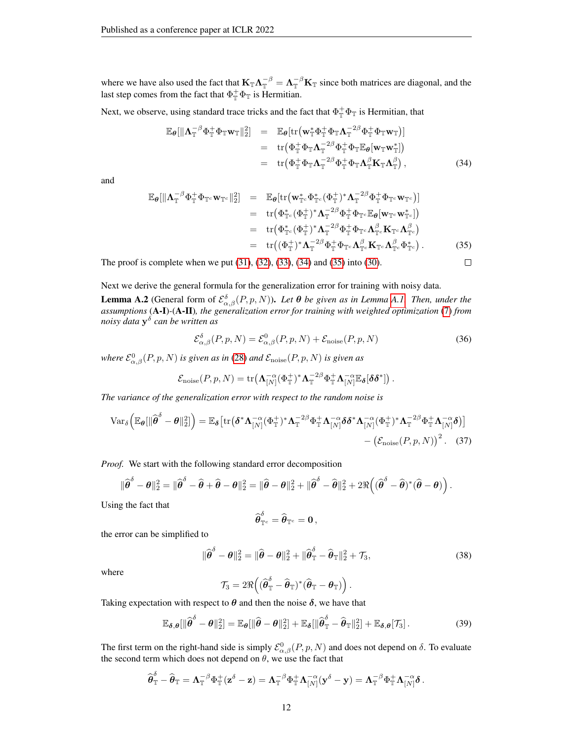where we have also used the fact that  $K_{\mathbb{T}} \Lambda_{\mathbb{T}}^{-\beta} = \Lambda_{\mathbb{T}}^{-\beta} K_{\mathbb{T}}$  since both matrices are diagonal, and the last step comes from the fact that  $\Phi_{\mathbb{T}}^+ \Phi_{\mathbb{T}}$  is Hermitian.

Next, we observe, using standard trace tricks and the fact that  $\Phi_{\mathbb{T}}^+ \Phi_{\mathbb{T}}$  is Hermitian, that

<span id="page-11-0"></span>
$$
\mathbb{E}_{\theta}[\|\mathbf{\Lambda}_{\mathbb{T}}^{-\beta}\Phi_{\mathbb{T}}^{+}\Phi_{\mathbb{T}}\mathbf{w}_{\mathbb{T}}\|_{2}^{2}] = \mathbb{E}_{\theta}[\text{tr}\big(\mathbf{w}_{\mathbb{T}}^{*}\Phi_{\mathbb{T}}^{+}\Phi_{\mathbb{T}}\mathbf{\Lambda}_{\mathbb{T}}^{-2\beta}\Phi_{\mathbb{T}}^{+}\Phi_{\mathbb{T}}\mathbf{w}_{\mathbb{T}}\big)]
$$
\n
$$
= \text{tr}\big(\Phi_{\mathbb{T}}^{+}\Phi_{\mathbb{T}}\mathbf{\Lambda}_{\mathbb{T}}^{-2\beta}\Phi_{\mathbb{T}}^{+}\Phi_{\mathbb{T}}\mathbb{E}_{\theta}[\mathbf{w}_{\mathbb{T}}\mathbf{w}_{\mathbb{T}}^{*}]\big)
$$
\n
$$
= \text{tr}\big(\Phi_{\mathbb{T}}^{+}\Phi_{\mathbb{T}}\mathbf{\Lambda}_{\mathbb{T}}^{-2\beta}\Phi_{\mathbb{T}}^{+}\Phi_{\mathbb{T}}\mathbf{\Lambda}_{\beta}^{\beta}\mathbf{K}_{\mathbb{T}}\mathbf{\Lambda}_{\mathbb{T}}^{\beta}\big), \tag{34}
$$

and

<span id="page-11-1"></span>
$$
\mathbb{E}_{\theta}[\|\mathbf{\Lambda}_{\mathbb{T}}^{-\beta}\Phi_{\mathbb{T}}^{+}\Phi_{\mathbb{T}^{c}}\mathbf{w}_{\mathbb{T}^{c}}\|_{2}^{2}] = \mathbb{E}_{\theta}[\text{tr}(\mathbf{w}_{\mathbb{T}^{c}}^{*}\Phi_{\mathbb{T}^{c}}^{*}(\Phi_{\mathbb{T}}^{+})^{*}\mathbf{\Lambda}_{\mathbb{T}}^{-2\beta}\Phi_{\mathbb{T}}^{+}\Phi_{\mathbb{T}^{c}}\mathbf{w}_{\mathbb{T}^{c}})]
$$
  
\n
$$
= \text{tr}(\Phi_{\mathbb{T}^{c}}^{*}(\Phi_{\mathbb{T}}^{+})^{*}\mathbf{\Lambda}_{\mathbb{T}}^{-2\beta}\Phi_{\mathbb{T}}^{+}\Phi_{\mathbb{T}^{c}}\mathbb{E}_{\theta}[\mathbf{w}_{\mathbb{T}^{c}}\mathbf{w}_{\mathbb{T}^{c}}^{*}])
$$
  
\n
$$
= \text{tr}(\Phi_{\mathbb{T}^{c}}^{*}(\Phi_{\mathbb{T}}^{+})^{*}\mathbf{\Lambda}_{\mathbb{T}}^{-2\beta}\Phi_{\mathbb{T}}^{+}\Phi_{\mathbb{T}^{c}}\mathbf{\Lambda}_{\mathbb{T}^{c}}^{\beta}\mathbf{K}_{\mathbb{T}^{c}}\mathbf{\Lambda}_{\mathbb{T}^{c}}^{\beta})
$$
  
\n
$$
= \text{tr}((\Phi_{\mathbb{T}}^{+})^{*}\mathbf{\Lambda}_{\mathbb{T}}^{-2\beta}\Phi_{\mathbb{T}}^{+}\Phi_{\mathbb{T}^{c}}\mathbf{\Lambda}_{\mathbb{T}^{c}}^{\beta}\mathbf{K}_{\mathbb{T}^{c}}\mathbf{\Lambda}_{\mathbb{T}^{c}}^{\beta}\Phi_{\mathbb{T}^{c}}^{*}). \tag{35}
$$

The proof is complete when we put [\(31\)](#page-10-1), [\(32\)](#page-10-2), [\(33\)](#page-10-3), [\(34\)](#page-11-0) and [\(35\)](#page-11-1) into [\(30\)](#page-10-4).

#### Next we derive the general formula for the generalization error for training with noisy data.

<span id="page-11-4"></span>**Lemma A.2** (General form of  $\mathcal{E}_{\alpha,\beta}^{\delta}(P,p,N)$ ). Let  $\theta$  be given as in Lemma [A.1.](#page-9-1) Then, under the *assumptions* (A-I)*-*(A-II)*, the generalization error for training with weighted optimization* [\(7\)](#page-1-2) *from noisy data* y δ *can be written as*

<span id="page-11-5"></span>
$$
\mathcal{E}_{\alpha,\beta}^{\delta}(P,p,N) = \mathcal{E}_{\alpha,\beta}^{0}(P,p,N) + \mathcal{E}_{\text{noise}}(P,p,N)
$$
\n(36)

<span id="page-11-6"></span> $\Box$ 

where  $\mathcal{E}^{0}_{\alpha,\beta}(P,p,N)$  is given as in [\(28\)](#page-10-5) and  $\mathcal{E}_{\text{noise}}(P,p,N)$  is given as

$$
\mathcal{E}_{\mathrm{noise}}(P,p,N) = \mathrm{tr}\big(\mathbf{\Lambda}_{[N]}^{-\alpha}(\Phi_{\mathbb{T}}^{+})^{*}\mathbf{\Lambda}_{\mathbb{T}}^{-2\beta}\Phi_{\mathbb{T}}^{+}\mathbf{\Lambda}_{[N]}^{-\alpha}\mathbb{E}_{\boldsymbol{\delta}}[\boldsymbol{\delta}\boldsymbol{\delta}^{*}]\big)\,.
$$

*The variance of the generalization error with respect to the random noise is*

$$
\text{Var}_{\delta}\left(\mathbb{E}_{\theta}\left[\|\widehat{\boldsymbol{\theta}}^{\delta}-\boldsymbol{\theta}\|_{2}^{2}\right]\right)=\mathbb{E}_{\delta}\left[\text{tr}\left(\delta^{*}\Lambda_{[N]}^{-\alpha}(\Phi_{\mathbb{T}}^{+})^{*}\Lambda_{\mathbb{T}}^{-2\beta}\Phi_{\mathbb{T}}^{+}\Lambda_{[N]}^{-\alpha}\delta\delta^{*}\Lambda_{[N]}^{-\alpha}(\Phi_{\mathbb{T}}^{+})^{*}\Lambda_{\mathbb{T}}^{-2\beta}\Phi_{\mathbb{T}}^{+}\Lambda_{[N]}^{-\alpha}\delta\right)\right]
$$

$$
-\left(\mathcal{E}_{\text{noise}}(P,p,N)\right)^{2}.
$$
 (37)

*Proof.* We start with the following standard error decomposition

$$
\|\widehat{\boldsymbol{\theta}}^{\delta}-\boldsymbol{\theta}\|_2^2 = \|\widehat{\boldsymbol{\theta}}^{\delta}-\widehat{\boldsymbol{\theta}}+\widehat{\boldsymbol{\theta}}-\boldsymbol{\theta}\|_2^2 = \|\widehat{\boldsymbol{\theta}}-\boldsymbol{\theta}\|_2^2 + \|\widehat{\boldsymbol{\theta}}^{\delta}-\widehat{\boldsymbol{\theta}}\|_2^2 + 2\Re\left((\widehat{\boldsymbol{\theta}}^{\delta}-\widehat{\boldsymbol{\theta}})^*(\widehat{\boldsymbol{\theta}}-\boldsymbol{\theta})\right).
$$

Using the fact that

<span id="page-11-3"></span>
$$
\widehat{\boldsymbol{\theta}}_{\mathbb{T}^c}^{\delta} = \widehat{\boldsymbol{\theta}}_{\mathbb{T}^c} = \mathbf{0}\,,
$$

the error can be simplified to

<span id="page-11-2"></span>
$$
\|\widehat{\boldsymbol{\theta}}^{\delta} - \boldsymbol{\theta}\|_{2}^{2} = \|\widehat{\boldsymbol{\theta}} - \boldsymbol{\theta}\|_{2}^{2} + \|\widehat{\boldsymbol{\theta}}_{\mathbb{T}}^{\delta} - \widehat{\boldsymbol{\theta}}_{\mathbb{T}}\|_{2}^{2} + \mathcal{T}_{3},
$$
\n(38)

where

$$
\mathcal{T}_3 = 2 \Re \Big( (\widehat{\pmb{\theta}}_{\mathbb{T}}^{\delta} - \widehat{\pmb{\theta}}_{\mathbb{T}})^* (\widehat{\pmb{\theta}}_{\mathbb{T}} - \pmb{\theta}_{\mathbb{T}}) \Big) \, .
$$

Taking expectation with respect to  $\theta$  and then the noise  $\delta$ , we have that

$$
\mathbb{E}_{\delta,\theta}[\|\widehat{\boldsymbol{\theta}}^{\delta} - \boldsymbol{\theta}\|_2^2] = \mathbb{E}_{\boldsymbol{\theta}}[\|\widehat{\boldsymbol{\theta}} - \boldsymbol{\theta}\|_2^2] + \mathbb{E}_{\delta}[\|\widehat{\boldsymbol{\theta}}_T^{\delta} - \widehat{\boldsymbol{\theta}}_T\|_2^2] + \mathbb{E}_{\delta,\theta}[\mathcal{T}_3].
$$
\n(39)

The first term on the right-hand side is simply  $\mathcal{E}^0_{\alpha,\beta}(P,p,N)$  and does not depend on  $\delta$ . To evaluate the second term which does not depend on  $\theta$ , we use the fact that

$$
\widehat{\boldsymbol{\theta}}_{\mathbb{T}}^{\delta} - \widehat{\boldsymbol{\theta}}_{\mathbb{T}} = \boldsymbol{\Lambda}_{\mathbb{T}}^{-\beta} \Phi^+_{\mathbb{T}}(\mathbf{z}^\delta - \mathbf{z}) = \boldsymbol{\Lambda}_{\mathbb{T}}^{-\beta} \Phi^+_{\mathbb{T}} \boldsymbol{\Lambda}_{[N]}^{-\alpha} (\mathbf{y}^\delta - \mathbf{y}) = \boldsymbol{\Lambda}_{\mathbb{T}}^{-\beta} \Phi^+_{\mathbb{T}} \boldsymbol{\Lambda}_{[N]}^{-\alpha} \delta \,.
$$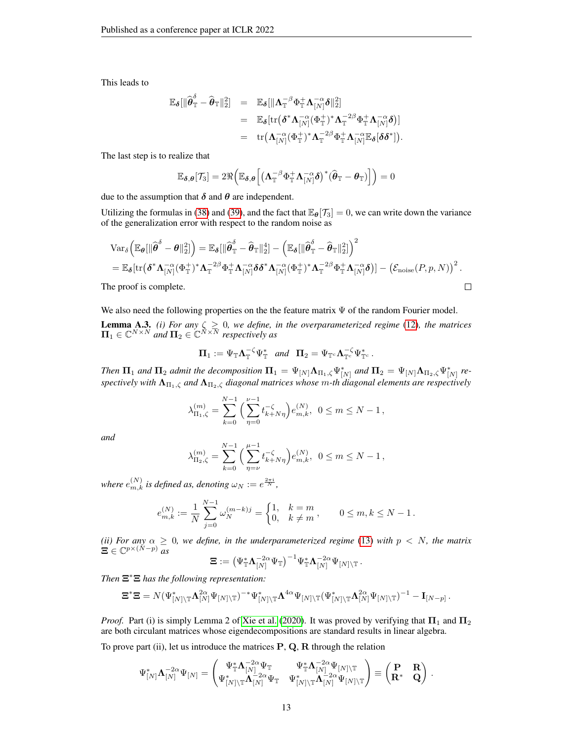This leads to

$$
\begin{array}{rcl} \mathbb{E}_{\boldsymbol{\delta}}[ \| \widehat{\boldsymbol{\theta}}^{\delta}_{\mathbb{T}} - \widehat{\boldsymbol{\theta}}_{\mathbb{T}} \|^2_2 ] & = & \mathbb{E}_{\boldsymbol{\delta}}[ \| {\boldsymbol{\Lambda}}^{-\beta}_{\mathbb{T}} \Phi^+_{\mathbb{T}} {\boldsymbol{\Lambda}}^{-\alpha}_{[N]} \boldsymbol{\delta} \|^2_2 ] \\ & = & \mathbb{E}_{\boldsymbol{\delta}}[ \operatorname{tr} \big( \boldsymbol{\delta}^* {\boldsymbol{\Lambda}}^{-\alpha}_{[N]} (\Phi^+_{\mathbb{T}})^* {\boldsymbol{\Lambda}}^{-2\beta}_{\mathbb{T}} \Phi^+_{\mathbb{T}} {\boldsymbol{\Lambda}}^{-\alpha}_{[N]} \boldsymbol{\delta} \big)] \\ & = & \operatorname{tr} \big( {\boldsymbol{\Lambda}}^{-\alpha}_{[N]} (\Phi^+_{\mathbb{T}})^* {\boldsymbol{\Lambda}}^{-2\beta}_{\mathbb{T}} \Phi^+_{\mathbb{T}} {\boldsymbol{\Lambda}}^{-\alpha}_{[N]} \mathbb{E}_{\boldsymbol{\delta}}[ \boldsymbol{\delta} \boldsymbol{\delta}^* ] \big). \end{array}
$$

The last step is to realize that

$$
\mathbb{E}_{\delta,\theta}[\mathcal{T}_3] = 2\Re\Big(\mathbb{E}_{\delta,\theta}\Big[\big(\mathbf{\Lambda}_{\mathbb{T}}^{-\beta}\Phi_{\mathbb{T}}^+\mathbf{\Lambda}_{[N]}^{-\alpha}\delta\big)^*\big(\widehat{\boldsymbol{\theta}}_{\mathbb{T}} - \boldsymbol{\theta}_{\mathbb{T}}\big)\Big]\Big) = 0
$$

due to the assumption that  $\delta$  and  $\theta$  are independent.

Utilizing the formulas in [\(38\)](#page-11-2) and [\(39\)](#page-11-3), and the fact that  $\mathbb{E}_{\theta}[\mathcal{T}_3] = 0$ , we can write down the variance of the generalization error with respect to the random noise as

$$
\begin{split} &\text{Var}_{\delta}\left(\mathbb{E}_{\boldsymbol{\theta}}[\|\widehat{\boldsymbol{\theta}}^{\delta}-\boldsymbol{\theta}\|_{2}^{2}]\right)=\mathbb{E}_{\delta}[\|\widehat{\boldsymbol{\theta}}_{\mathbb{T}}^{\delta}-\widehat{\boldsymbol{\theta}}_{\mathbb{T}}\|_{2}^{4}]-\left(\mathbb{E}_{\delta}[\|\widehat{\boldsymbol{\theta}}_{\mathbb{T}}^{\delta}-\widehat{\boldsymbol{\theta}}_{\mathbb{T}}\|_{2}^{2}]\right)^{2} \\ &=\mathbb{E}_{\delta}[\text{tr}\big(\boldsymbol{\delta}^{*}\boldsymbol{\Lambda}_{[N]}^{-\alpha}(\Phi_{\mathbb{T}}^{+})^{*}\boldsymbol{\Lambda}_{\mathbb{T}}^{-2\beta}\Phi_{\mathbb{T}}^{+}\boldsymbol{\Lambda}_{[N]}^{-\alpha}\boldsymbol{\delta}\boldsymbol{\delta}^{*}\boldsymbol{\Lambda}_{[N]}^{-\alpha}(\Phi_{\mathbb{T}}^{+})^{*}\boldsymbol{\Lambda}_{\mathbb{T}}^{-2\beta}\Phi_{\mathbb{T}}^{+}\boldsymbol{\Lambda}_{[N]}^{-\alpha}\boldsymbol{\delta}\big)\right]-\big(\mathcal{E}_{\text{noise}}(P,p,N)\big)^{2} \, . \end{split}
$$

The proof is complete.

<span id="page-12-0"></span>We also need the following properties on the the feature matrix  $\Psi$  of the random Fourier model. **Lemma A.3.** *(i) For any*  $\zeta \geq 0$ *, we define, in the overparameterized regime* [\(12\)](#page-3-0)*, the matrices*  $\Pi_1 \in \mathbb{C}^{N \times N}$  and  $\Pi_2 \in \mathbb{C}^{N \times \overline{N}}$  respectively as

$$
\boldsymbol{\Pi}_1 := \Psi_{\mathbb{T}} \boldsymbol{\Lambda}_{\mathbb{T}}^{-\zeta} \Psi_{\mathbb{T}}^* \quad and \quad \boldsymbol{\Pi}_2 = \Psi_{\mathbb{T}^c} \boldsymbol{\Lambda}_{\mathbb{T}^c}^{-\zeta} \Psi_{\mathbb{T}^c}^* \,.
$$

*Then*  $\Pi_1$  *and*  $\Pi_2$  *admit the decomposition*  $\Pi_1 = \Psi_{[N]}\Lambda_{\Pi_1,\zeta}\Psi^*_{[N]}$  *and*  $\Pi_2 = \Psi_{[N]}\Lambda_{\Pi_2,\zeta}\Psi^*_{[N]}$  *respectively with*  $\Lambda_{\Pi_1,\zeta}$  *and*  $\Lambda_{\Pi_2,\zeta}$  *diagonal matrices whose* m-th diagonal elements are respectively

$$
\lambda_{\Pi_1,\zeta}^{(m)} = \sum_{k=0}^{N-1} \left( \sum_{\eta=0}^{\nu-1} t_{k+N\eta}^{-\zeta} \right) e_{m,k}^{(N)}, \ \ 0 \le m \le N-1,
$$

*and*

$$
\lambda_{\Pi_2,\zeta}^{(m)} = \sum_{k=0}^{N-1} \left( \sum_{\eta=\nu}^{\mu-1} t_{k+N\eta}^{-\zeta} \right) e_{m,k}^{(N)}, \ \ 0 \le m \le N-1,
$$

where  $e_{m,k}^{(N)}$  is defined as, denoting  $\omega_N := e^{\frac{2\pi\mathfrak{i}}{N}},$ 

$$
e_{m,k}^{(N)}:=\frac{1}{N}\sum_{j=0}^{N-1}\omega_N^{(m-k)j}=\begin{cases} 1, & k=m\\ 0, & k\neq m \end{cases},\qquad 0\leq m,k\leq N-1\,.
$$

*(ii)* For any  $\alpha \geq 0$ , we define, in the underparameterized regime [\(13\)](#page-3-1) with  $p \lt N$ , the matrix  $\Xi\in \mathbb{C}^{p\times (\check{N}-p)}$  *as*<br> $\Xi:=\left(\Psi_{\mathbb{T}}^*\boldsymbol\Lambda_{\text{\tiny{[N]}}}^{-2\alpha}\Psi_{\mathbb{T}}\right)^{-1}\Psi_{\mathbb{T}}^*\boldsymbol\Lambda_{\text{\tiny{[N]}}}^{-2\alpha}$ 

$$
\boldsymbol{\Xi}:=\big(\Psi_{\mathbb{T}}^*\boldsymbol{\Lambda}_{[N]}^{-2\alpha}\Psi_{\mathbb{T}}\big)^{-1}\Psi_{\mathbb{T}}^*\boldsymbol{\Lambda}_{[N]}^{-2\alpha}\Psi_{[N]\setminus\mathbb{T}}\,.
$$

*Then* Ξ <sup>∗</sup>Ξ *has the following representation:*

$$
\Xi^*\Xi=N(\Psi_{[N]\setminus\mathbb{T}}^*\Lambda_{[N]}^{2\alpha}\Psi_{[N]\setminus\mathbb{T}})^{-*}\Psi_{[N]\setminus\mathbb{T}}^*\Lambda^{4\alpha}\Psi_{[N]\setminus\mathbb{T}}(\Psi_{[N]\setminus\mathbb{T}}^*\Lambda_{[N]}^{2\alpha}\Psi_{[N]\setminus\mathbb{T}})^{-1}-\mathbf{I}_{[N-p]}.
$$

*Proof.* Part (i) is simply Lemma 2 of [Xie et al.](#page-24-1) [\(2020\)](#page-24-1). It was proved by verifying that  $\Pi_1$  and  $\Pi_2$ are both circulant matrices whose eigendecompositions are standard results in linear algebra.

To prove part (ii), let us introduce the matrices  $P$ ,  $Q$ ,  $R$  through the relation

$$
\Psi_{[N]}^*\mathbf{\Lambda}_{[N]}^{-2\alpha}\Psi_{[N]} = \begin{pmatrix} \Psi_\mathbb{T}^*\mathbf{\Lambda}_{[N]}^{-2\alpha}\Psi_\mathbb{T} & \Psi_\mathbb{T}^*\mathbf{\Lambda}_{[N]}^{-2\alpha}\Psi_{[N]\backslash\mathbb{T}} \\ \Psi_{[N]\backslash\mathbb{T}}^*\mathbf{\Lambda}_{[N]}^{-2\alpha}\Psi_\mathbb{T} & \Psi_{[N]\backslash\mathbb{T}}^*\mathbf{\Lambda}_{[N]}^{-2\alpha}\Psi_{[N]\backslash\mathbb{T}} \end{pmatrix} \equiv \begin{pmatrix} \mathbf{P} & \mathbf{R} \\ \mathbf{R}^* & \mathbf{Q} \end{pmatrix} \, .
$$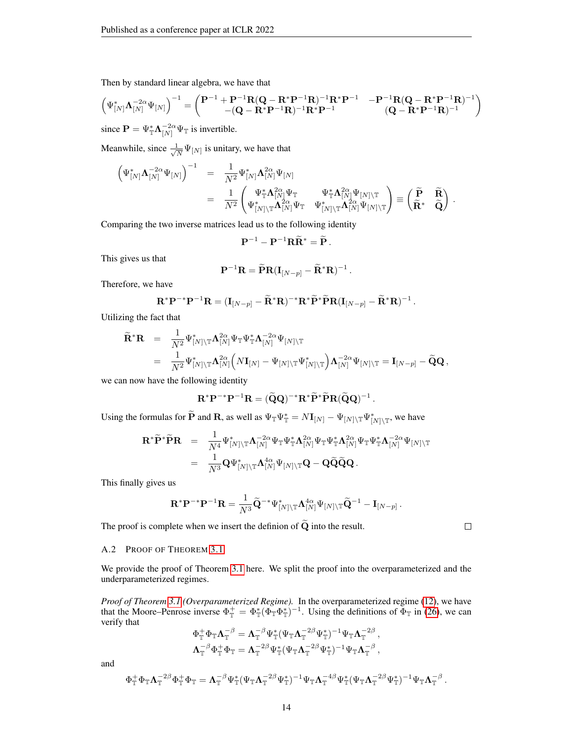Then by standard linear algebra, we have that

$$
\begin{pmatrix} \Psi_{[N]}^* \Lambda_{[N]}^{-2\alpha} \Psi_{[N]} \end{pmatrix}^{-1} = \begin{pmatrix} \mathbf{P}^{-1} + \mathbf{P}^{-1} \mathbf{R} (\mathbf{Q} - \mathbf{R}^* \mathbf{P}^{-1} \mathbf{R})^{-1} \mathbf{R}^* \mathbf{P}^{-1} & -\mathbf{P}^{-1} \mathbf{R} (\mathbf{Q} - \mathbf{R}^* \mathbf{P}^{-1} \mathbf{R})^{-1} \\ -(\mathbf{Q} - \mathbf{R}^* \mathbf{P}^{-1} \mathbf{R})^{-1} \mathbf{R}^* \mathbf{P}^{-1} & (\mathbf{Q} - \mathbf{R}^* \mathbf{P}^{-1} \mathbf{R})^{-1} \end{pmatrix}
$$

since  $\mathbf{P} = \Psi_{\mathbb{T}}^* \Lambda_{[N]}^{-2\alpha} \Psi_{\mathbb{T}}$  is invertible.

Meanwhile, since  $\frac{1}{\sqrt{2}}$  $\frac{1}{N}\Psi_{[N]}$  is unitary, we have that

$$
\begin{array}{rcl} \left( \Psi_{[N]}^*\mathbf{\Lambda}_{[N]}^{-2\alpha}\Psi_{[N]} \right)^{-1} &=& \frac{1}{N^2} \Psi_{[N]}^*\mathbf{\Lambda}_{[N]}^{2\alpha}\Psi_{[N]} \\ &=& \frac{1}{N^2} \begin{pmatrix} \Psi_{\mathbb{T}}^*\mathbf{\Lambda}_{[N]}^{2\alpha}\Psi_{\mathbb{T}} & \Psi_{\mathbb{T}}^*\mathbf{\Lambda}_{[N]}^{2\alpha}\Psi_{[N]\backslash \mathbb{T}} \\ \Psi_{[N]\backslash \mathbb{T}}^*\mathbf{\Lambda}_{[N]}^{2\alpha}\Psi_{\mathbb{T}} & \Psi_{[N]\backslash \mathbb{T}}^*\mathbf{\Lambda}_{[N]}^{2\alpha}\Psi_{[N]\backslash \mathbb{T}} \end{pmatrix} \equiv \begin{pmatrix} \widetilde{\mathbf{P}} & \widetilde{\mathbf{R}} \\ \widetilde{\mathbf{R}}^* & \widetilde{\mathbf{Q}} \end{pmatrix} \, . \end{array}
$$

Comparing the two inverse matrices lead us to the following identity

$$
\mathbf{P}^{-1}-\mathbf{P}^{-1}\mathbf{R}\widetilde{\mathbf{R}}^*=\widetilde{\mathbf{P}}.
$$

This gives us that

$$
\mathbf{P}^{-1}\mathbf{R} = \widetilde{\mathbf{P}}\mathbf{R}(\mathbf{I}_{[N-p]} - \widetilde{\mathbf{R}}^*\mathbf{R})^{-1}.
$$

Therefore, we have

$$
\mathbf{R}^* \mathbf{P}^{-*} \mathbf{P}^{-1} \mathbf{R} = (\mathbf{I}_{[N-p]} - \widetilde{\mathbf{R}}^* \mathbf{R})^{-*} \mathbf{R}^* \widetilde{\mathbf{P}}^* \widetilde{\mathbf{P}} \mathbf{R} (\mathbf{I}_{[N-p]} - \widetilde{\mathbf{R}}^* \mathbf{R})^{-1}.
$$

Utilizing the fact that

$$
\begin{array}{lll} \widetilde{\mathbf{R}}^* \mathbf{R} & = & \displaystyle \frac{1}{N^2} \Psi_{[N] \backslash \mathbb{T}}^* \mathbf{\Lambda}_{[N]}^{2\alpha} \Psi_{\mathbb{T}} \Psi_{\mathbb{T}}^* \mathbf{\Lambda}_{[N]}^{-2\alpha} \Psi_{[N] \backslash \mathbb{T}} \\ & = & \displaystyle \frac{1}{N^2} \Psi_{[N] \backslash \mathbb{T}}^* \mathbf{\Lambda}_{[N]}^{2\alpha} \Big( N \mathbf{I}_{[N]} - \Psi_{[N] \backslash \mathbb{T}} \Psi_{[N] \backslash \mathbb{T}}^* \Big) \mathbf{\Lambda}_{[N]}^{-2\alpha} \Psi_{[N] \backslash \mathbb{T}} = \mathbf{I}_{[N-p]} - \widetilde{\mathbf{Q}} \mathbf{Q} \, , \end{array}
$$

we can now have the following identity

$$
\mathbf{R}^* \mathbf{P}^{-*} \mathbf{P}^{-1} \mathbf{R} = (\widetilde{\mathbf{Q}} \mathbf{Q})^{-*} \mathbf{R}^* \widetilde{\mathbf{P}}^* \widetilde{\mathbf{P}} \mathbf{R} (\widetilde{\mathbf{Q}} \mathbf{Q})^{-1}.
$$

Using the formulas for  $\widetilde{P}$  and  $R$ , as well as  $\Psi_{\mathbb{T}}\Psi_{\mathbb{T}}^* = N\mathbf{I}_{[N]} - \Psi_{[N]\setminus\mathbb{T}}\Psi_{[N]\setminus\mathbb{T}}^*$ , we have

$$
\begin{array}{rcl} \mathbf{R}^* \widetilde{\mathbf{P}}^* \widetilde{\mathbf{P}} \mathbf{R} & = & \displaystyle \frac{1}{N^4} \Psi_{[N] \backslash \mathbb{T}}^* \mathbf{\Lambda}_{[N]}^{-2\alpha} \Psi_{\mathbb{T}} \Psi_{\mathbb{T}}^* \mathbf{\Lambda}_{[N]}^{2\alpha} \Psi_{\mathbb{T}} \Psi_{\mathbb{T}}^* \mathbf{\Lambda}_{[N]}^{2\alpha} \Psi_{\mathbb{T}} \mathbf{\Lambda}_{[N]}^{-2\alpha} \Psi_{[N] \backslash \mathbb{T}} \\ & = & \displaystyle \frac{1}{N^3} \mathbf{Q} \Psi_{[N] \backslash \mathbb{T}}^* \mathbf{\Lambda}_{[N]}^{4\alpha} \Psi_{[N] \backslash \mathbb{T}} \mathbf{Q} - \mathbf{Q} \widetilde{\mathbf{Q}} \widetilde{\mathbf{Q}} \mathbf{Q} \, . \end{array}
$$

This finally gives us

$$
\mathbf{R}^* \mathbf{P}^{-*} \mathbf{P}^{-1} \mathbf{R} = \frac{1}{N^3} \widetilde{\mathbf{Q}}^{-*} \Psi^*_{[N] \setminus \mathbb{T}} \mathbf{\Lambda}_{[N]}^{4\alpha} \Psi_{[N] \setminus \mathbb{T}} \widetilde{\mathbf{Q}}^{-1} - \mathbf{I}_{[N-p]}.
$$

The proof is complete when we insert the definion of  $\widetilde{Q}$  into the result.

 $\Box$ 

#### <span id="page-13-0"></span>A.2 PROOF OF THEOREM [3.1](#page-4-1)

We provide the proof of Theorem [3.1](#page-4-1) here. We split the proof into the overparameterized and the underparameterized regimes.

*Proof of Theorem [3.1](#page-4-1) (Overparameterized Regime).* In the overparameterized regime [\(12\)](#page-3-0), we have that the Moore–Penrose inverse  $\Phi_{\mathbb{T}}^+ = \Phi_{\mathbb{T}}^*(\Phi_{\mathbb{T}}^-\Phi_{\mathbb{T}}^*)^{-1}$ . Using the definitions of  $\Phi_{\mathbb{T}}$  in [\(26\)](#page-9-2), we can verify that

$$
\begin{aligned} \Phi_\mathbb{T}^+ \Phi_\mathbb{T} \boldsymbol{\Lambda}_\mathbb{T}^{-\beta} &= \boldsymbol{\Lambda}_\mathbb{T}^{-\beta} \Psi_\mathbb{T}^*(\Psi_\mathbb{T} \boldsymbol{\Lambda}_\mathbb{T}^{-2\beta} \Psi_\mathbb{T}^*)^{-1} \Psi_\mathbb{T} \boldsymbol{\Lambda}_\mathbb{T}^{-2\beta} \,, \\ \boldsymbol{\Lambda}_\mathbb{T}^{-\beta} \Phi_\mathbb{T}^+ \Phi_\mathbb{T} &= \boldsymbol{\Lambda}_\mathbb{T}^{-2\beta} \Psi_\mathbb{T}^*(\Psi_\mathbb{T} \boldsymbol{\Lambda}_\mathbb{T}^{-2\beta} \Psi_\mathbb{T}^*)^{-1} \Psi_\mathbb{T} \boldsymbol{\Lambda}_\mathbb{T}^{-\beta} \,, \end{aligned}
$$

and

$$
\Phi_\mathbb{T}^+\Phi_\mathbb{T}\boldsymbol{\Lambda}_\mathbb{T}^{-2\beta}\Phi_\mathbb{T}^+\Phi_\mathbb{T}=\boldsymbol{\Lambda}_\mathbb{T}^{-\beta}\Psi_\mathbb{T}^*(\Psi_\mathbb{T}\boldsymbol{\Lambda}_\mathbb{T}^{-2\beta}\Psi_\mathbb{T}^*)^{-1}\Psi_\mathbb{T}\boldsymbol{\Lambda}_\mathbb{T}^{-4\beta}\Psi_\mathbb{T}^*(\Psi_\mathbb{T}\boldsymbol{\Lambda}_\mathbb{T}^{-2\beta}\Psi_\mathbb{T}^*)^{-1}\Psi_\mathbb{T}\boldsymbol{\Lambda}_\mathbb{T}^{-\beta}\,.
$$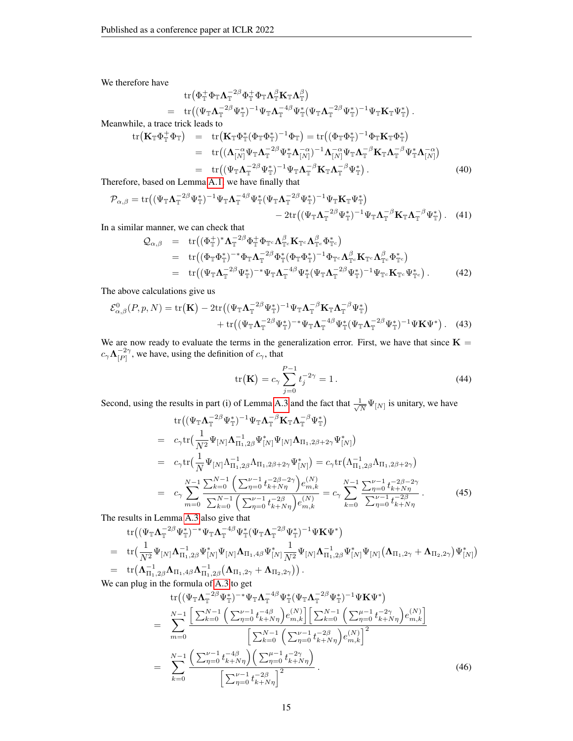We therefore have

$$
\begin{array}{ll}\n\mathop{\rm tr}\nolimits(\Phi_{\mathbb T}^+\Phi_{\mathbb T}\bm \Lambda_{\mathbb T}^{-2\beta}\Phi_{\mathbb T}^+\Phi_{\mathbb T}\bm \Lambda_{\mathbb T}^{\beta}\mathbf K_{\mathbb T}\bm \Lambda_{\mathbb T}^{\beta})\\ \n= & \mathop{\rm tr}\nolimits((\Psi_{\mathbb T}\bm \Lambda_{\mathbb T}^{-2\beta}\Psi_{\mathbb T}^*)^{-1}\Psi_{\mathbb T}\bm \Lambda_{\mathbb T}^{-4\beta}\Psi_{\mathbb T}^*(\Psi_{\mathbb T}\bm \Lambda_{\mathbb T}^{-2\beta}\Psi_{\mathbb T}^*)^{-1}\Psi_{\mathbb T}\mathbf K_{\mathbb T}\Psi_{\mathbb T}^*\big)\,.\n\end{array}
$$

Meanwhile, a trace trick leads to

$$
\text{tr}\left(\mathbf{K}_{\mathbb{T}}\Phi_{\mathbb{T}}^{+}\Phi_{\mathbb{T}}\right) = \text{tr}\left(\mathbf{K}_{\mathbb{T}}\Phi_{\mathbb{T}}^{*}(\Phi_{\mathbb{T}}\Phi_{\mathbb{T}}^{*})^{-1}\Phi_{\mathbb{T}}\right) = \text{tr}\left((\Phi_{\mathbb{T}}\Phi_{\mathbb{T}}^{*})^{-1}\Phi_{\mathbb{T}}\mathbf{K}_{\mathbb{T}}\Phi_{\mathbb{T}}^{*}\right)
$$
\n
$$
= \text{tr}\left((\mathbf{\Lambda}_{[N]}^{-\alpha}\Psi_{\mathbb{T}}\mathbf{\Lambda}_{\mathbb{T}}^{-2\beta}\Psi_{\mathbb{T}}^{*}\mathbf{\Lambda}_{[N]}^{-\alpha})^{-1}\mathbf{\Lambda}_{[N]}^{-\alpha}\Psi_{\mathbb{T}}\mathbf{\Lambda}_{\mathbb{T}}^{-\beta}\mathbf{K}_{\mathbb{T}}\mathbf{\Lambda}_{\mathbb{T}}^{-\beta}\Psi_{\mathbb{T}}^{*}\mathbf{\Lambda}_{[N]}^{-\alpha}\right)
$$
\n
$$
= \text{tr}\left((\Psi_{\mathbb{T}}\mathbf{\Lambda}_{\mathbb{T}}^{-2\beta}\Psi_{\mathbb{T}}^{*})^{-1}\Psi_{\mathbb{T}}\mathbf{\Lambda}_{\mathbb{T}}^{-\beta}\mathbf{K}_{\mathbb{T}}\mathbf{\Lambda}_{\mathbb{T}}^{-\beta}\Psi_{\mathbb{T}}^{*}\right).
$$
\n(40)

Therefore, based on Lemma [A.1,](#page-9-1) we have finally that

$$
\mathcal{P}_{\alpha,\beta} = \text{tr}\left( (\Psi_{\mathbb{T}} \Lambda_{\mathbb{T}}^{-2\beta} \Psi_{\mathbb{T}}^*)^{-1} \Psi_{\mathbb{T}} \Lambda_{\mathbb{T}}^{-4\beta} \Psi_{\mathbb{T}}^* (\Psi_{\mathbb{T}} \Lambda_{\mathbb{T}}^{-2\beta} \Psi_{\mathbb{T}}^*)^{-1} \Psi_{\mathbb{T}} \mathbf{K}_{\mathbb{T}} \Psi_{\mathbb{T}}^* \right) - 2 \text{tr}\left( (\Psi_{\mathbb{T}} \Lambda_{\mathbb{T}}^{-2\beta} \Psi_{\mathbb{T}}^*)^{-1} \Psi_{\mathbb{T}} \Lambda_{\mathbb{T}}^{-\beta} \mathbf{K}_{\mathbb{T}} \Lambda_{\mathbb{T}}^{-\beta} \Psi_{\mathbb{T}}^* \right). (41)
$$

In a similar manner, we can check that

$$
Q_{\alpha,\beta} = \text{tr} \left( (\Phi_{\mathbb{T}}^{+})^* \Lambda_{\mathbb{T}}^{-2\beta} \Phi_{\mathbb{T}}^{+} \Phi_{\mathbb{T}^c} \Lambda_{\mathbb{T}^c}^{\beta} \mathbf{K}_{\mathbb{T}^c} \Lambda_{\mathbb{T}^c}^{\beta} \Phi_{\mathbb{T}^c}^{*} \right) = \text{tr} \left( (\Phi_{\mathbb{T}} \Phi_{\mathbb{T}}^{*})^{-*} \Phi_{\mathbb{T}} \Lambda_{\mathbb{T}}^{-2\beta} \Phi_{\mathbb{T}}^{*} (\Phi_{\mathbb{T}} \Phi_{\mathbb{T}}^{*})^{-1} \Phi_{\mathbb{T}^c} \Lambda_{\mathbb{T}^c}^{\beta} \mathbf{K}_{\mathbb{T}^c} \Lambda_{\mathbb{T}^c}^{\beta} \Phi_{\mathbb{T}^c}^{*} \right) = \text{tr} \left( (\Psi_{\mathbb{T}} \Lambda_{\mathbb{T}}^{-2\beta} \Psi_{\mathbb{T}}^{*})^{-*} \Psi_{\mathbb{T}} \Lambda_{\mathbb{T}}^{-4\beta} \Psi_{\mathbb{T}}^{*} (\Psi_{\mathbb{T}} \Lambda_{\mathbb{T}}^{-2\beta} \Psi_{\mathbb{T}}^{*})^{-1} \Psi_{\mathbb{T}^c} \mathbf{K}_{\mathbb{T}^c} \Psi_{\mathbb{T}^c}^{*} \right).
$$
(42)

The above calculations give us

$$
\mathcal{E}_{\alpha,\beta}^{0}(P,p,N) = \text{tr}(\mathbf{K}) - 2\text{tr}((\Psi_{\mathbb{T}}\mathbf{\Lambda}_{\mathbb{T}}^{-2\beta}\Psi_{\mathbb{T}}^{*})^{-1}\Psi_{\mathbb{T}}\mathbf{\Lambda}_{\mathbb{T}}^{-\beta}\mathbf{K}_{\mathbb{T}}\mathbf{\Lambda}_{\mathbb{T}}^{-\beta}\Psi_{\mathbb{T}}^{*}) + \text{tr}((\Psi_{\mathbb{T}}\mathbf{\Lambda}_{\mathbb{T}}^{-2\beta}\Psi_{\mathbb{T}}^{*})^{-*}\Psi_{\mathbb{T}}\mathbf{\Lambda}_{\mathbb{T}}^{-4\beta}\Psi_{\mathbb{T}}^{*}(\Psi_{\mathbb{T}}\mathbf{\Lambda}_{\mathbb{T}}^{-2\beta}\Psi_{\mathbb{T}}^{*})^{-1}\Psi \mathbf{K}\Psi^{*}).
$$
 (43)

We are now ready to evaluate the terms in the generalization error. First, we have that since  $K =$  $c_{\gamma} \mathbf{\Lambda}_{\lceil P \rceil}^{-2\gamma}$  $\begin{bmatrix} -2\gamma \\ [P] \end{bmatrix}$ , we have, using the definition of  $c_{\gamma}$ , that

<span id="page-14-3"></span><span id="page-14-0"></span>
$$
\text{tr}(\mathbf{K}) = c_{\gamma} \sum_{j=0}^{P-1} t_j^{-2\gamma} = 1.
$$
 (44)

Second, using the results in part (i) of Lemma [A.3](#page-12-0) and the fact that  $\frac{1}{\sqrt{2}}$  $\frac{1}{N}\Psi_{[N]}$  is unitary, we have

<span id="page-14-1"></span>tr
$$
tr((\Psi_{\mathbb{T}}\Lambda_{\mathbb{T}}^{-2\beta}\Psi_{\mathbb{T}}^{*})^{-1}\Psi_{\mathbb{T}}\Lambda_{\mathbb{T}}^{-\beta}\mathbf{K}_{\mathbb{T}}\Lambda_{\mathbb{T}}^{-\beta}\Psi_{\mathbb{T}}^{*})
$$
\n
$$
= c_{\gamma}\text{tr}(\frac{1}{N^{2}}\Psi_{[N]}\Lambda_{\Pi_{1},2\beta}^{-1}\Psi_{[N]}\Psi_{[N]}\Lambda_{\Pi_{1},2\beta+2\gamma}\Psi_{[N]}^{*})
$$
\n
$$
= c_{\gamma}\text{tr}(\frac{1}{N}\Psi_{[N]}\Lambda_{\Pi_{1},2\beta}^{-1}\Lambda_{\Pi_{1},2\beta+2\gamma}\Psi_{[N]}^{*}) = c_{\gamma}\text{tr}(\Lambda_{\Pi_{1},2\beta}^{-1}\Lambda_{\Pi_{1},2\beta+2\gamma})
$$
\n
$$
= c_{\gamma}\sum_{m=0}^{N-1}\frac{\sum_{k=0}^{N-1}\left(\sum_{\eta=0}^{\nu-1}t_{k+N\eta}^{-2\beta-2\gamma}\right)e_{m,k}^{(N)}}{\sum_{k=0}^{\nu-1}\left(\sum_{\eta=0}^{\nu-1}t_{k+N\eta}^{-2\beta}\right)e_{m,k}^{(N)}} = c_{\gamma}\sum_{k=0}^{N-1}\frac{\sum_{\eta=0}^{\nu-1}t_{k+N\eta}^{-2\beta-2\gamma}}{\sum_{\eta=0}^{\nu-1}t_{k+N\eta}^{-2\beta}}.
$$
\n(45)

The results in Lemma [A.3](#page-12-0) also give that

$$
\begin{array}{lll} & \mathrm{tr}\big((\Psi_{\mathbb{T}}{\bm \Lambda}_{\mathbb{T}}^{-2\beta}\Psi_{\mathbb{T}}^*)^{-*}\Psi_{\mathbb{T}}{\bm \Lambda}_{\mathbb{T}}^{-4\beta}\Psi_{\mathbb{T}}^*(\Psi_{\mathbb{T}}{\bm \Lambda}_{\mathbb{T}}^{-2\beta}\Psi_{\mathbb{T}}^*)^{-1}\Psi {\bf K}\Psi^*\big) \\ & = & \mathrm{tr}\big(\frac{1}{N^2}\Psi_{[N]}\bm \Lambda_{\Pi_1,2\beta}^{-1}\Psi_{[N] }^*\Psi_{[N]}\bm \Lambda_{\Pi_1,4\beta}\Psi_{[N] }^*\frac{1}{N^2}\Psi_{[N]}\bm \Lambda_{\Pi_1,2\beta}\Psi_{[N] }^*\Psi_{[N]}\big(\bm \Lambda_{\Pi_1,2\gamma}+\bm \Lambda_{\Pi_2,2\gamma}\big)\Psi_{[N] }^*\big) \\ & = & \mathrm{tr}\big(\bm \Lambda_{\Pi_1,2\beta}^{-1}\bm \Lambda_{\Pi_1,4\beta}\bm \Lambda_{\Pi_1,2\beta}^{-1}\big(\bm \Lambda_{\Pi_1,2\gamma}+\bm \Lambda_{\Pi_2,2\gamma}\big)\big)\,. \end{array}
$$

We can plug in the formula of [A.3](#page-12-0) to get

<span id="page-14-2"></span>
$$
\text{tr}\left((\Psi_{\mathbb{T}}\Lambda_{\mathbb{T}}^{-2\beta}\Psi_{\mathbb{T}}^{*})^{-*}\Psi_{\mathbb{T}}\Lambda_{\mathbb{T}}^{-4\beta}\Psi_{\mathbb{T}}^{*}(\Psi_{\mathbb{T}}\Lambda_{\mathbb{T}}^{-2\beta}\Psi_{\mathbb{T}}^{*})^{-1}\Psi \mathbf{K}\Psi^{*}\right) \n= \sum_{m=0}^{N-1} \frac{\left[\sum_{k=0}^{N-1}\left(\sum_{\eta=0}^{\nu-1} t_{k+N\eta}^{-4\beta}\right)e_{m,k}^{(N)}\right]\left[\sum_{k=0}^{N-1}\left(\sum_{\eta=0}^{\mu-1} t_{k+N\eta}^{-2\gamma}\right)e_{m,k}^{(N)}\right]}{\left[\sum_{k=0}^{N-1}\left(\sum_{\eta=0}^{\nu-1} t_{k+N\eta}^{-2\beta}\right)e_{m,k}^{(N)}\right]^{2}} \n= \sum_{k=0}^{N-1} \frac{\left(\sum_{\eta=0}^{\nu-1} t_{k+N\eta}^{-4\beta}\right)\left(\sum_{\eta=0}^{\mu-1} t_{k+N\eta}^{-2\gamma}\right)}{\left[\sum_{\eta=0}^{\nu-1} t_{k+N\eta}^{-2\beta}\right]^{2}}.
$$
\n(46)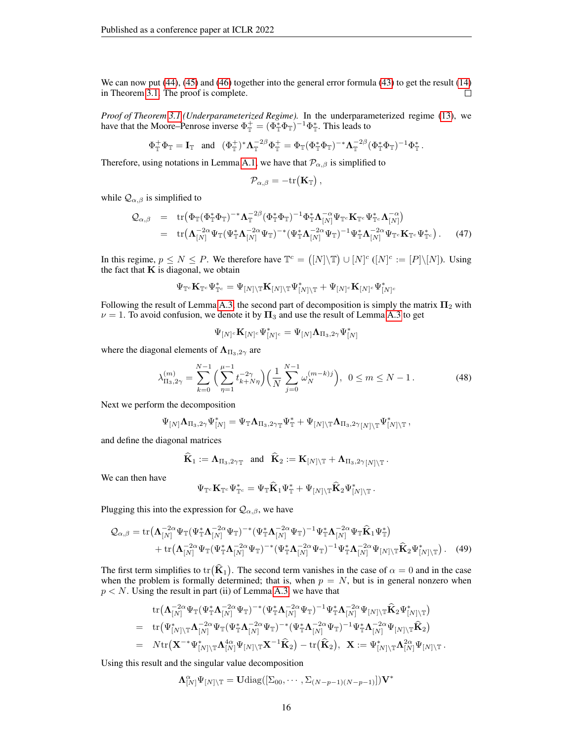We can now put [\(44\)](#page-14-0), [\(45\)](#page-14-1) and [\(46\)](#page-14-2) together into the general error formula [\(43\)](#page-14-3) to get the result [\(14\)](#page-4-4) in Theorem [3.1.](#page-4-1) The proof is complete.  $\Box$ 

*Proof of Theorem [3.1](#page-4-1) (Underparameterized Regime).* In the underparameterized regime [\(13\)](#page-3-1), we have that the Moore–Penrose inverse  $\Phi_{\mathbb{T}}^+ = (\Phi_{\mathbb{T}}^* \Phi_{\mathbb{T}})^{-1} \Phi_{\mathbb{T}}^*$ . This leads to

$$
\Phi_\mathbb{T}^+ \Phi_\mathbb{T} = \mathbf{I}_\mathbb{T} \quad \text{and} \quad (\Phi_\mathbb{T}^+)^* \mathbf{\Lambda}_\mathbb{T}^{-2\beta} \Phi_\mathbb{T}^+ = \Phi_\mathbb{T} (\Phi_\mathbb{T}^* \Phi_\mathbb{T})^{-*} \mathbf{\Lambda}_\mathbb{T}^{-2\beta} (\Phi_\mathbb{T}^* \Phi_\mathbb{T})^{-1} \Phi_\mathbb{T}^*.
$$

Therefore, using notations in Lemma [A.1,](#page-9-1) we have that  $\mathcal{P}_{\alpha,\beta}$  is simplified to

$$
\mathcal{P}_{\alpha,\beta} = -\mathrm{tr}(\mathbf{K}_{\mathbb{T}}) \,,
$$

while  $\mathcal{Q}_{\alpha,\beta}$  is simplified to

$$
\begin{array}{rcl}\n\mathcal{Q}_{\alpha,\beta} & = & \text{tr}\left(\Phi_{\mathbb{T}}(\Phi_{\mathbb{T}}^*\Phi_{\mathbb{T}})^{-*}\Lambda_{\mathbb{T}}^{-2\beta}(\Phi_{\mathbb{T}}^*\Phi_{\mathbb{T}})^{-1}\Phi_{\mathbb{T}}^*\Lambda_{[N]}^{-\alpha}\Psi_{\mathbb{T}^c}\mathbf{K}_{\mathbb{T}^c}\Psi_{\mathbb{T}^c}^*\Lambda_{[N]}^{-\alpha}\right) \\
& = & \text{tr}\left(\Lambda_{[N]}^{-2\alpha}\Psi_{\mathbb{T}}(\Psi_{\mathbb{T}}^*\Lambda_{[N]}^{-2\alpha}\Psi_{\mathbb{T}})^{-*}(\Psi_{\mathbb{T}}^*\Lambda_{[N]}^{-2\alpha}\Psi_{\mathbb{T}})^{-1}\Psi_{\mathbb{T}}^*\Lambda_{[N]}^{-2\alpha}\Psi_{\mathbb{T}^c}\mathbf{K}_{\mathbb{T}^c}\Psi_{\mathbb{T}^c}^*\right).\n\end{array} \tag{47}
$$

In this regime,  $p \le N \le P$ . We therefore have  $\mathbb{T}^c = ([N] \setminus \mathbb{T}) \cup [N]^c ([N]^c := [P] \setminus [N])$ . Using the fact that  $K$  is diagonal, we obtain

$$
\Psi_{\mathbb{T}^c}\mathbf{K}_{\mathbb{T}^c}\Psi_{\mathbb{T}^c}^*=\Psi_{[N]\backslash\mathbb{T}}\mathbf{K}_{[N]\backslash\mathbb{T}}\Psi_{[N]\backslash\mathbb{T}}^*+\Psi_{[N]^c}\mathbf{K}_{[N]^c}\Psi_{[N]^c}^*
$$

Following the result of Lemma [A.3,](#page-12-0) the second part of decomposition is simply the matrix  $\Pi_2$  with  $\nu = 1$ . To avoid confusion, we denote it by  $\Pi_3$  and use the result of Lemma [A.3](#page-12-0) to get

<span id="page-15-0"></span>
$$
\Psi_{[N]^c}\mathbf{K}_{[N]^c}\Psi_{[N]^c}^*=\Psi_{[N]}\mathbf{\Lambda}_{\Pi_3,2\gamma}\Psi_{[N]}^*
$$

where the diagonal elements of  $\Lambda_{\Pi_3,2\gamma}$  are

$$
\lambda_{\Pi_3,2\gamma}^{(m)} = \sum_{k=0}^{N-1} \left( \sum_{\eta=1}^{\mu-1} t_{k+N\eta}^{-2\gamma} \right) \left( \frac{1}{N} \sum_{j=0}^{N-1} \omega_N^{(m-k)j} \right), \ \ 0 \le m \le N-1. \tag{48}
$$

Next we perform the decomposition

$$
\Psi_{[N]}\mathbf{\Lambda}_{\Pi_3,2\gamma}\Psi_{[N]}^*=\Psi_{\mathbb{T}}\mathbf{\Lambda}_{\Pi_3,2\gamma\mathbb{T}}\Psi_{\mathbb{T}}^*+\Psi_{[N]\backslash\mathbb{T}}\mathbf{\Lambda}_{\Pi_3,2\gamma[N]\backslash\mathbb{T}}\Psi_{[N]\backslash\mathbb{T}}^*,
$$

and define the diagonal matrices

$$
\mathbf{K}_1 := \mathbf{\Lambda}_{\Pi_3,2\gamma_{\mathbb{T}}} \quad \text{and} \quad \mathbf{K}_2 := \mathbf{K}_{[N] \setminus \mathbb{T}} + \mathbf{\Lambda}_{\Pi_3,2\gamma_{N[N] \setminus \mathbb{T}}}.
$$

We can then have

$$
\Psi_{\mathbb{T}^c}\mathbf{K}_{\mathbb{T}^c}\Psi_{\mathbb{T}^c}^*=\Psi_{\mathbb{T}}\widehat{\mathbf{K}}_1\Psi_{\mathbb{T}}^*+\Psi_{[N]\setminus\mathbb{T}}\widehat{\mathbf{K}}_2\Psi_{[N]\setminus\mathbb{T}}^* \,.
$$

Plugging this into the expression for  $\mathcal{Q}_{\alpha,\beta}$ , we have

$$
\mathcal{Q}_{\alpha,\beta} = \text{tr}\big(\mathbf{\Lambda}_{[N]}^{-2\alpha}\Psi_{\mathbb{T}}(\Psi_{\mathbb{T}}^*\mathbf{\Lambda}_{[N]}^{-2\alpha}\Psi_{\mathbb{T}})^{-*}(\Psi_{\mathbb{T}}^*\mathbf{\Lambda}_{[N]}^{-2\alpha}\Psi_{\mathbb{T}})^{-1}\Psi_{\mathbb{T}}^*\mathbf{\Lambda}_{[N]}^{-2\alpha}\Psi_{\mathbb{T}}\hat{\mathbf{K}}_1\Psi_{\mathbb{T}}^*\big) + \text{tr}\big(\mathbf{\Lambda}_{[N]}^{-2\alpha}\Psi_{\mathbb{T}}(\Psi_{\mathbb{T}}^*\mathbf{\Lambda}_{[N]}^{-2\alpha}\Psi_{\mathbb{T}})^{-*}(\Psi_{\mathbb{T}}^*\mathbf{\Lambda}_{[N]}^{-2\alpha}\Psi_{\mathbb{T}})^{-1}\Psi_{\mathbb{T}}^*\mathbf{\Lambda}_{[N]}^{-2\alpha}\Psi_{[N]\backslash\mathbb{T}}\hat{\mathbf{K}}_2\Psi_{[N]\backslash\mathbb{T}}^*\big).
$$
 (49)

The first term simplifies to tr( $\hat{\mathbf{K}}_1$ ). The second term vanishes in the case of  $\alpha = 0$  and in the case when the problem is formally determined; that is, when  $p = N$ , but is in general nonzero when  $p < N$ . Using the result in part (ii) of Lemma [A.3,](#page-12-0) we have that

$$
\begin{array}{lll} & \displaystyle \mathrm{tr}\big( {\boldsymbol \Lambda}_{[N]}^{-2\alpha} \Psi_{\mathbb{T}}(\Psi_{\mathbb{T}}^* {\boldsymbol \Lambda}_{[N]}^{-2\alpha} \Psi_{\mathbb{T}})^{-*} (\Psi_{\mathbb{T}}^* {\boldsymbol \Lambda}_{[N]}^{-2\alpha} \Psi_{\mathbb{T}})^{-1} \Psi_{\mathbb{T}}^* {\boldsymbol \Lambda}_{[N]}^{-2\alpha} \Psi_{[N]\backslash \mathbb{T}} \widehat{\mathbf{K}}_2 \Psi_{[N]\backslash \mathbb{T}}^* \big) \\ = & \displaystyle \mathrm{tr}\big( \Psi_{[N]\backslash \mathbb{T}}^* {\boldsymbol \Lambda}_{[N]}^{-2\alpha} \Psi_{\mathbb{T}}(\Psi_{\mathbb{T}}^* {\boldsymbol \Lambda}_{[N]}^{-2\alpha} \Psi_{\mathbb{T}})^{-*} (\Psi_{\mathbb{T}}^* {\boldsymbol \Lambda}_{[N]}^{-2\alpha} \Psi_{\mathbb{T}})^{-1} \Psi_{\mathbb{T}}^* {\boldsymbol \Lambda}_{[N]}^{-2\alpha} \Psi_{[N]\backslash \mathbb{T}} \widehat{\mathbf{K}}_2 \big) \\ = & \displaystyle N \mathrm{tr}\big( \mathbf{X}^{-*} \Psi_{[N]\backslash \mathbb{T}}^* {\boldsymbol \Lambda}_{[N]}^{4\alpha} \Psi_{[N]\backslash \mathbb{T}} \mathbf{X}^{-1} \widehat{\mathbf{K}}_2 \big) - \mathrm{tr}\big( \widehat{\mathbf{K}}_2 \big), \ \ \mathbf{X} := \Psi_{[N]\backslash \mathbb{T}}^* {\boldsymbol \Lambda}_{[N]}^{2\alpha} \Psi_{[N]\backslash \mathbb{T}} \, . \end{array}
$$

Using this result and the singular value decomposition

$$
\Lambda_{[N]}^{\alpha} \Psi_{[N] \setminus \mathbb{T}} = \mathbf{U} \text{diag}([\Sigma_{00}, \cdots, \Sigma_{(N-p-1)(N-p-1)}]) \mathbf{V}^*
$$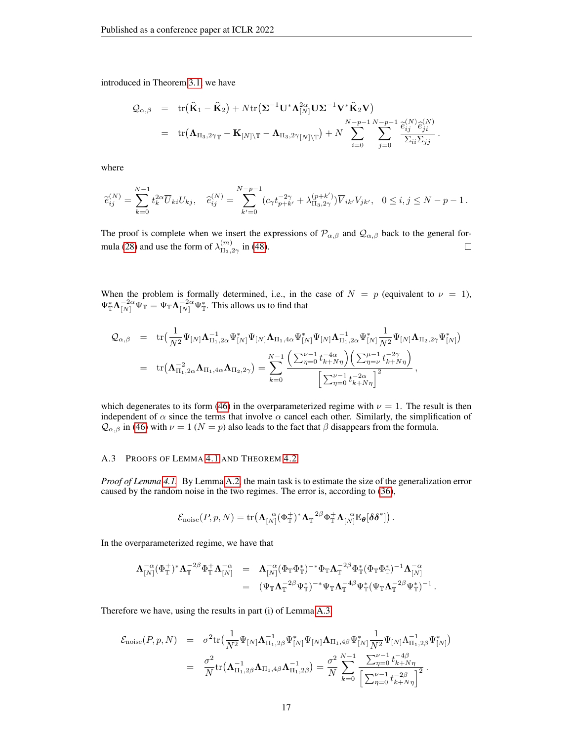introduced in Theorem [3.1,](#page-4-1) we have

$$
Q_{\alpha,\beta} = \text{tr}(\widehat{\mathbf{K}}_1 - \widehat{\mathbf{K}}_2) + N \text{tr}(\boldsymbol{\Sigma}^{-1} \mathbf{U}^* \boldsymbol{\Lambda}_{[N]}^{2\alpha} \mathbf{U} \boldsymbol{\Sigma}^{-1} \mathbf{V}^* \widehat{\mathbf{K}}_2 \mathbf{V})
$$
  
= 
$$
\text{tr}(\boldsymbol{\Lambda}_{\Pi_3,2\gamma_{\mathbb{T}}} - \mathbf{K}_{[N]\setminus\mathbb{T}} - \boldsymbol{\Lambda}_{\Pi_3,2\gamma_{\mathbb{T}}|N]\setminus\mathbb{T}}) + N \sum_{i=0}^{N-p-1} \sum_{j=0}^{N-p-1} \frac{\widehat{e}_{ij}^{(N)} \widehat{e}_{ji}^{(N)}}{\sum_{ii} \sum_{jj}}.
$$

where

$$
\widetilde{e}_{ij}^{(N)} = \sum_{k=0}^{N-1} t_k^{2\alpha} \overline{U}_{ki} U_{kj}, \quad \widehat{e}_{ij}^{(N)} = \sum_{k'=0}^{N-p-1} (c_{\gamma} t_{p+k'}^{-2\gamma} + \lambda_{\Pi_3,2\gamma}^{(p+k')}) \overline{V}_{ik'} V_{jk'}, \quad 0 \le i, j \le N-p-1.
$$

The proof is complete when we insert the expressions of  $\mathcal{P}_{\alpha,\beta}$  and  $\mathcal{Q}_{\alpha,\beta}$  back to the general for-mula [\(28\)](#page-10-5) and use the form of  $\lambda_{\Pi_2}^{(m)}$ .  $\Box$  $\frac{m}{\Pi_3,2\gamma}$  in [\(48\)](#page-15-0).

When the problem is formally determined, i.e., in the case of  $N = p$  (equivalent to  $\nu = 1$ ),  $\Psi_{\mathbb{T}}^*\mathbf{\Lambda}_{[N]}^{-2\alpha}\Psi_{\mathbb{T}}^* = \Psi_{\mathbb{T}}\mathbf{\Lambda}_{[N]}^{-2\alpha}\Psi_{\mathbb{T}}^*$ . This allows us to find that

$$
\begin{array}{lcl} \mathcal{Q}_{\alpha,\beta} & = & \mathrm{tr}\big(\frac{1}{N^2}\Psi_{[N]}\boldsymbol{\Lambda}_{\Pi_1,2\alpha}^{-1}\Psi_{[N]}^*\Psi_{[N]}\boldsymbol{\Lambda}_{\Pi_1,4\alpha}\Psi_{[N]}^*\Psi_{[N]}\boldsymbol{\Lambda}_{\Pi_1,2\alpha}\Psi_{[N]}^*\frac{1}{N^2}\Psi_{[N]}\boldsymbol{\Lambda}_{\Pi_2,2\gamma}\Psi_{[N]}^*\big) \\ \\ & = & \mathrm{tr}\big(\boldsymbol{\Lambda}_{\Pi_1,2\alpha}^{-2}\boldsymbol{\Lambda}_{\Pi_1,4\alpha}\boldsymbol{\Lambda}_{\Pi_2,2\gamma}\big) = \sum_{k=0}^{N-1}\frac{\left(\sum_{\eta=0}^{\nu-1}t_{k+N\eta}^{-4\alpha}\right)\left(\sum_{\eta=0}^{\mu-1}t_{k+N\eta}^{-2\gamma}\right)}{\left[\sum_{\eta=0}^{\nu-1}t_{k+N\eta}^{-2\alpha}\right]^2}\,, \end{array}
$$

which degenerates to its form [\(46\)](#page-14-2) in the overparameterized regime with  $\nu = 1$ . The result is then independent of  $\alpha$  since the terms that involve  $\alpha$  cancel each other. Similarly, the simplification of  $Q_{\alpha,\beta}$  in [\(46\)](#page-14-2) with  $\nu = 1$  ( $N = p$ ) also leads to the fact that  $\beta$  disappears from the formula.

## <span id="page-16-0"></span>A.3 PROOFS OF LEMMA [4.1](#page-5-3) AND THEOREM [4.2](#page-6-2)

*Proof of Lemma [4.1.](#page-5-3)* By Lemma [A.2,](#page-11-4) the main task is to estimate the size of the generalization error caused by the random noise in the two regimes. The error is, according to [\(36\)](#page-11-5),

$$
\mathcal{E}_{\text{noise}}(P, p, N) = \text{tr}\big(\mathbf{\Lambda}_{[N]}^{-\alpha}(\Phi_{\mathbb{T}}^{+})^*\mathbf{\Lambda}_{\mathbb{T}}^{-2\beta}\Phi_{\mathbb{T}}^{+}\mathbf{\Lambda}_{[N]}^{-\alpha}\mathbb{E}_{\theta}[\delta\delta^*]\big).
$$

In the overparameterized regime, we have that

$$
\begin{array}{lll} \boldsymbol{\Lambda}_{[N]}^{\vphantom{1}}(\Phi_{\mathbb T}^+)^*\boldsymbol{\Lambda}_{\mathbb T}^{-2\beta}\Phi_{\mathbb T}^+\boldsymbol{\Lambda}_{[N]}^{\vphantom{1}}&=&\boldsymbol{\Lambda}_{[N]}^{\vphantom{1}}(\Phi_{\mathbb T}\Phi_{\mathbb T}^*)^{-*}\Phi_{\mathbb T}\boldsymbol{\Lambda}_{\mathbb T}^{-2\beta}\Phi_{\mathbb T}^*(\Phi_{\mathbb T}\Phi_{\mathbb T}^*)^{-1}\boldsymbol{\Lambda}_{[N]}^{\vphantom{1}}\\ &=&(\Psi_{\mathbb T}\boldsymbol{\Lambda}_{\mathbb T}^{-2\beta}\Psi_{\mathbb T}^*)^{-*}\Psi_{\mathbb T}\boldsymbol{\Lambda}_{\mathbb T}^{-4\beta}\Psi_{\mathbb T}^*(\Psi_{\mathbb T}\boldsymbol{\Lambda}_{\mathbb T}^{-2\beta}\Psi_{\mathbb T}^*)^{-1}\,. \end{array}
$$

Therefore we have, using the results in part (i) of Lemma [A.3,](#page-12-0)

$$
\mathcal{E}_{\text{noise}}(P, p, N) = \sigma^2 \text{tr}\left(\frac{1}{N^2} \Psi_{[N]} \Lambda_{\Pi_1, 2\beta}^{-1} \Psi_{[N]}^* \Psi_{[N]} \Lambda_{\Pi_1, 4\beta} \Psi_{[N]}^* \frac{1}{N^2} \Psi_{[N]} \Lambda_{\Pi_1, 2\beta}^{-1} \Psi_{[N]}^* \right) \n= \frac{\sigma^2}{N} \text{tr}\left(\Lambda_{\Pi_1, 2\beta}^{-1} \Lambda_{\Pi_1, 4\beta} \Lambda_{\Pi_1, 2\beta}^{-1} \right) = \frac{\sigma^2}{N} \sum_{k=0}^{N-1} \frac{\sum_{\eta=0}^{\nu-1} t_{k+N\eta}^{-4\beta}}{\left| \sum_{\eta=0}^{\nu-1} t_{k+N\eta}^{-2\beta} \right|^2}.
$$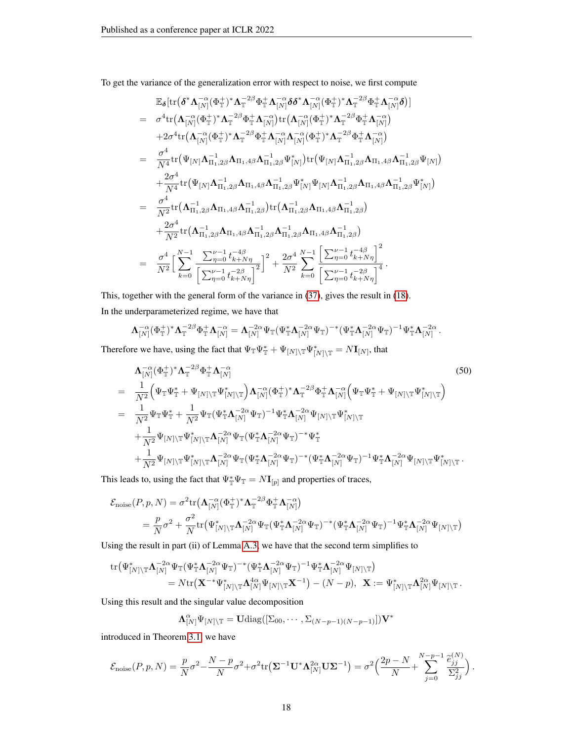To get the variance of the generalization error with respect to noise, we first compute

$$
\mathbb{E}_{\delta}[\text{tr}(\delta^{*}\Lambda_{[N]}^{-\alpha}(\Phi_{\mathbb{T}}^{+})^{*}\Lambda_{\mathbb{T}}^{-2\beta}\Phi_{\mathbb{T}}^{+}\Lambda_{[N]}^{-\alpha}\delta\delta^{*}\Lambda_{[N]}^{-\alpha}(\Phi_{\mathbb{T}}^{+})^{*}\Lambda_{\mathbb{T}}^{-2\beta}\Phi_{\mathbb{T}}^{+}\Lambda_{[N]}^{-\alpha}\delta)]
$$
\n
$$
= \sigma^{4}\text{tr}(\Lambda_{[N]}^{-\alpha}(\Phi_{\mathbb{T}}^{+})^{*}\Lambda_{\mathbb{T}}^{-2\beta}\Phi_{\mathbb{T}}^{+}\Lambda_{[N]}^{-\alpha})\text{tr}(\Lambda_{[N]}^{-\alpha}(\Phi_{\mathbb{T}}^{+})^{*}\Lambda_{\mathbb{T}}^{-2\beta}\Phi_{\mathbb{T}}^{+}\Lambda_{[N]}^{-\alpha})
$$
\n
$$
+2\sigma^{4}\text{tr}(\Lambda_{[N]}^{-\alpha}(\Phi_{\mathbb{T}}^{+})^{*}\Lambda_{\mathbb{T}}^{-2\beta}\Phi_{\mathbb{T}}^{+}\Lambda_{[N]}^{-\alpha}(\Phi_{\mathbb{T}}^{+})^{*}\Lambda_{\mathbb{T}}^{-2\beta}\Phi_{\mathbb{T}}^{+}\Lambda_{[N]}^{-\alpha})
$$
\n
$$
= \frac{\sigma^{4}}{N^{4}}\text{tr}(\Psi_{[N]}\Lambda_{\Pi_{1,2\beta}}^{-1}\Lambda_{\Pi_{1,4\beta}}\Lambda_{\Pi_{1,2\beta}}^{-1}\Psi_{[N]}^{*})\text{tr}(\Psi_{[N]}\Lambda_{\Pi_{1,2\beta}}^{-1}\Lambda_{\Pi_{1,4\beta}}\Lambda_{\Pi_{1,2\beta}}^{-1}\Psi_{[N]}^{-})
$$
\n
$$
+ \frac{2\sigma^{4}}{N^{4}}\text{tr}(\Psi_{[N]}\Lambda_{\Pi_{1,2\beta}}^{-1}\Lambda_{\Pi_{1,4\beta}}\Lambda_{\Pi_{1,2\beta}}^{-1}\Psi_{[N]}^{*}\Psi_{[N]}\Lambda_{\Pi_{1,2\beta}}^{-1}\Lambda_{\Pi_{1,2\beta}}\Lambda_{\Pi_{1,2\beta}}^{-1}\Psi_{[N]}^{*})
$$
\n
$$
= \frac{\sigma^{4}}{N^{2}}\text{tr}(\Lambda_{\Pi_{1,2\beta}}^{-1}\Lambda_{\Pi_{1,4\beta}}\Lambda_{\Pi_{1,2\beta}}^{-1})\text{tr}(\Lambda_{\Pi_{1,2\beta}}^{-1
$$

This, together with the general form of the variance in [\(37\)](#page-11-6), gives the result in [\(18\)](#page-6-3). In the underparameterized regime, we have that

$$
\Lambda_{[N]}^{-\alpha}(\Phi_{\mathbb{T}}^{+})^*\Lambda_{\mathbb{T}}^{-2\beta}\Phi_{\mathbb{T}}^{+}\Lambda_{[N]}^{-\alpha}=\Lambda_{[N]}^{-2\alpha}\Psi_{\mathbb{T}}(\Psi_{\mathbb{T}}^*\Lambda_{[N]}^{-2\alpha}\Psi_{\mathbb{T}})^{-*}(\Psi_{\mathbb{T}}^*\Lambda_{[N]}^{-2\alpha}\Psi_{\mathbb{T}})^{-1}\Psi_{\mathbb{T}}^*\Lambda_{[N]}^{-2\alpha}.
$$

Therefore we have, using the fact that  $\Psi_{\mathbb{T}}\Psi_{\mathbb{T}}^* + \Psi_{[N]\setminus\mathbb{T}}\Psi_{[N]\setminus\mathbb{T}}^* = N\mathbf{I}_{[N]}$ , that

<span id="page-17-0"></span>
$$
\Lambda_{[N]}^{-\alpha}(\Phi_{\mathbb{T}}^{+})^{*}\Lambda_{\mathbb{T}}^{-2\beta}\Phi_{\mathbb{T}}^{+}\Lambda_{[N]}^{-\alpha}
$$
\n
$$
=\frac{1}{N^{2}}\Big(\Psi_{\mathbb{T}}\Psi_{\mathbb{T}}^{*}+\Psi_{[N]\backslash\mathbb{T}}\Psi_{[N]\backslash\mathbb{T}}^{*}\Big)\Lambda_{[N]}^{-\alpha}(\Phi_{\mathbb{T}}^{+})^{*}\Lambda_{\mathbb{T}}^{-2\beta}\Phi_{\mathbb{T}}^{+}\Lambda_{[N]}^{-\alpha}\Big(\Psi_{\mathbb{T}}\Psi_{\mathbb{T}}^{*}+\Psi_{[N]\backslash\mathbb{T}}\Psi_{[N]\backslash\mathbb{T}}^{*}\Big)
$$
\n
$$
=\frac{1}{N^{2}}\Psi_{\mathbb{T}}\Psi_{\mathbb{T}}^{*}+\frac{1}{N^{2}}\Psi_{\mathbb{T}}(\Psi_{\mathbb{T}}^{*}\Lambda_{[N]}^{-2\alpha}\Psi_{\mathbb{T}})^{-1}\Psi_{\mathbb{T}}^{*}\Lambda_{[N]}^{-2\alpha}\Psi_{[N]\backslash\mathbb{T}}\Psi_{[N]\backslash\mathbb{T}}^{*}
$$
\n
$$
+\frac{1}{N^{2}}\Psi_{[N]\backslash\mathbb{T}}\Psi_{[N]\backslash\mathbb{T}}^{*}\Lambda_{[N]}^{-2\alpha}\Psi_{\mathbb{T}}(\Psi_{\mathbb{T}}^{*}\Lambda_{[N]}^{-2\alpha}\Psi_{\mathbb{T}})^{-*}\Psi_{\mathbb{T}}^{*}
$$
\n
$$
+\frac{1}{N^{2}}\Psi_{[N]\backslash\mathbb{T}}\Psi_{[N]\backslash\mathbb{T}}^{*}\Lambda_{[N]}^{-2\alpha}\Psi_{\mathbb{T}}(\Psi_{\mathbb{T}}^{*}\Lambda_{[N]}^{-2\alpha}\Psi_{\mathbb{T}})^{-*}(\Psi_{\mathbb{T}}^{*}\Lambda_{[N]}^{-2\alpha}\Psi_{\mathbb{T}})^{-1}\Psi_{\mathbb{T}}^{*}\Lambda_{[N]}^{-2\alpha}\Psi_{[N]\backslash\mathbb{T}}\Psi_{[N]\backslash\mathbb{T}}^{*}.
$$
\n(50)

This leads to, using the fact that  $\Psi_{\mathbb{T}}^* \Psi_{\mathbb{T}} = N \mathbf{I}_{[p]}$  and properties of traces,

$$
\mathcal{E}_{\text{noise}}(P, p, N) = \sigma^2 \text{tr} \left( \mathbf{\Lambda}_{[N]}^{-\alpha} (\Phi_{\mathbb{T}}^{+})^* \mathbf{\Lambda}_{\mathbb{T}}^{-2\beta} \Phi_{\mathbb{T}}^{+} \mathbf{\Lambda}_{[N]}^{-\alpha} \right)
$$
\n
$$
= \frac{p}{N} \sigma^2 + \frac{\sigma^2}{N} \text{tr} \left( \Psi_{[N] \backslash \mathbb{T}}^{*} \mathbf{\Lambda}_{[N]}^{-2\alpha} \Psi_{\mathbb{T}} (\Psi_{\mathbb{T}}^{*} \mathbf{\Lambda}_{[N]}^{-2\alpha} \Psi_{\mathbb{T}})^{-*} (\Psi_{\mathbb{T}}^{*} \mathbf{\Lambda}_{[N]}^{-2\alpha} \Psi_{\mathbb{T}})^{-1} \Psi_{\mathbb{T}}^{*} \mathbf{\Lambda}_{[N]}^{-2\alpha} \Psi_{[N] \backslash \mathbb{T}} \right)
$$

Using the result in part (ii) of Lemma [A.3,](#page-12-0) we have that the second term simplifies to

$$
\begin{aligned} \text{tr}\big(\Psi^*_{[N]\setminus\mathbb{T}}\boldsymbol{\Lambda}^{-2\alpha}_{[N]}\Psi_{\mathbb{T}}(\Psi^*_{\mathbb{T}}\boldsymbol{\Lambda}^{-2\alpha}_{[N]}\Psi_{\mathbb{T}})^{-*}(\Psi^*_{\mathbb{T}}\boldsymbol{\Lambda}^{-2\alpha}_{[N]}\Psi_{\mathbb{T}})^{-1}\Psi^*_{\mathbb{T}}\boldsymbol{\Lambda}^{-2\alpha}_{[N]}\Psi_{[N]\setminus\mathbb{T}}\big)\\ = N \text{tr}\big(\mathbf{X}^{-*}\Psi^*_{[N]\setminus\mathbb{T}}\boldsymbol{\Lambda}^{4\alpha}_{[N]}\Psi_{[N]\setminus\mathbb{T}}\mathbf{X}^{-1}\big) - (N-p),\;\; \mathbf{X}:=\Psi^*_{[N]\setminus\mathbb{T}}\boldsymbol{\Lambda}^{2\alpha}_{[N]}\Psi_{[N]\setminus\mathbb{T}}\,. \end{aligned}
$$

Using this result and the singular value decomposition

$$
\Lambda_{[N]}^{\alpha} \Psi_{[N]\setminus \mathbb{T}} = \mathbf{U} \mathrm{diag}([\Sigma_{00}, \cdots, \Sigma_{(N-p-1)(N-p-1)}]) \mathbf{V}^*
$$

introduced in Theorem [3.1,](#page-4-1) we have

$$
\mathcal{E}_{\text{noise}}(P, p, N) = \frac{p}{N}\sigma^2 - \frac{N-p}{N}\sigma^2 + \sigma^2 \text{tr}\left(\mathbf{\Sigma}^{-1}\mathbf{U}^*\boldsymbol{\Lambda}_{[N]}^{2\alpha}\mathbf{U}\mathbf{\Sigma}^{-1}\right) = \sigma^2 \left(\frac{2p-N}{N} + \sum_{j=0}^{N-p-1} \frac{\tilde{e}_{jj}^{(N)}}{\Sigma_{jj}^2}\right).
$$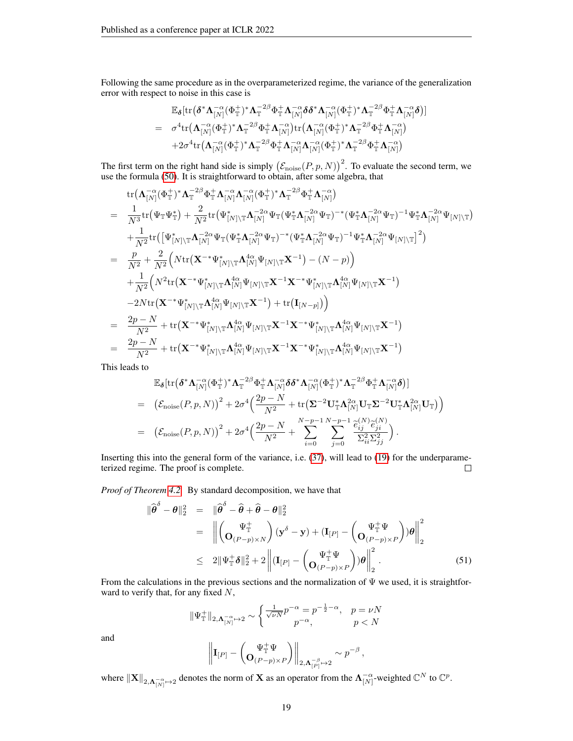Following the same procedure as in the overparameterized regime, the variance of the generalization error with respect to noise in this case is

$$
\begin{array}{lll} &\mathbb{E}_{\pmb\delta}[\mathrm{tr}\big(\pmb\delta^*\pmb\Lambda_{[N]}^{-\alpha}(\Phi_{\mathbb T}^+)^*\pmb\Lambda_{\mathbb T}^{-2\beta}\Phi_{\mathbb T}^+\pmb\Lambda_{[N]}^{-\alpha}\pmb\delta\pmb\delta^*\pmb\Lambda_{[N]}^{-\alpha}(\Phi_{\mathbb T}^+)^*\pmb\Lambda_{\mathbb T}^{-2\beta}\Phi_{\mathbb T}^+\pmb\Lambda_{[N]}^{-\alpha}\pmb\delta\big)]\\ &=& \sigma^4\mathrm{tr}\big(\pmb\Lambda_{[N]}^{-\alpha}(\Phi_{\mathbb T}^+)^*\pmb\Lambda_{\mathbb T}^{-2\beta}\Phi_{\mathbb T}^+\pmb\Lambda_{[N]}^{-\alpha}\big)\mathrm{tr}\big(\pmb\Lambda_{[N]}^{-\alpha}(\Phi_{\mathbb T}^+)^*\pmb\Lambda_{\mathbb T}^{-2\beta}\Phi_{\mathbb T}^+\pmb\Lambda_{[N]}^{-\alpha}\big)\\ &+2\sigma^4\mathrm{tr}\big(\pmb\Lambda_{[N]}^{-\alpha}(\Phi_{\mathbb T}^+)^*\pmb\Lambda_{\mathbb T}^{-2\beta}\Phi_{\mathbb T}^+\pmb\Lambda_{[N]}^{-\alpha}\pmb\Lambda_{[N]}^{-\alpha}(\Phi_{\mathbb T}^+)^*\pmb\Lambda_{\mathbb T}^{-2\beta}\Phi_{\mathbb T}^+\pmb\Lambda_{[N]}^{-\alpha}\big)\end{array}
$$

The first term on the right hand side is simply  $(\mathcal{E}_{\text{noise}}(P, p, N))^2$ . To evaluate the second term, we use the formula [\(50\)](#page-17-0). It is straightforward to obtain, after some algebra, that

 $+$ 

$$
\begin{array}{lll} & \displaystyle \text{tr}\big(\mathbf{A}_{[N]}^{-\alpha}(\Phi_{\mathbb{T}}^{+})^{*}\mathbf{A}_{\mathbb{T}}^{-2\beta}\Phi_{\mathbb{T}}^{+}\mathbf{A}_{[N]}^{-\alpha}\mathbf{A}_{[N]}^{-\alpha}(\Phi_{\mathbb{T}}^{+})^{*}\mathbf{A}_{\mathbb{T}}^{-2\beta}\Phi_{\mathbb{T}}^{+}\mathbf{A}_{[N]}^{-\alpha}) \\ & = & \displaystyle \frac{1}{N^{3}}\text{tr}\big(\Psi_{\mathbb{T}}\Psi_{\mathbb{T}}^{*}\big)+\frac{2}{N^{2}}\text{tr}\big(\Psi_{[N]\backslash\mathbb{T}}^{*}\mathbf{A}_{[N]}^{-2\alpha}\Psi_{\mathbb{T}}(\Psi_{\mathbb{T}}^{*}\mathbf{A}_{[N]}^{-2\alpha}\Psi_{\mathbb{T}})^{-*}(\Psi_{\mathbb{T}}^{*}\mathbf{A}_{[N]}^{-2\alpha}\Psi_{\mathbb{T}})^{-1}\Psi_{\mathbb{T}}^{*}\mathbf{A}_{[N]}^{-2\alpha}\Psi_{[N]\backslash\mathbb{T}}\big) \\ & & \displaystyle +\frac{1}{N^{2}}\text{tr}\big([\Psi_{[N]\backslash\mathbb{T}}^{*}\mathbf{A}_{[N]}^{-2\alpha}\Psi_{\mathbb{T}}(\Psi_{\mathbb{T}}^{*}\mathbf{A}_{[N]}^{-2\alpha}\Psi_{\mathbb{T}})^{-*}(\Psi_{\mathbb{T}}^{*}\mathbf{A}_{[N]}^{-2\alpha}\Psi_{\mathbb{T}})^{-1}\Psi_{\mathbb{T}}^{*}\mathbf{A}_{[N]}^{-2\alpha}\Psi_{[N]\backslash\mathbb{T}}\big)^{2}\big) \\ & = & \displaystyle \frac{p}{N^{2}}+\frac{2}{N^{2}}\bigg(N\text{tr}\big(\mathbf{X}^{-*}\Psi_{[N]\backslash\mathbb{T}}^{*}\mathbf{A}_{[N]}^{4\alpha}\Psi_{[N]\backslash\mathbb{T}}\mathbf{X}^{-1})-(N-p)\bigg) \\ & & \displaystyle +\frac{1}{N^{2}}\bigg(N^{2}\text{tr}\big(\mathbf{X}^{-*}\Psi_{[N]\backslash\mathbb{T}}^{*}\mathbf{A}_{[N]}^{4\alpha}\Psi_{[N]\backslash\mathbb{T}}\mathbf{X}^{-1}\mathbf{X}^{-*}\Psi_{[N]\backslash\mathbb{T}}^{*}\mathbf{A}_{[N]}^{4\alpha}\Psi_{[N]\backslash\mathbb{T}}\mathbf{X}^{-1
$$

This leads to

$$
\mathbb{E}_{\delta}[\text{tr}(\boldsymbol{\delta}^{*}\boldsymbol{\Lambda}_{[N]}^{-\alpha}(\Phi_{\mathbb{T}}^{+})^{*}\boldsymbol{\Lambda}_{\mathbb{T}}^{-2\beta}\Phi_{\mathbb{T}}^{+}\boldsymbol{\Lambda}_{[N]}^{-\alpha}\boldsymbol{\delta}\boldsymbol{\delta}^{*}\boldsymbol{\Lambda}_{[N]}^{-\alpha}(\Phi_{\mathbb{T}}^{+})^{*}\boldsymbol{\Lambda}_{\mathbb{T}}^{-2\beta}\Phi_{\mathbb{T}}^{+}\boldsymbol{\Lambda}_{[N]}^{-\alpha}\boldsymbol{\delta})]
$$
\n
$$
= (\mathcal{E}_{\text{noise}}(P,p,N))^{2} + 2\sigma^{4}\Big(\frac{2p-N}{N^{2}} + \text{tr}\big(\boldsymbol{\Sigma}^{-2}\mathbf{U}_{\mathbb{T}}^{*}\boldsymbol{\Lambda}_{[N]}^{2\alpha}\mathbf{U}_{\mathbb{T}}\boldsymbol{\Sigma}^{-2}\mathbf{U}_{\mathbb{T}}^{*}\boldsymbol{\Lambda}_{[N]}^{2\alpha}\mathbf{U}_{\mathbb{T}}\big)\Big)
$$
\n
$$
= (\mathcal{E}_{\text{noise}}(P,p,N))^{2} + 2\sigma^{4}\Big(\frac{2p-N}{N^{2}} + \sum_{i=0}^{N-p-1}\sum_{j=0}^{N-p-1}\frac{\widehat{e}_{ij}^{(N)}\widehat{e}_{ji}^{(N)}}{\sum_{i}^{2}\sum_{j}^{2}}\Big).
$$

Inserting this into the general form of the variance, i.e. [\(37\)](#page-11-6), will lead to [\(19\)](#page-6-4) for the underparameterized regime. The proof is complete.  $\Box$ 

*Proof of Theorem [4.2.](#page-6-2)* By standard decomposition, we have that

<span id="page-18-0"></span>
$$
\|\widehat{\boldsymbol{\theta}}^{\delta} - \boldsymbol{\theta}\|_{2}^{2} = \|\widehat{\boldsymbol{\theta}}^{\delta} - \widehat{\boldsymbol{\theta}} + \widehat{\boldsymbol{\theta}} - \boldsymbol{\theta}\|_{2}^{2}
$$
\n
$$
= \left\| \begin{pmatrix} \Psi_{\mathbb{T}}^{+} \\ \mathbf{O}_{(P-p)\times N} \end{pmatrix} (\mathbf{y}^{\delta} - \mathbf{y}) + (\mathbf{I}_{[P]} - \begin{pmatrix} \Psi_{\mathbb{T}}^{+} \Psi \\ \mathbf{O}_{(P-p)\times P} \end{pmatrix}) \boldsymbol{\theta} \right\|_{2}^{2}
$$
\n
$$
\leq 2\|\Psi_{\mathbb{T}}^{+} \boldsymbol{\delta}\|_{2}^{2} + 2\left\| (\mathbf{I}_{[P]} - \begin{pmatrix} \Psi_{\mathbb{T}}^{+} \Psi \\ \mathbf{O}_{(P-p)\times P} \end{pmatrix}) \boldsymbol{\theta} \right\|_{2}^{2}.
$$
\n(51)

From the calculations in the previous sections and the normalization of  $\Psi$  we used, it is straightforward to verify that, for any fixed  $N$ ,

$$
\|\Psi_{\mathbb{T}}^{+}\|_{2,\Lambda_{[N]}^{-\alpha}\mapsto 2} \sim \begin{cases} \frac{1}{\sqrt{\nu N}} p^{-\alpha} = p^{-\frac{1}{2}-\alpha}, & p = \nu N\\ p^{-\alpha}, & p < N \end{cases}
$$

and

$$
\left\|\mathbf{I}_{[P]}-\left(\mathbf{O}_{(P-p)\times P}^{\mathbf{U}+\Psi}\right)\right\|_{2,\mathbf{\Lambda}_{[P]}^{-\beta}\mapsto2}\sim p^{-\beta}\,,
$$

where  $\|\mathbf{X}\|_{2,\mathbf{\Lambda}_{[N]}^{-\alpha}\mapsto2}$  denotes the norm of X as an operator from the  $\mathbf{\Lambda}_{[N]}^{-\alpha}$ -weighted  $\mathbb{C}^N$  to  $\mathbb{C}^p$ .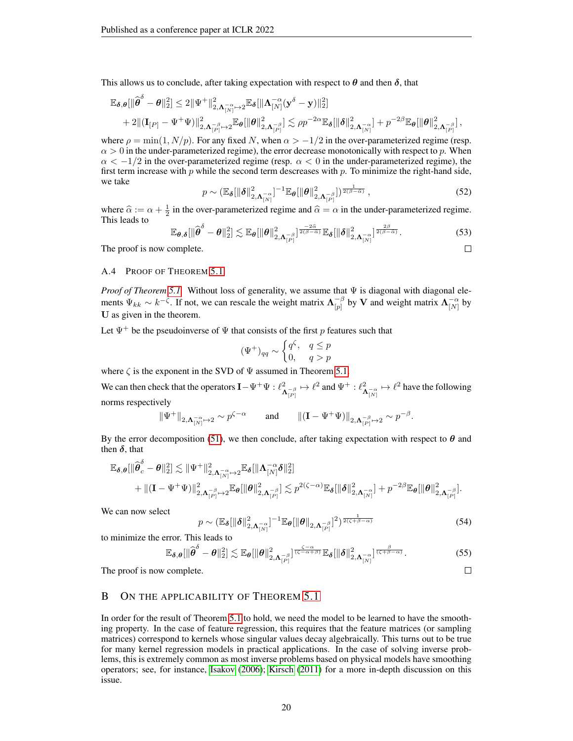This allows us to conclude, after taking expectation with respect to  $\theta$  and then  $\delta$ , that

$$
\label{eq:4.13} \begin{split} \mathbb{E}_{\pmb\delta,\pmb\theta}[&\|\widehat{\pmb\theta}^\delta-\pmb\theta\|_2^2]\leq 2\|\Psi^+\|_{2,\pmb\Lambda_{[N]}^{-\alpha}\mapsto 2}^2\mathbb{E}_{\pmb\delta}[&\|\pmb\Lambda_{[N]}^{-\alpha}(\mathbf{y}^\delta-\mathbf{y})\|_2^2]\\ &+2\|(\mathbf{I}_{[P]}-\Psi^+\Psi)\|_{2,\pmb\Lambda_{[P]}^{-\beta}\mapsto 2}^2\mathbb{E}_{\pmb\theta}[&\|\pmb\theta\|_{2,\pmb\Lambda_{[P]}^{-\beta}}^2]\lesssim \rho p^{-2\alpha}\mathbb{E}_{\pmb\delta}[&\|\pmb\delta\|_{2,\pmb\Lambda_{[N]}^{-\alpha}}^2 +p^{-2\beta}\mathbb{E}_{\pmb\theta}[&\|\pmb\theta\|_{2,\pmb\Lambda_{[P]}^{-\beta}}^2], \end{split}
$$

where  $\rho = \min(1, N/p)$ . For any fixed N, when  $\alpha > -1/2$  in the over-parameterized regime (resp.  $\alpha > 0$  in the under-parameterized regime), the error decrease monotonically with respect to p. When  $\alpha < -1/2$  in the over-parameterized regime (resp.  $\alpha < 0$  in the under-parameterized regime), the first term increase with  $p$  while the second term descreases with  $p$ . To minimize the right-hand side, we take

$$
p \sim \left(\mathbb{E}_{\boldsymbol{\delta}}[\|\boldsymbol{\delta}\|_{2,\boldsymbol{\Lambda}_{[N]}^{-\alpha}}^2]^{-1} \mathbb{E}_{\boldsymbol{\theta}}[\|\boldsymbol{\theta}\|_{2,\boldsymbol{\Lambda}_{[P]}^{-\beta}}^2]\right)^{\frac{1}{2(\beta-\widehat{\alpha})}},
$$
\n(52)

where  $\hat{\alpha} := \alpha + \frac{1}{2}$  in the over-parameterized regime and  $\hat{\alpha} = \alpha$  in the under-parameterized regime.<br>This leads to This leads to

$$
\mathbb{E}_{\boldsymbol{\theta},\boldsymbol{\delta}}[\|\widehat{\boldsymbol{\theta}}^{\delta}-\boldsymbol{\theta}\|_{2}^{2}] \lesssim \mathbb{E}_{\boldsymbol{\theta}}[\|\boldsymbol{\theta}\|_{2,\boldsymbol{\Lambda}_{[P]}}^{2}]^{\frac{-2\widehat{\alpha}}{2(\beta-\widehat{\alpha})}}\mathbb{E}_{\boldsymbol{\delta}}[\|\boldsymbol{\delta}\|_{2,\boldsymbol{\Lambda}_{[N]}}^{2}]^{\frac{2\beta}{2(\beta-\widehat{\alpha})}}.
$$
\n(53)

\ncomplete.

The proof is now complete.

#### <span id="page-19-0"></span>A.4 PROOF OF THEOREM [5.1](#page-7-1)

*Proof of Theorem [5.1.](#page-7-1)* Without loss of generality, we assume that  $\Psi$  is diagonal with diagonal elements  $\Psi_{kk} \sim k^{-\zeta}$ . If not, we can rescale the weight matrix  $\Lambda_{[n]}^{-\beta}$  $\frac{-\beta}{[p]}$  by V and weight matrix  $\mathbf{\Lambda}_{[N]}^{-\alpha}$  by U as given in the theorem.

Let  $\Psi^+$  be the pseudoinverse of  $\Psi$  that consists of the first p features such that

$$
(\Psi^+)_{qq} \sim \begin{cases} q^{\zeta}, & q \le p \\ 0, & q > p \end{cases}
$$

where  $\zeta$  is the exponent in the SVD of  $\Psi$  assumed in Theorem [5.1.](#page-7-1)

We can then check that the operators  $\mathbf{I} - \Psi^+ \Psi : \ell^2$  $\frac{2}{\mathbf{\Lambda}_{[P]}} \mapsto \ell^2$  and  $\Psi^+ : \ell^2_{\Lambda}$  $\frac{2}{\Lambda_{[N]}^{-\alpha}} \mapsto \ell^2$  have the following norms respectively

$$
\|\Psi^+\|_{2,\mathbf{A}_{[N]}^{-\alpha}\mapsto 2}\sim p^{\zeta-\alpha}\qquad\text{and}\qquad \|(\mathbf{I}-\Psi^+\Psi)\|_{2,\mathbf{A}_{[P]}^{-\beta}\mapsto 2}\sim p^{-\beta}.
$$

By the error decomposition [\(51\)](#page-18-0), we then conclude, after taking expectation with respect to  $\theta$  and then  $\delta$ , that

$$
\begin{aligned} \mathbb{E}_{\pmb\delta,\pmb\theta}[ \| \widehat{\pmb\theta}_c^\delta - \pmb\theta\|_2^2 ] \lesssim &~{} \| \Psi^+ \|^2_{2,\pmb\Lambda_{[N]}^{-\alpha} \mapsto 2} \mathbb{E}_{\pmb\delta}[ \| \pmb\Lambda_{[N]}^{-\alpha} \pmb\delta\|_2^2 ] \\ &~{}+ \| (\mathbf{I} - \Psi^+ \Psi ) \|_{2,\pmb\Lambda_{[P]}^{-\beta} \mapsto 2}^2 \mathbb{E}_{\pmb\theta}[ \| \pmb\theta\|_{2,\pmb\Lambda_{[P]}^{-\beta}}^2 ] \lesssim p^{2(\zeta - \alpha)} \mathbb{E}_{\pmb\delta}[ \| \pmb\delta\|_{2,\pmb\Lambda_{[N]}^{-\alpha}}^2 ] + p^{-2\beta} \mathbb{E}_{\pmb\theta}[ \| \pmb\theta\|_{2,\pmb\Lambda_{[P]}^{-\beta}}^2 ]. \end{aligned}
$$

We can now select

$$
p \sim \left(\mathbb{E}_{\boldsymbol{\delta}}[\|\boldsymbol{\delta}\|_{2,\boldsymbol{\Lambda}_{[N]}^{-\alpha}}^2]^{-1} \mathbb{E}_{\boldsymbol{\theta}}[\|\boldsymbol{\theta}\|_{2,\boldsymbol{\Lambda}_{[P]}^{-\beta}}]^2\right)^{\frac{1}{2(\zeta+\beta-\alpha)}}\tag{54}
$$

 $\Box$ 

to minimize the error. This leads to

$$
\mathbb{E}_{\boldsymbol{\delta},\boldsymbol{\theta}}[\|\widehat{\boldsymbol{\theta}}^{\delta}-\boldsymbol{\theta}\|_2^2] \lesssim \mathbb{E}_{\boldsymbol{\theta}}[\|\boldsymbol{\theta}\|_{2,\boldsymbol{\Lambda}_{[P]}^{-\beta}}^2]^{\frac{\zeta-\alpha}{(\zeta-\alpha+\beta)}} \mathbb{E}_{\boldsymbol{\delta}}[\|\boldsymbol{\delta}\|_{2,\boldsymbol{\Lambda}_{[N]}^{-\alpha}}^2]^{\frac{\beta}{(\zeta+\beta-\alpha)}}. \tag{55}
$$

The proof is now complete.

## <span id="page-19-1"></span>B ON THE APPLICABILITY OF THEOREM [5.1](#page-7-1)

In order for the result of Theorem [5.1](#page-7-1) to hold, we need the model to be learned to have the smoothing property. In the case of feature regression, this requires that the feature matrices (or sampling matrices) correspond to kernels whose singular values decay algebraically. This turns out to be true for many kernel regression models in practical applications. In the case of solving inverse problems, this is extremely common as most inverse problems based on physical models have smoothing operators; see, for instance, [Isakov](#page-23-14) [\(2006\)](#page-23-14); [Kirsch](#page-23-15) [\(2011\)](#page-23-15) for a more in-depth discussion on this issue.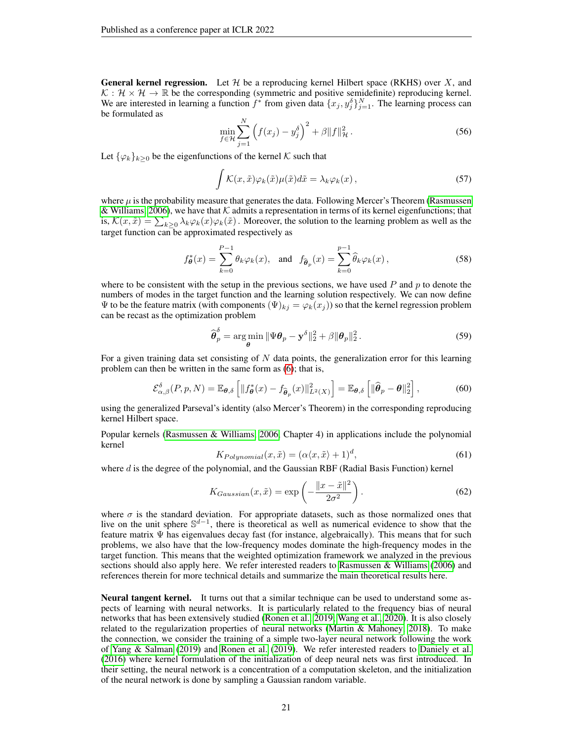**General kernel regression.** Let  $\mathcal{H}$  be a reproducing kernel Hilbert space (RKHS) over X, and  $K : \mathcal{H} \times \mathcal{H} \to \mathbb{R}$  be the corresponding (symmetric and positive semidefinite) reproducing kernel. We are interested in learning a function  $f^*$  from given data  $\{x_j, y_j^{\delta}\}_{j=1}^N$ . The learning process can be formulated as

$$
\min_{f \in \mathcal{H}} \sum_{j=1}^{N} \left( f(x_j) - y_j^{\delta} \right)^2 + \beta \| f \|_{\mathcal{H}}^2.
$$
 (56)

Let  $\{\varphi_k\}_{k>0}$  be the eigenfunctions of the kernel K such that

$$
\int \mathcal{K}(x,\tilde{x})\varphi_k(\tilde{x})\mu(\tilde{x})d\tilde{x} = \lambda_k \varphi_k(x), \qquad (57)
$$

where  $\mu$  is the probability measure that generates the data. Following Mercer's Theorem [\(Rasmussen](#page-24-12) [& Williams, 2006\)](#page-24-12), we have that  $K$  admits a representation in terms of its kernel eigenfunctions; that is,  $\mathcal{K}(x,\tilde{x}) = \sum_{k\geq 0} \lambda_k \varphi_k(x) \varphi_k(\tilde{x})$ . Moreover, the solution to the learning problem as well as the target function can be approximated respectively as

$$
f_{\theta}^*(x) = \sum_{k=0}^{P-1} \theta_k \varphi_k(x), \text{ and } f_{\widehat{\theta}_p}(x) = \sum_{k=0}^{P-1} \widehat{\theta}_k \varphi_k(x), \qquad (58)
$$

where to be consistent with the setup in the previous sections, we have used  $P$  and  $p$  to denote the numbers of modes in the target function and the learning solution respectively. We can now define  $\Psi$  to be the feature matrix (with components  $(\Psi)_{kj} = \varphi_k(x_j)$ ) so that the kernel regression problem can be recast as the optimization problem

$$
\widehat{\boldsymbol{\theta}}_p^{\delta} = \underset{\boldsymbol{\theta}}{\arg\min} \|\Psi \boldsymbol{\theta}_p - \mathbf{y}^{\delta}\|_2^2 + \beta \|\boldsymbol{\theta}_p\|_2^2. \tag{59}
$$

For a given training data set consisting of  $N$  data points, the generalization error for this learning problem can then be written in the same form as [\(6\)](#page-1-4); that is,

$$
\mathcal{E}_{\alpha,\beta}^{\delta}(P,p,N) = \mathbb{E}_{\theta,\delta}\left[\|f_{\theta}^{*}(x) - f_{\widehat{\theta}_{p}}(x)\|_{L^{2}(X)}^{2}\right] = \mathbb{E}_{\theta,\delta}\left[\|\widehat{\theta}_{p} - \theta\|_{2}^{2}\right],\tag{60}
$$

using the generalized Parseval's identity (also Mercer's Theorem) in the corresponding reproducing kernel Hilbert space.

<span id="page-20-1"></span>Popular kernels [\(Rasmussen & Williams, 2006,](#page-24-12) Chapter 4) in applications include the polynomial kernel

<span id="page-20-0"></span>
$$
K_{Polynomial}(x, \tilde{x}) = (\alpha \langle x, \tilde{x} \rangle + 1)^d,\tag{61}
$$

where  $d$  is the degree of the polynomial, and the Gaussian RBF (Radial Basis Function) kernel

$$
K_{Gaussian}(x,\tilde{x}) = \exp\left(-\frac{\|x-\tilde{x}\|^2}{2\sigma^2}\right). \tag{62}
$$

where  $\sigma$  is the standard deviation. For appropriate datasets, such as those normalized ones that live on the unit sphere  $\mathbb{S}^{d-1}$ , there is theoretical as well as numerical evidence to show that the feature matrix  $\Psi$  has eigenvalues decay fast (for instance, algebraically). This means that for such problems, we also have that the low-frequency modes dominate the high-frequency modes in the target function. This means that the weighted optimization framework we analyzed in the previous sections should also apply here. We refer interested readers to Rasmussen  $\&$  Williams [\(2006\)](#page-24-12) and references therein for more technical details and summarize the main theoretical results here.

Neural tangent kernel. It turns out that a similar technique can be used to understand some aspects of learning with neural networks. It is particularly related to the frequency bias of neural networks that has been extensively studied [\(Ronen et al., 2019;](#page-24-13) [Wang et al., 2020\)](#page-24-14). It is also closely related to the regularization properties of neural networks [\(Martin & Mahoney, 2018\)](#page-24-15). To make the connection, we consider the training of a simple two-layer neural network following the work of [Yang & Salman](#page-24-16) [\(2019\)](#page-24-16) and [Ronen et al.](#page-24-13) [\(2019\)](#page-24-13). We refer interested readers to [Daniely et al.](#page-23-16) [\(2016\)](#page-23-16) where kernel formulation of the initialization of deep neural nets was first introduced. In their setting, the neural network is a concentration of a computation skeleton, and the initialization of the neural network is done by sampling a Gaussian random variable.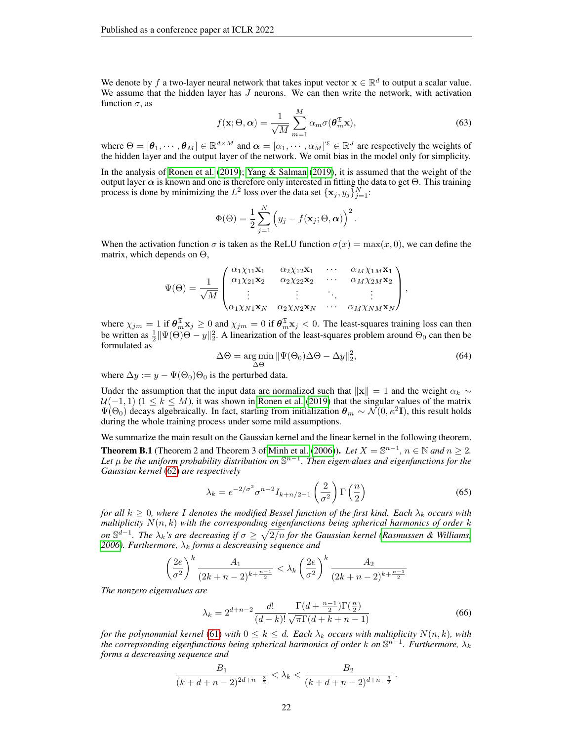We denote by f a two-layer neural network that takes input vector  $\mathbf{x} \in \mathbb{R}^d$  to output a scalar value. We assume that the hidden layer has  $J$  neurons. We can then write the network, with activation function  $\sigma$ , as

$$
f(\mathbf{x}; \Theta, \alpha) = \frac{1}{\sqrt{M}} \sum_{m=1}^{M} \alpha_m \sigma(\boldsymbol{\theta}_m^{\mathfrak{T}} \mathbf{x}),
$$
 (63)

where  $\Theta = [\theta_1, \dots, \theta_M] \in \mathbb{R}^{d \times M}$  and  $\alpha = [\alpha_1, \dots, \alpha_M]^{\mathfrak{T}} \in \mathbb{R}^J$  are respectively the weights of the hidden layer and the output layer of the network. We omit bias in the model only for simplicity.

In the analysis of [Ronen et al.](#page-24-13) [\(2019\)](#page-24-13); [Yang & Salman](#page-24-16) [\(2019\)](#page-24-16), it is assumed that the weight of the output layer  $\alpha$  is known and one is therefore only interested in fitting the data to get  $\Theta$ . This training process is done by minimizing the  $L^2$  loss over the data set  $\{x_j, y_j\}_{j=1}^N$ :

$$
\Phi(\Theta) = \frac{1}{2} \sum_{j=1}^{N} (y_j - f(\mathbf{x}_j; \Theta, \alpha))^{2}.
$$

When the activation function  $\sigma$  is taken as the ReLU function  $\sigma(x) = \max(x, 0)$ , we can define the matrix, which depends on  $\Theta$ ,

$$
\Psi(\Theta) = \frac{1}{\sqrt{M}} \begin{pmatrix} \alpha_1 \chi_{11} \mathbf{x}_1 & \alpha_2 \chi_{12} \mathbf{x}_1 & \cdots & \alpha_M \chi_{1M} \mathbf{x}_1 \\ \alpha_1 \chi_{21} \mathbf{x}_2 & \alpha_2 \chi_{22} \mathbf{x}_2 & \cdots & \alpha_M \chi_{2M} \mathbf{x}_2 \\ \vdots & \vdots & \ddots & \vdots \\ \alpha_1 \chi_{N1} \mathbf{x}_N & \alpha_2 \chi_{N2} \mathbf{x}_N & \cdots & \alpha_M \chi_{NM} \mathbf{x}_N \end{pmatrix},
$$

where  $\chi_{jm} = 1$  if  $\theta_m^{\mathfrak{T}} \mathbf{x}_j \ge 0$  and  $\chi_{jm} = 0$  if  $\theta_m^{\mathfrak{T}} \mathbf{x}_j < 0$ . The least-squares training loss can then be written as  $\frac{1}{2} \|\Psi(\Theta)\Theta - y\|_2^2$ . A linearization of the least-squares problem around  $\Theta_0$  can then be formulated as

$$
\Delta\Theta = \underset{\Delta\Theta}{\arg\min} \|\Psi(\Theta_0)\Delta\Theta - \Delta y\|_2^2, \tag{64}
$$

where  $\Delta y := y - \Psi(\Theta_0)\Theta_0$  is the perturbed data.

Under the assumption that the input data are normalized such that  $\Vert x \Vert = 1$  and the weight  $\alpha_k \sim$  $U(-1, 1)$  ( $1 \leq k \leq M$ ), it was shown in [Ronen et al.](#page-24-13) [\(2019\)](#page-24-13) that the singular values of the matrix  $\Psi(\Theta_0)$  decays algebraically. In fact, starting from initialization  $\theta_m \sim \mathcal{N}(0, \kappa^2 I)$ , this result holds during the whole training process under some mild assumptions.

We summarize the main result on the Gaussian kernel and the linear kernel in the following theorem. **Theorem B.1** (Theorem 2 and Theorem 3 of [Minh et al.](#page-24-17) [\(2006\)](#page-24-17)). *Let*  $X = \mathbb{S}^{n-1}$ ,  $n \in \mathbb{N}$  and  $n \ge 2$ . *Let* µ *be the uniform probability distribution on* S n−1 *. Then eigenvalues and eigenfunctions for the Gaussian kernel* [\(62\)](#page-20-0) *are respectively*

$$
\lambda_k = e^{-2/\sigma^2} \sigma^{n-2} I_{k+n/2-1} \left(\frac{2}{\sigma^2}\right) \Gamma\left(\frac{n}{2}\right) \tag{65}
$$

*for all*  $k \geq 0$ , where I denotes the modified Bessel function of the first kind. Each  $\lambda_k$  *occurs with multiplicity*  $N(n, k)$  *with the corresponding eigenfunctions being spherical harmonics of order* k *on*  $\mathbb{S}^{d-1}$ . The  $\lambda_k$ 's are decreasing if  $\sigma \geq \sqrt{2/n}$  for the Gaussian kernel [\(Rasmussen & Williams,](#page-24-12) [2006\)](#page-24-12). Furthermore,  $\lambda_k$  forms a descreasing sequence and

$$
\left(\frac{2e}{\sigma^2}\right)^k \frac{A_1}{(2k+n-2)^{k+\frac{n-1}{2}}} < \lambda_k \left(\frac{2e}{\sigma^2}\right)^k \frac{A_2}{(2k+n-2)^{k+\frac{n-1}{2}}}
$$

*The nonzero eigenvalues are*

$$
\lambda_k = 2^{d+n-2} \frac{d!}{(d-k)!} \frac{\Gamma(d + \frac{n-1}{2}) \Gamma(\frac{n}{2})}{\sqrt{\pi} \Gamma(d+k+n-1)}
$$
(66)

*for the polynommial kernel* [\(61\)](#page-20-1) *with*  $0 \leq k \leq d$ . Each  $\lambda_k$  *occurs with multiplicity*  $N(n, k)$ *, with the correpsonding eigenfunctions being spherical harmonics of order k on* S<sup>n−1</sup>. Furthermore,  $\lambda_k$ *forms a descreasing sequence and*

$$
\frac{B_1}{(k+d+n-2)^{2d+n-\frac{3}{2}}} < \lambda_k < \frac{B_2}{(k+d+n-2)^{d+n-\frac{3}{2}}}.
$$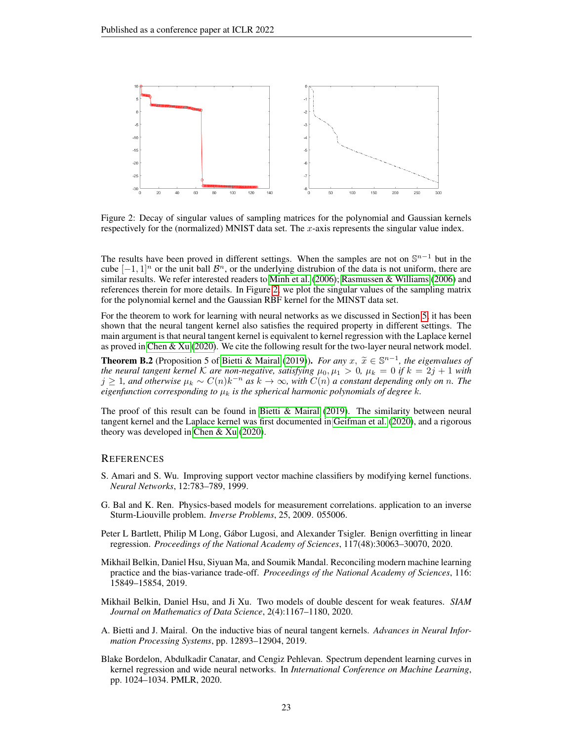

<span id="page-22-6"></span>Figure 2: Decay of singular values of sampling matrices for the polynomial and Gaussian kernels respectively for the (normalized) MNIST data set. The x-axis represents the singular value index.

The results have been proved in different settings. When the samples are not on  $\mathbb{S}^{n-1}$  but in the cube  $[-1, 1]^n$  or the unit ball  $\mathcal{B}^n$ , or the underlying distrubion of the data is not uniform, there are similar results. We refer interested readers to [Minh et al.](#page-24-17) [\(2006\)](#page-24-17); [Rasmussen & Williams](#page-24-12) [\(2006\)](#page-24-12) and references therein for more details. In Figure [2,](#page-22-6) we plot the singular values of the sampling matrix for the polynomial kernel and the Gaussian RBF kernel for the MINST data set.

For the theorem to work for learning with neural networks as we discussed in Section [5,](#page-7-0) it has been shown that the neural tangent kernel also satisfies the required property in different settings. The main argument is that neural tangent kernel is equivalent to kernel regression with the Laplace kernel as proved in [Chen & Xu](#page-23-17) [\(2020\)](#page-23-17). We cite the following result for the two-layer neural network model.

**Theorem B.2** (Proposition 5 of [Bietti & Mairal](#page-22-7) [\(2019\)](#page-22-7)). *For any*  $x, \tilde{x} \in \mathbb{S}^{n-1}$ , the eigenvalues of the neural tangent kernel K are non-negative, satisfying  $\mu_0, \mu_1 > 0, \mu_1 = 0$  if  $k = 2i + 1$  with *the neural tangent kernel* K are non-negative, satisfying  $\mu_0, \mu_1 > 0$ ,  $\mu_k = 0$  if  $k = 2j + 1$  with  $j \geq 1$ , and otherwise  $\mu_k \sim C(n)k^{-n}$  as  $k \to \infty$ , with  $\overline{C}(n)$  a constant depending only on n. The *eigenfunction corresponding to*  $\mu_k$  *is the spherical harmonic polynomials of degree*  $k$ *.* 

The proof of this result can be found in Bietti  $\&$  Mairal [\(2019\)](#page-22-7). The similarity between neural tangent kernel and the Laplace kernel was first documented in [Geifman et al.](#page-23-18) [\(2020\)](#page-23-18), and a rigorous theory was developed in [Chen & Xu](#page-23-17) [\(2020\)](#page-23-17).

#### **REFERENCES**

- <span id="page-22-4"></span>S. Amari and S. Wu. Improving support vector machine classifiers by modifying kernel functions. *Neural Networks*, 12:783–789, 1999.
- <span id="page-22-3"></span>G. Bal and K. Ren. Physics-based models for measurement correlations. application to an inverse Sturm-Liouville problem. *Inverse Problems*, 25, 2009. 055006.
- <span id="page-22-2"></span>Peter L Bartlett, Philip M Long, Gábor Lugosi, and Alexander Tsigler. Benign overfitting in linear regression. *Proceedings of the National Academy of Sciences*, 117(48):30063–30070, 2020.
- <span id="page-22-1"></span>Mikhail Belkin, Daniel Hsu, Siyuan Ma, and Soumik Mandal. Reconciling modern machine learning practice and the bias-variance trade-off. *Proceedings of the National Academy of Sciences*, 116: 15849–15854, 2019.
- <span id="page-22-0"></span>Mikhail Belkin, Daniel Hsu, and Ji Xu. Two models of double descent for weak features. *SIAM Journal on Mathematics of Data Science*, 2(4):1167–1180, 2020.
- <span id="page-22-7"></span>A. Bietti and J. Mairal. On the inductive bias of neural tangent kernels. *Advances in Neural Information Processing Systems*, pp. 12893–12904, 2019.
- <span id="page-22-5"></span>Blake Bordelon, Abdulkadir Canatar, and Cengiz Pehlevan. Spectrum dependent learning curves in kernel regression and wide neural networks. In *International Conference on Machine Learning*, pp. 1024–1034. PMLR, 2020.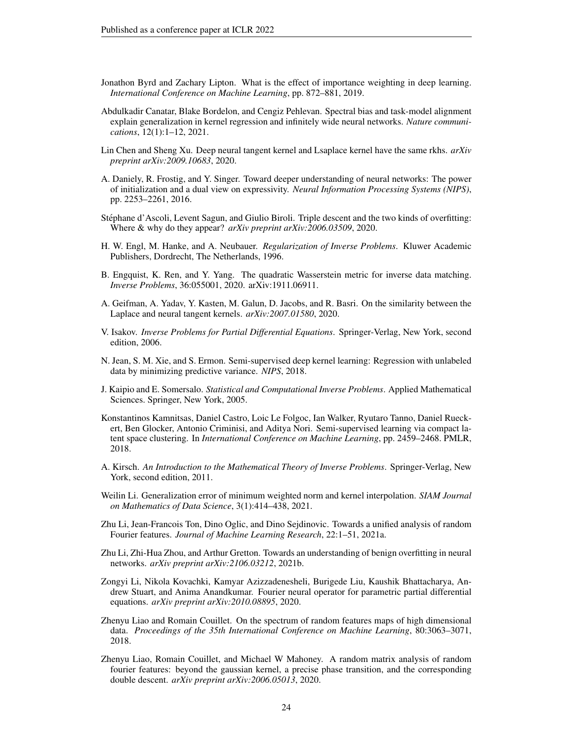- <span id="page-23-6"></span>Jonathon Byrd and Zachary Lipton. What is the effect of importance weighting in deep learning. *International Conference on Machine Learning*, pp. 872–881, 2019.
- <span id="page-23-13"></span>Abdulkadir Canatar, Blake Bordelon, and Cengiz Pehlevan. Spectral bias and task-model alignment explain generalization in kernel regression and infinitely wide neural networks. *Nature communications*, 12(1):1–12, 2021.
- <span id="page-23-17"></span>Lin Chen and Sheng Xu. Deep neural tangent kernel and Lsaplace kernel have the same rkhs. *arXiv preprint arXiv:2009.10683*, 2020.
- <span id="page-23-16"></span>A. Daniely, R. Frostig, and Y. Singer. Toward deeper understanding of neural networks: The power of initialization and a dual view on expressivity. *Neural Information Processing Systems (NIPS)*, pp. 2253–2261, 2016.
- <span id="page-23-2"></span>Stephane d'Ascoli, Levent Sagun, and Giulio Biroli. Triple descent and the two kinds of overfitting: ´ Where & why do they appear? *arXiv preprint arXiv:2006.03509*, 2020.
- <span id="page-23-5"></span>H. W. Engl, M. Hanke, and A. Neubauer. *Regularization of Inverse Problems*. Kluwer Academic Publishers, Dordrecht, The Netherlands, 1996.
- <span id="page-23-7"></span>B. Engquist, K. Ren, and Y. Yang. The quadratic Wasserstein metric for inverse data matching. *Inverse Problems*, 36:055001, 2020. arXiv:1911.06911.
- <span id="page-23-18"></span>A. Geifman, A. Yadav, Y. Kasten, M. Galun, D. Jacobs, and R. Basri. On the similarity between the Laplace and neural tangent kernels. *arXiv:2007.01580*, 2020.
- <span id="page-23-14"></span>V. Isakov. *Inverse Problems for Partial Differential Equations*. Springer-Verlag, New York, second edition, 2006.
- <span id="page-23-12"></span>N. Jean, S. M. Xie, and S. Ermon. Semi-supervised deep kernel learning: Regression with unlabeled data by minimizing predictive variance. *NIPS*, 2018.
- <span id="page-23-9"></span>J. Kaipio and E. Somersalo. *Statistical and Computational Inverse Problems*. Applied Mathematical Sciences. Springer, New York, 2005.
- <span id="page-23-11"></span>Konstantinos Kamnitsas, Daniel Castro, Loic Le Folgoc, Ian Walker, Ryutaro Tanno, Daniel Rueckert, Ben Glocker, Antonio Criminisi, and Aditya Nori. Semi-supervised learning via compact latent space clustering. In *International Conference on Machine Learning*, pp. 2459–2468. PMLR, 2018.
- <span id="page-23-15"></span>A. Kirsch. *An Introduction to the Mathematical Theory of Inverse Problems*. Springer-Verlag, New York, second edition, 2011.
- <span id="page-23-8"></span>Weilin Li. Generalization error of minimum weighted norm and kernel interpolation. *SIAM Journal on Mathematics of Data Science*, 3(1):414–438, 2021.
- <span id="page-23-4"></span>Zhu Li, Jean-Francois Ton, Dino Oglic, and Dino Sejdinovic. Towards a unified analysis of random Fourier features. *Journal of Machine Learning Research*, 22:1–51, 2021a.
- <span id="page-23-10"></span>Zhu Li, Zhi-Hua Zhou, and Arthur Gretton. Towards an understanding of benign overfitting in neural networks. *arXiv preprint arXiv:2106.03212*, 2021b.
- <span id="page-23-3"></span>Zongyi Li, Nikola Kovachki, Kamyar Azizzadenesheli, Burigede Liu, Kaushik Bhattacharya, Andrew Stuart, and Anima Anandkumar. Fourier neural operator for parametric partial differential equations. *arXiv preprint arXiv:2010.08895*, 2020.
- <span id="page-23-1"></span>Zhenyu Liao and Romain Couillet. On the spectrum of random features maps of high dimensional data. *Proceedings of the 35th International Conference on Machine Learning*, 80:3063–3071, 2018.
- <span id="page-23-0"></span>Zhenyu Liao, Romain Couillet, and Michael W Mahoney. A random matrix analysis of random fourier features: beyond the gaussian kernel, a precise phase transition, and the corresponding double descent. *arXiv preprint arXiv:2006.05013*, 2020.